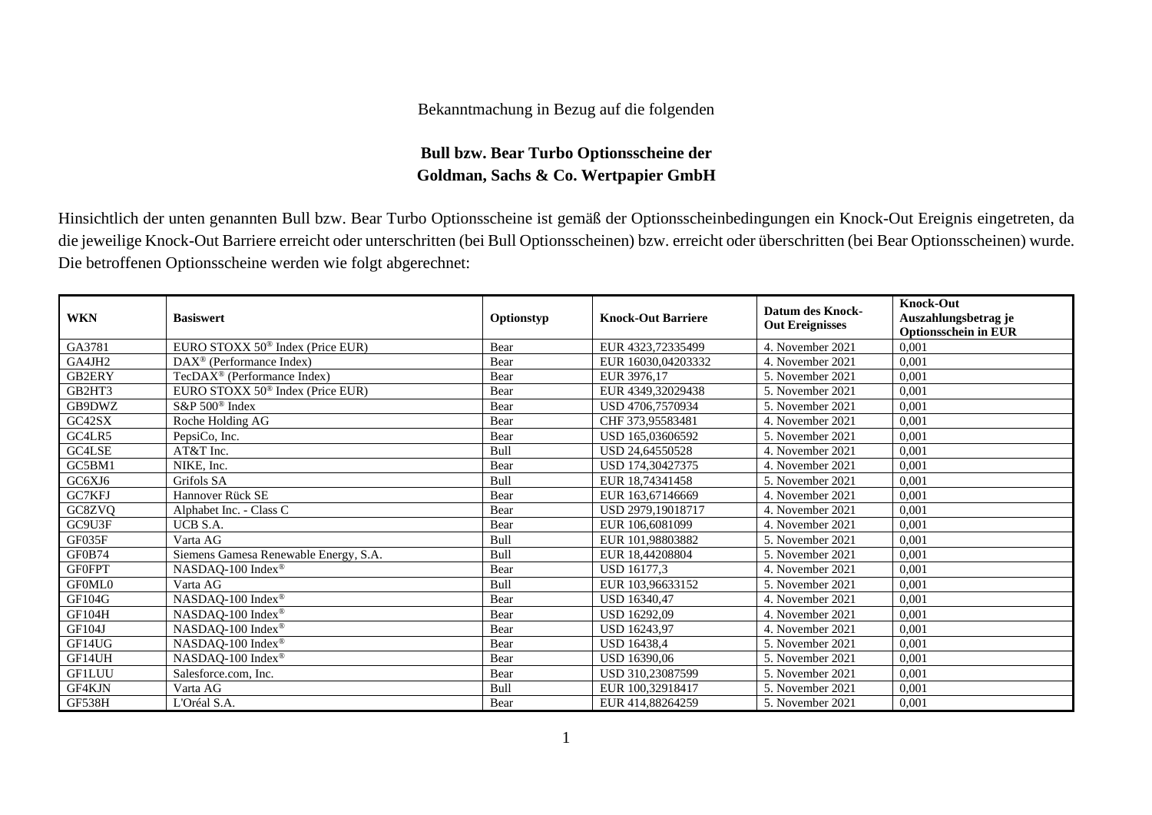## Bekanntmachung in Bezug auf die folgenden

## **Bull bzw. Bear Turbo Optionsscheine der Goldman, Sachs & Co. Wertpapier GmbH**

Hinsichtlich der unten genannten Bull bzw. Bear Turbo Optionsscheine ist gemäß der Optionsscheinbedingungen ein Knock-Out Ereignis eingetreten, da die jeweilige Knock-Out Barriere erreicht oder unterschritten (bei Bull Optionsscheinen) bzw. erreicht oder überschritten (bei Bear Optionsscheinen) wurde. Die betroffenen Optionsscheine werden wie folgt abgerechnet:

| <b>WKN</b>    | <b>Basiswert</b>                             | Optionstyp | <b>Knock-Out Barriere</b> | <b>Datum des Knock-</b><br><b>Out Ereignisses</b> | <b>Knock-Out</b><br>Auszahlungsbetrag je<br><b>Optionsschein in EUR</b> |
|---------------|----------------------------------------------|------------|---------------------------|---------------------------------------------------|-------------------------------------------------------------------------|
| GA3781        | EURO STOXX 50 <sup>®</sup> Index (Price EUR) | Bear       | EUR 4323,72335499         | 4. November 2021                                  | 0,001                                                                   |
| GA4JH2        | DAX <sup>®</sup> (Performance Index)         | Bear       | EUR 16030,04203332        | 4. November 2021                                  | 0,001                                                                   |
| GB2ERY        | TecDAX <sup>®</sup> (Performance Index)      | Bear       | EUR 3976,17               | 5. November 2021                                  | 0,001                                                                   |
| GB2HT3        | EURO STOXX 50 <sup>®</sup> Index (Price EUR) | Bear       | EUR 4349.32029438         | 5. November 2021                                  | 0,001                                                                   |
| GB9DWZ        | S&P 500 <sup>®</sup> Index                   | Bear       | USD 4706,7570934          | 5. November 2021                                  | 0,001                                                                   |
| GC42SX        | Roche Holding AG                             | Bear       | CHF 373,95583481          | 4. November 2021                                  | 0,001                                                                   |
| GC4LR5        | PepsiCo, Inc.                                | Bear       | USD 165,03606592          | 5. November 2021                                  | 0,001                                                                   |
| GC4LSE        | AT&T Inc.                                    | Bull       | USD 24,64550528           | 4. November 2021                                  | 0,001                                                                   |
| GC5BM1        | NIKE, Inc.                                   | Bear       | USD 174,30427375          | 4. November 2021                                  | 0,001                                                                   |
| GC6XJ6        | Grifols SA                                   | Bull       | EUR 18.74341458           | 5. November 2021                                  | 0.001                                                                   |
| GC7KFJ        | Hannover Rück SE                             | Bear       | EUR 163,67146669          | 4. November 2021                                  | 0,001                                                                   |
| GC8ZVQ        | Alphabet Inc. - Class C                      | Bear       | USD 2979,19018717         | 4. November 2021                                  | 0,001                                                                   |
| GC9U3F        | UCB S.A.                                     | Bear       | EUR 106,6081099           | 4. November 2021                                  | 0.001                                                                   |
| GF035F        | Varta AG                                     | Bull       | EUR 101,98803882          | 5. November 2021                                  | 0,001                                                                   |
| GF0B74        | Siemens Gamesa Renewable Energy, S.A.        | Bull       | EUR 18,44208804           | 5. November 2021                                  | 0,001                                                                   |
| <b>GF0FPT</b> | $NASDAQ-100$ Index <sup>®</sup>              | Bear       | USD 16177,3               | 4. November 2021                                  | 0,001                                                                   |
| GF0ML0        | Varta AG                                     | Bull       | EUR 103.96633152          | 5. November 2021                                  | 0,001                                                                   |
| <b>GF104G</b> | NASDAQ-100 Index®                            | Bear       | <b>USD 16340.47</b>       | 4. November 2021                                  | 0,001                                                                   |
| GF104H        | NASDAQ-100 Index®                            | Bear       | <b>USD 16292.09</b>       | 4. November 2021                                  | 0,001                                                                   |
| GF104J        | $NASDAQ-100$ Index <sup>®</sup>              | Bear       | USD 16243,97              | 4. November 2021                                  | 0,001                                                                   |
| GF14UG        | NASDAQ-100 Index®                            | Bear       | <b>USD 16438.4</b>        | 5. November 2021                                  | 0,001                                                                   |
| GF14UH        | NASDAQ-100 Index®                            | Bear       | USD 16390,06              | 5. November 2021                                  | 0.001                                                                   |
| <b>GF1LUU</b> | Salesforce.com, Inc.                         | Bear       | USD 310,23087599          | 5. November 2021                                  | 0,001                                                                   |
| GF4KJN        | Varta AG                                     | Bull       | EUR 100.32918417          | 5. November 2021                                  | 0.001                                                                   |
| GF538H        | L'Oréal S.A.                                 | Bear       | EUR 414,88264259          | 5. November 2021                                  | 0,001                                                                   |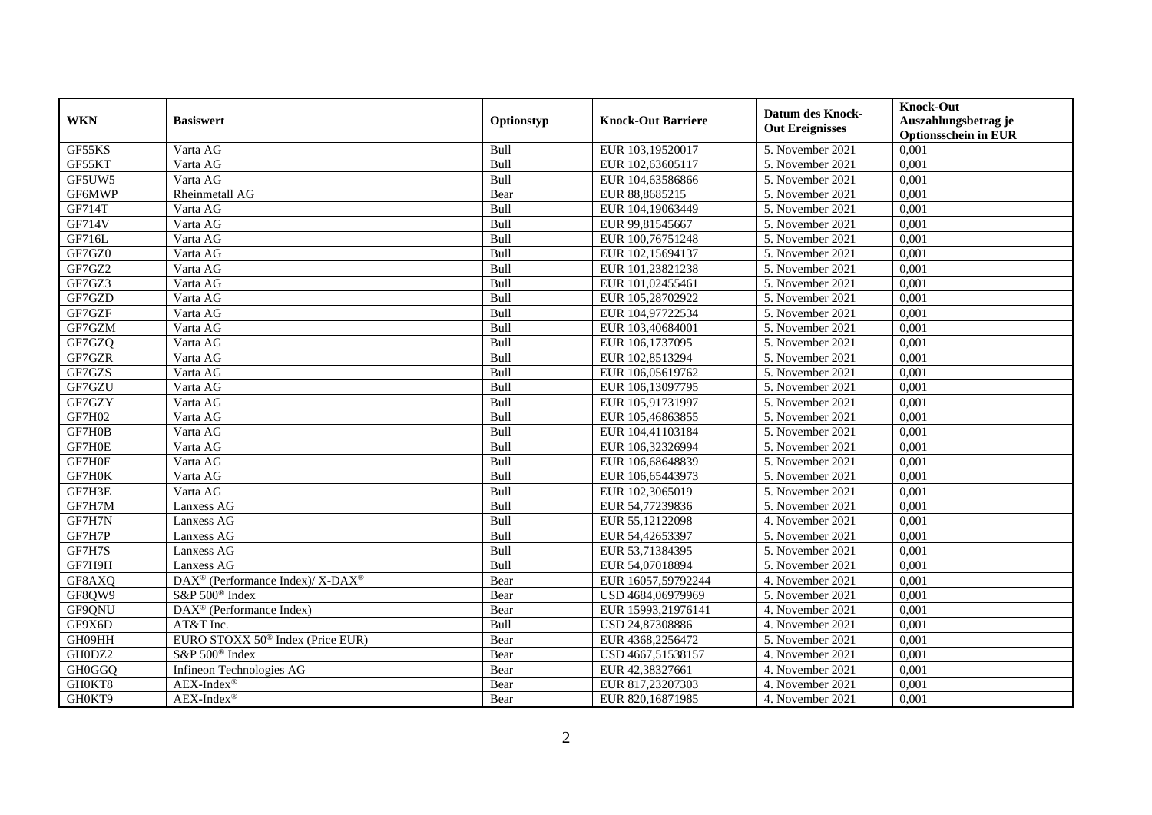|               |                                                          |             |                           | <b>Datum des Knock-</b>        | <b>Knock-Out</b>                                    |
|---------------|----------------------------------------------------------|-------------|---------------------------|--------------------------------|-----------------------------------------------------|
| <b>WKN</b>    | <b>Basiswert</b>                                         | Optionstyp  | <b>Knock-Out Barriere</b> | <b>Out Ereignisses</b>         | Auszahlungsbetrag je<br><b>Optionsschein in EUR</b> |
| GF55KS        | Varta AG                                                 | Bull        | EUR 103,19520017          | 5. November 2021               | 0,001                                               |
| GF55KT        | Varta AG                                                 | Bull        | EUR 102,63605117          | 5. November 2021               | 0,001                                               |
| GF5UW5        | Varta AG                                                 | Bull        | EUR 104,63586866          | 5. November 2021               | 0,001                                               |
| GF6MWP        | Rheinmetall AG                                           | Bear        | EUR 88,8685215            | 5. November 2021               | 0,001                                               |
| GF714T        | Varta AG                                                 | Bull        | EUR 104,19063449          | 5. November 2021               | 0,001                                               |
| GF714V        | Varta AG                                                 | Bull        | EUR 99,81545667           | 5. November 2021               | 0,001                                               |
| GF716L        | Varta AG                                                 | Bull        | EUR 100,76751248          | 5. November 2021               | 0,001                                               |
| GF7GZ0        | Varta AG                                                 | Bull        | EUR 102,15694137          | 5. November 2021               | 0,001                                               |
| GF7GZ2        | Varta AG                                                 | Bull        | EUR 101,23821238          | 5. November 2021               | 0,001                                               |
| GF7GZ3        | Varta AG                                                 | Bull        | EUR 101,02455461          | 5. November 2021               | 0,001                                               |
| GF7GZD        |                                                          | Bull        | EUR 105,28702922          | 5. November 2021               | 0,001                                               |
| GF7GZF        | Varta AG                                                 |             | EUR 104,97722534          |                                | 0,001                                               |
|               | Varta AG                                                 | Bull        |                           | $\overline{5}$ . November 2021 |                                                     |
| GF7GZM        | Varta AG                                                 | Bull        | EUR 103,40684001          | 5. November 2021               | 0,001                                               |
| GF7GZQ        | Varta AG                                                 | Bull        | EUR 106,1737095           | 5. November 2021               | 0,001                                               |
| GF7GZR        | Varta AG                                                 | Bull        | EUR 102,8513294           | 5. November 2021               | 0,001                                               |
| GF7GZS        | Varta AG                                                 | Bull        | EUR 106,05619762          | 5. November 2021               | 0,001                                               |
| GF7GZU        | Varta AG                                                 | Bull        | EUR 106,13097795          | 5. November 2021               | 0,001                                               |
| GF7GZY        | Varta AG                                                 | Bull        | EUR 105,91731997          | 5. November 2021               | 0.001                                               |
| <b>GF7H02</b> | Varta AG                                                 | Bull        | EUR 105,46863855          | 5. November 2021               | 0,001                                               |
| GF7H0B        | Varta AG                                                 | Bull        | EUR 104,41103184          | 5. November 2021               | 0,001                                               |
| GF7H0E        | Varta AG                                                 | Bull        | EUR 106,32326994          | 5. November 2021               | 0,001                                               |
| GF7H0F        | Varta AG                                                 | Bull        | EUR 106,68648839          | 5. November 2021               | 0,001                                               |
| GF7H0K        | Varta AG                                                 | Bull        | EUR 106,65443973          | 5. November 2021               | 0,001                                               |
| GF7H3E        | Varta AG                                                 | Bull        | EUR 102,3065019           | 5. November 2021               | 0,001                                               |
| GF7H7M        | Lanxess AG                                               | <b>Bull</b> | EUR 54,77239836           | 5. November 2021               | 0,001                                               |
| GF7H7N        | Lanxess AG                                               | Bull        | EUR 55,12122098           | 4. November 2021               | 0,001                                               |
| GF7H7P        | Lanxess AG                                               | Bull        | EUR 54,42653397           | 5. November 2021               | 0,001                                               |
| GF7H7S        | <b>Lanxess AG</b>                                        | Bull        | EUR 53,71384395           | 5. November 2021               | 0,001                                               |
| GF7H9H        | Lanxess AG                                               | Bull        | EUR 54,07018894           | 5. November 2021               | 0,001                                               |
| GF8AXQ        | DAX <sup>®</sup> (Performance Index)/ X-DAX <sup>®</sup> | Bear        | EUR 16057,59792244        | 4. November 2021               | 0,001                                               |
| GF8QW9        | S&P 500 <sup>®</sup> Index                               | Bear        | USD 4684,06979969         | 5. November 2021               | 0,001                                               |
| GF9QNU        | DAX <sup>®</sup> (Performance Index)                     | Bear        | EUR 15993,21976141        | 4. November 2021               | 0,001                                               |
| GF9X6D        | AT&T Inc.                                                | <b>Bull</b> | USD 24,87308886           | 4. November 2021               | 0,001                                               |
| GH09HH        | EURO STOXX 50 <sup>®</sup> Index (Price EUR)             | Bear        | EUR 4368,2256472          | 5. November 2021               | 0,001                                               |
| GH0DZ2        | S&P 500 <sup>®</sup> Index                               | Bear        | USD 4667,51538157         | 4. November 2021               | 0,001                                               |
| GH0GGQ        | Infineon Technologies AG                                 | Bear        | EUR 42,38327661           | 4. November 2021               | 0,001                                               |
| GH0KT8        | $AEX-Index^{\circledR}$                                  | Bear        | EUR 817,23207303          | 4. November 2021               | 0,001                                               |
| GH0KT9        | $AEX-Index^{\circledR}$                                  | Bear        | EUR 820,16871985          | 4. November 2021               | 0,001                                               |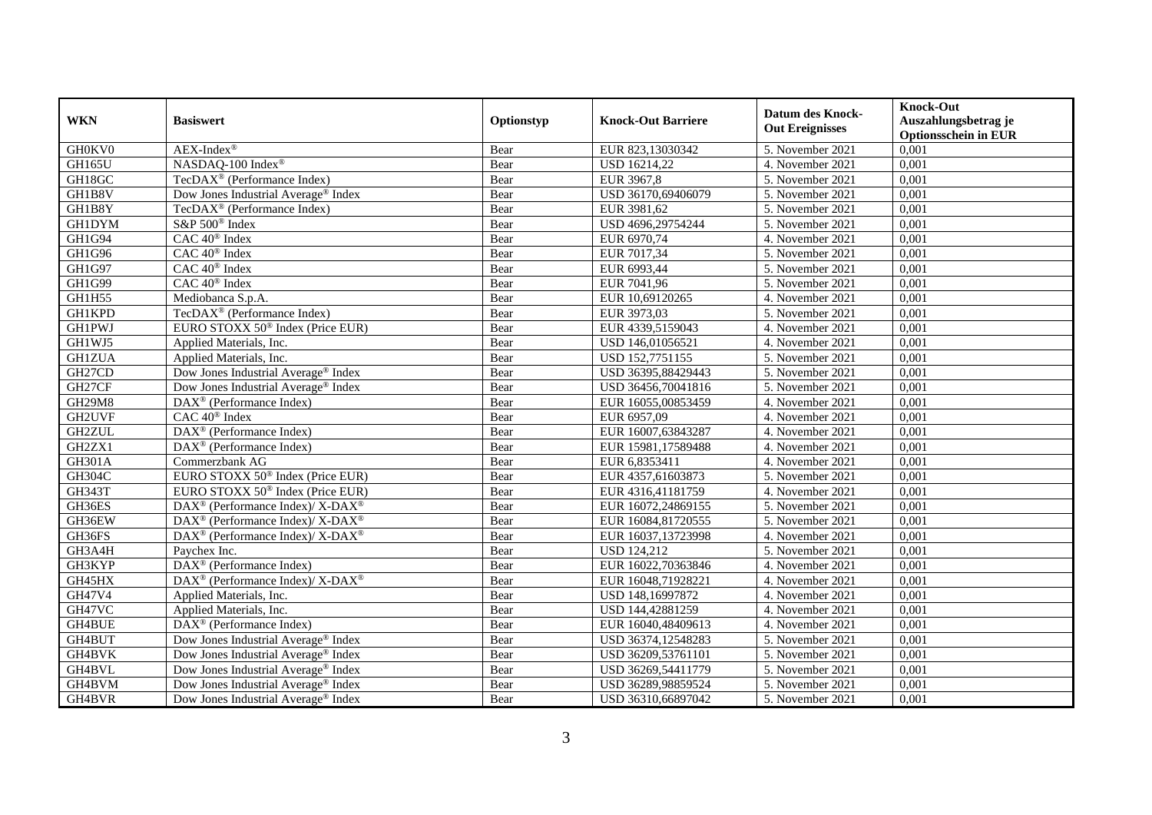|               | <b>Basiswert</b>                                                  |            |                           | <b>Datum des Knock-</b>        | <b>Knock-Out</b>                                    |
|---------------|-------------------------------------------------------------------|------------|---------------------------|--------------------------------|-----------------------------------------------------|
| <b>WKN</b>    |                                                                   | Optionstyp | <b>Knock-Out Barriere</b> | <b>Out Ereignisses</b>         | Auszahlungsbetrag je<br><b>Optionsschein in EUR</b> |
| GH0KV0        | $AEX-Index^{\circledR}$                                           | Bear       | EUR 823,13030342          | 5. November 2021               | 0,001                                               |
| GH165U        | NASDAQ-100 Index®                                                 | Bear       | <b>USD 16214,22</b>       | 4. November 2021               | 0,001                                               |
| GH18GC        | TecDAX <sup>®</sup> (Performance Index)                           | Bear       | EUR 3967,8                | 5. November 2021               | 0,001                                               |
| GH1B8V        | Dow Jones Industrial Average <sup>®</sup> Index                   | Bear       | USD 36170,69406079        | 5. November 2021               | 0,001                                               |
| GH1B8Y        | TecDAX <sup>®</sup> (Performance Index)                           | Bear       | EUR 3981,62               | 5. November 2021               | 0,001                                               |
| <b>GH1DYM</b> | S&P 500 <sup>®</sup> Index                                        | Bear       | USD 4696,29754244         | 5. November 2021               | 0,001                                               |
| GH1G94        | $CAC 40$ <sup>®</sup> Index                                       | Bear       | EUR 6970,74               | 4. November 2021               | 0,001                                               |
| GH1G96        | CAC 40 <sup>®</sup> Index                                         | Bear       | EUR 7017,34               | 5. November 2021               | 0,001                                               |
| GH1G97        | CAC 40 <sup>®</sup> Index                                         | Bear       | EUR 6993,44               | 5. November 2021               | 0,001                                               |
| GH1G99        | $CAC 40$ <sup>®</sup> Index                                       | Bear       | EUR 7041,96               | 5. November 2021               | 0,001                                               |
| <b>GH1H55</b> | Mediobanca S.p.A.                                                 | Bear       | EUR 10,69120265           | 4. November 2021               | 0,001                                               |
| <b>GH1KPD</b> | TecDAX <sup>®</sup> (Performance Index)                           | Bear       | EUR 3973,03               | $\overline{5}$ . November 2021 | 0,001                                               |
| <b>GH1PWJ</b> | EURO STOXX 50 <sup>®</sup> Index (Price EUR)                      | Bear       | EUR 4339,5159043          | 4. November 2021               | 0,001                                               |
| GH1WJ5        | Applied Materials, Inc.                                           | Bear       | USD 146,01056521          | 4. November 2021               | 0,001                                               |
| <b>GH1ZUA</b> | Applied Materials, Inc.                                           | Bear       | USD 152,7751155           | 5. November 2021               | 0,001                                               |
| GH27CD        | Dow Jones Industrial Average <sup>®</sup> Index                   | Bear       | USD 36395,88429443        | 5. November 2021               | 0,001                                               |
| GH27CF        | Dow Jones Industrial Average <sup>®</sup> Index                   | Bear       | USD 36456,70041816        | 5. November 2021               | 0,001                                               |
| <b>GH29M8</b> | $DAX^{\circledast}$ (Performance Index)                           | Bear       | EUR 16055,00853459        | 4. November 2021               | 0,001                                               |
| GH2UVF        | CAC 40 <sup>®</sup> Index                                         | Bear       | EUR 6957,09               | 4. November 2021               | 0,001                                               |
| <b>GH2ZUL</b> | DAX <sup>®</sup> (Performance Index)                              | Bear       | EUR 16007,63843287        | 4. November 2021               | 0,001                                               |
| GH2ZX1        | DAX <sup>®</sup> (Performance Index)                              | Bear       | EUR 15981,17589488        | 4. November 2021               | 0,001                                               |
| <b>GH301A</b> | Commerzbank AG                                                    | Bear       | EUR 6,8353411             | 4. November 2021               | 0,001                                               |
| <b>GH304C</b> | EURO STOXX 50 <sup>®</sup> Index (Price EUR)                      | Bear       | EUR 4357,61603873         | 5. November 2021               | 0,001                                               |
| GH343T        | EURO STOXX 50 <sup>®</sup> Index (Price EUR)                      | Bear       | EUR 4316,41181759         | 4. November 2021               | 0,001                                               |
| GH36ES        | $DAX^{\circledcirc}$ (Performance Index)/ X- $DAX^{\circledcirc}$ | Bear       | EUR 16072,24869155        | 5. November 2021               | 0,001                                               |
| GH36EW        | DAX <sup>®</sup> (Performance Index)/ X-DAX <sup>®</sup>          | Bear       | EUR 16084,81720555        | 5. November 2021               | 0,001                                               |
| GH36FS        | DAX <sup>®</sup> (Performance Index)/ X-DAX <sup>®</sup>          | Bear       | EUR 16037,13723998        | 4. November 2021               | 0,001                                               |
| GH3A4H        | Paychex Inc.                                                      | Bear       | <b>USD 124,212</b>        | 5. November 2021               | 0,001                                               |
| GH3KYP        | DAX <sup>®</sup> (Performance Index)                              | Bear       | EUR 16022,70363846        | 4. November 2021               | 0,001                                               |
| GH45HX        | DAX <sup>®</sup> (Performance Index)/ X-DAX <sup>®</sup>          | Bear       | EUR 16048,71928221        | 4. November 2021               | 0,001                                               |
| GH47V4        | Applied Materials, Inc.                                           | Bear       | USD 148,16997872          | 4. November 2021               | 0,001                                               |
| GH47VC        | Applied Materials, Inc.                                           | Bear       | USD 144,42881259          | 4. November 2021               | 0,001                                               |
| GH4BUE        | $\overline{\text{DAX}^{\otimes}}$ (Performance Index)             | Bear       | EUR 16040,48409613        | 4. November 2021               | 0,001                                               |
| GH4BUT        | Dow Jones Industrial Average® Index                               | Bear       | USD 36374,12548283        | 5. November 2021               | 0,001                                               |
| GH4BVK        | Dow Jones Industrial Average® Index                               | Bear       | USD 36209,53761101        | 5. November 2021               | 0,001                                               |
| GH4BVL        | Dow Jones Industrial Average® Index                               | Bear       | USD 36269,54411779        | 5. November 2021               | 0,001                                               |
| GH4BVM        | Dow Jones Industrial Average® Index                               | Bear       | USD 36289,98859524        | 5. November 2021               | 0,001                                               |
| GH4BVR        | Dow Jones Industrial Average <sup>®</sup> Index                   | Bear       | USD 36310,66897042        | 5. November 2021               | 0,001                                               |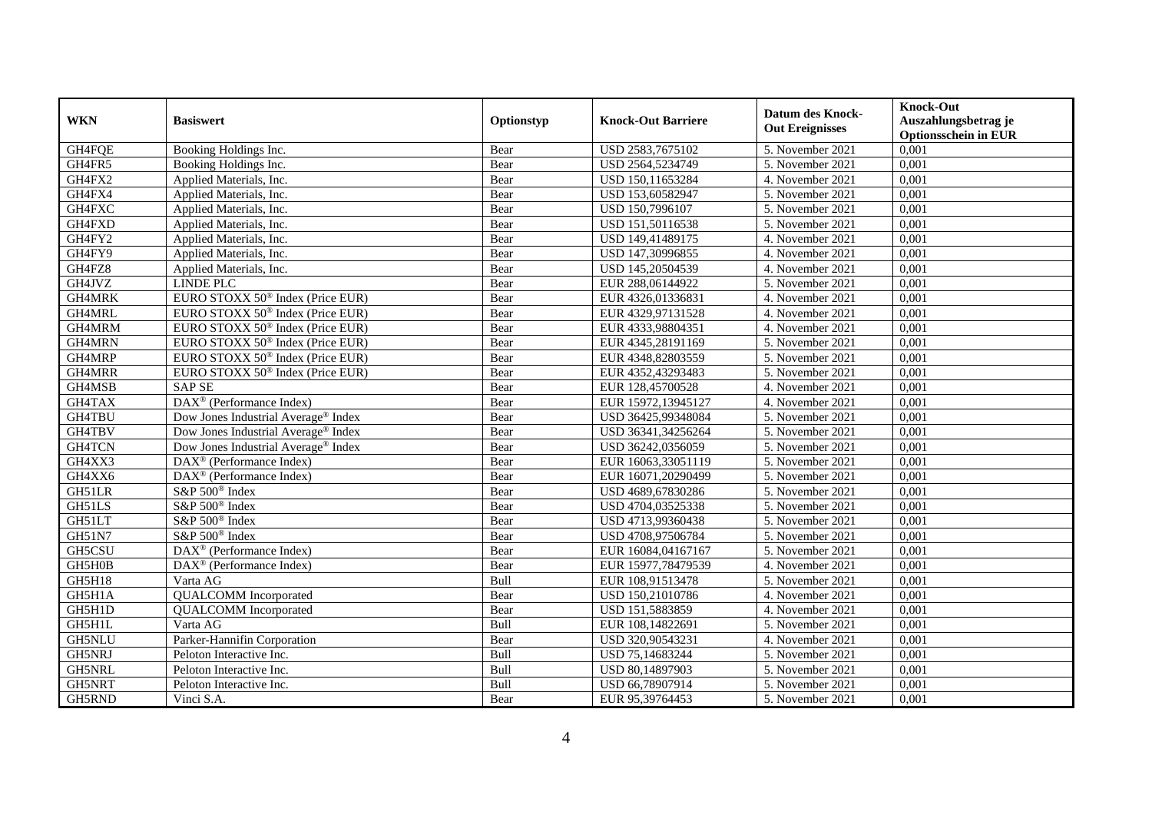| <b>WKN</b>    | <b>Basiswert</b>                                      | Optionstyp | <b>Knock-Out Barriere</b> | <b>Datum des Knock-</b><br><b>Out Ereignisses</b> | <b>Knock-Out</b><br>Auszahlungsbetrag je<br><b>Optionsschein in EUR</b> |
|---------------|-------------------------------------------------------|------------|---------------------------|---------------------------------------------------|-------------------------------------------------------------------------|
| GH4FQE        | Booking Holdings Inc.                                 | Bear       | USD 2583,7675102          | 5. November 2021                                  | 0,001                                                                   |
| GH4FR5        | Booking Holdings Inc.                                 | Bear       | USD 2564,5234749          | 5. November 2021                                  | 0,001                                                                   |
| GH4FX2        | Applied Materials, Inc.                               | Bear       | USD 150,11653284          | 4. November 2021                                  | 0,001                                                                   |
| GH4FX4        | Applied Materials, Inc.                               | Bear       | USD 153,60582947          | 5. November 2021                                  | 0,001                                                                   |
| GH4FXC        | Applied Materials, Inc.                               | Bear       | USD 150,7996107           | 5. November 2021                                  | 0,001                                                                   |
| GH4FXD        | Applied Materials, Inc.                               | Bear       | USD 151,50116538          | 5. November 2021                                  | 0,001                                                                   |
| GH4FY2        | Applied Materials, Inc.                               | Bear       | USD 149,41489175          | 4. November 2021                                  | 0,001                                                                   |
| GH4FY9        | Applied Materials, Inc.                               | Bear       | USD 147,30996855          | 4. November 2021                                  | 0,001                                                                   |
| GH4FZ8        | Applied Materials, Inc.                               | Bear       | USD 145,20504539          | 4. November 2021                                  | 0,001                                                                   |
| GH4JVZ        | <b>LINDE PLC</b>                                      | Bear       | EUR 288,06144922          | 5. November 2021                                  | 0,001                                                                   |
| GH4MRK        | EURO STOXX 50 <sup>®</sup> Index (Price EUR)          | Bear       | EUR 4326,01336831         | 4. November 2021                                  | 0,001                                                                   |
| GH4MRL        | EURO STOXX 50 <sup>®</sup> Index (Price EUR)          | Bear       | EUR 4329,97131528         | 4. November 2021                                  | 0,001                                                                   |
| GH4MRM        | EURO STOXX 50 <sup>®</sup> Index (Price EUR)          | Bear       | EUR 4333,98804351         | 4. November 2021                                  | 0,001                                                                   |
| <b>GH4MRN</b> | EURO STOXX 50 <sup>®</sup> Index (Price EUR)          | Bear       | EUR 4345,28191169         | 5. November 2021                                  | 0,001                                                                   |
| GH4MRP        | EURO STOXX 50 <sup>®</sup> Index (Price EUR)          | Bear       | EUR 4348,82803559         | 5. November 2021                                  | 0,001                                                                   |
| GH4MRR        | EURO STOXX 50 <sup>®</sup> Index (Price EUR)          | Bear       | EUR 4352,43293483         | 5. November 2021                                  | 0,001                                                                   |
| GH4MSB        | <b>SAP SE</b>                                         | Bear       | EUR 128,45700528          | 4. November 2021                                  | 0,001                                                                   |
| GH4TAX        | DAX <sup>®</sup> (Performance Index)                  | Bear       | EUR 15972,13945127        | 4. November 2021                                  | 0,001                                                                   |
| GH4TBU        | Dow Jones Industrial Average® Index                   | Bear       | USD 36425,99348084        | 5. November 2021                                  | 0,001                                                                   |
| GH4TBV        | Dow Jones Industrial Average® Index                   | Bear       | USD 36341,34256264        | 5. November 2021                                  | 0,001                                                                   |
| GH4TCN        | Dow Jones Industrial Average <sup>®</sup> Index       | Bear       | USD 36242,0356059         | 5. November 2021                                  | 0,001                                                                   |
| GH4XX3        | DAX <sup>®</sup> (Performance Index)                  | Bear       | EUR 16063,33051119        | 5. November 2021                                  | 0,001                                                                   |
| GH4XX6        | DAX <sup>®</sup> (Performance Index)                  | Bear       | EUR 16071,20290499        | 5. November 2021                                  | 0,001                                                                   |
| GH51LR        | S&P 500 <sup>®</sup> Index                            | Bear       | USD 4689,67830286         | 5. November 2021                                  | 0,001                                                                   |
| GH51LS        | S&P 500 <sup>®</sup> Index                            | Bear       | USD 4704,03525338         | 5. November 2021                                  | 0,001                                                                   |
| GH51LT        | S&P 500 <sup>®</sup> Index                            | Bear       | USD 4713,99360438         | 5. November 2021                                  | 0,001                                                                   |
| GH51N7        | S&P 500 <sup>®</sup> Index                            | Bear       | USD 4708,97506784         | 5. November 2021                                  | 0,001                                                                   |
| GH5CSU        | $\overline{\text{DAX}^{\otimes}}$ (Performance Index) | Bear       | EUR 16084,04167167        | 5. November 2021                                  | 0,001                                                                   |
| GH5H0B        | DAX <sup>®</sup> (Performance Index)                  | Bear       | EUR 15977,78479539        | 4. November 2021                                  | 0,001                                                                   |
| <b>GH5H18</b> | Varta AG                                              | Bull       | EUR 108,91513478          | 5. November 2021                                  | 0,001                                                                   |
| GH5H1A        | <b>QUALCOMM</b> Incorporated                          | Bear       | USD 150,21010786          | 4. November 2021                                  | 0,001                                                                   |
| GH5H1D        | <b>QUALCOMM</b> Incorporated                          | Bear       | USD 151,5883859           | 4. November 2021                                  | 0,001                                                                   |
| GH5H1L        | Varta AG                                              | Bull       | EUR 108,14822691          | 5. November 2021                                  | 0,001                                                                   |
| GH5NLU        | Parker-Hannifin Corporation                           | Bear       | USD 320,90543231          | 4. November 2021                                  | 0,001                                                                   |
| GH5NRJ        | Peloton Interactive Inc.                              | Bull       | USD 75,14683244           | 5. November 2021                                  | 0,001                                                                   |
| GH5NRL        | Peloton Interactive Inc.                              | Bull       | USD 80,14897903           | 5. November 2021                                  | 0,001                                                                   |
| GH5NRT        | Peloton Interactive Inc.                              | Bull       | USD 66,78907914           | 5. November 2021                                  | 0,001                                                                   |
| GH5RND        | Vinci S.A.                                            | Bear       | EUR 95,39764453           | 5. November 2021                                  | 0,001                                                                   |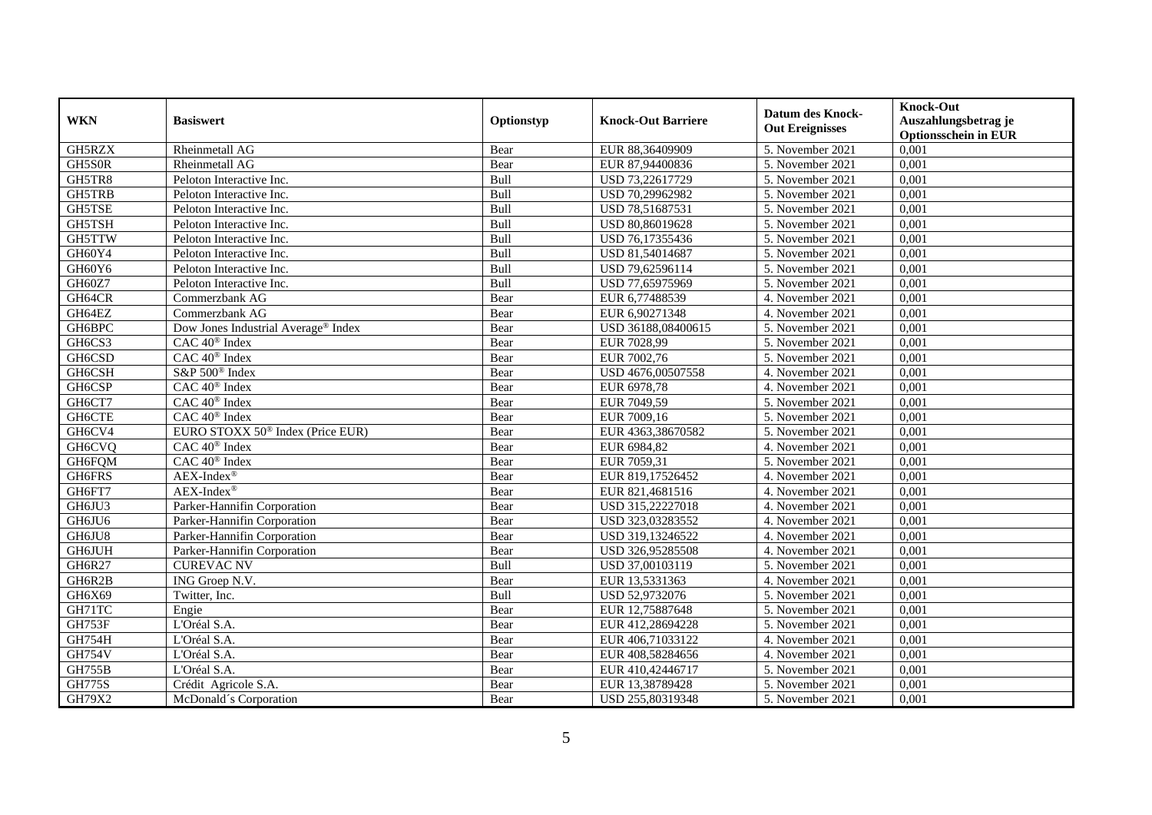|               |                                              |            |                           | <b>Datum des Knock-</b> | <b>Knock-Out</b>            |
|---------------|----------------------------------------------|------------|---------------------------|-------------------------|-----------------------------|
| <b>WKN</b>    | <b>Basiswert</b>                             | Optionstyp | <b>Knock-Out Barriere</b> | <b>Out Ereignisses</b>  | Auszahlungsbetrag je        |
|               |                                              |            |                           |                         | <b>Optionsschein in EUR</b> |
| GH5RZX        | Rheinmetall AG                               | Bear       | EUR 88,36409909           | 5. November 2021        | 0,001                       |
| GH5S0R        | Rheinmetall AG                               | Bear       | EUR 87,94400836           | 5. November 2021        | 0,001                       |
| GH5TR8        | Peloton Interactive Inc.                     | Bull       | USD 73,22617729           | 5. November 2021        | 0,001                       |
| GH5TRB        | Peloton Interactive Inc.                     | Bull       | USD 70,29962982           | 5. November 2021        | 0,001                       |
| GH5TSE        | Peloton Interactive Inc.                     | Bull       | USD 78,51687531           | 5. November 2021        | 0,001                       |
| GH5TSH        | Peloton Interactive Inc.                     | Bull       | USD 80,86019628           | 5. November 2021        | 0,001                       |
| GH5TTW        | Peloton Interactive Inc.                     | Bull       | USD 76,17355436           | 5. November 2021        | 0,001                       |
| GH60Y4        | Peloton Interactive Inc.                     | Bull       | USD 81,54014687           | 5. November 2021        | 0,001                       |
| GH60Y6        | Peloton Interactive Inc.                     | Bull       | USD 79,62596114           | 5. November 2021        | 0,001                       |
| GH60Z7        | Peloton Interactive Inc.                     | Bull       | USD 77,65975969           | 5. November 2021        | 0,001                       |
| GH64CR        | Commerzbank AG                               | Bear       | EUR 6,77488539            | 4. November 2021        | 0,001                       |
| GH64EZ        | Commerzbank AG                               | Bear       | EUR 6,90271348            | 4. November 2021        | 0,001                       |
| GH6BPC        | Dow Jones Industrial Average® Index          | Bear       | USD 36188,08400615        | 5. November 2021        | 0,001                       |
| GH6CS3        | CAC 40 <sup>®</sup> Index                    | Bear       | EUR 7028,99               | 5. November 2021        | 0,001                       |
| GH6CSD        | $CAC 40$ <sup>®</sup> Index                  | Bear       | EUR 7002,76               | 5. November 2021        | 0,001                       |
| GH6CSH        | S&P 500 <sup>®</sup> Index                   | Bear       | USD 4676,00507558         | 4. November 2021        | 0,001                       |
| GH6CSP        | CAC 40 <sup>®</sup> Index                    | Bear       | EUR 6978,78               | 4. November 2021        | 0,001                       |
| GH6CT7        | $CAC 40$ <sup>®</sup> Index                  | Bear       | EUR 7049.59               | 5. November 2021        | 0.001                       |
| <b>GH6CTE</b> | CAC 40 <sup>®</sup> Index                    | Bear       | EUR 7009,16               | 5. November 2021        | 0,001                       |
| GH6CV4        | EURO STOXX 50 <sup>®</sup> Index (Price EUR) | Bear       | EUR 4363,38670582         | 5. November 2021        | 0,001                       |
| GH6CVQ        | CAC 40 <sup>®</sup> Index                    | Bear       | EUR 6984,82               | 4. November 2021        | 0,001                       |
| GH6FQM        | CAC 40 <sup>®</sup> Index                    | Bear       | EUR 7059,31               | 5. November 2021        | 0,001                       |
| GH6FRS        | $AEX-Index^{\circledR}$                      | Bear       | EUR 819,17526452          | 4. November 2021        | 0,001                       |
| GH6FT7        | $AEX-Index^{\circledR}$                      | Bear       | EUR 821,4681516           | 4. November 2021        | 0,001                       |
| GH6JU3        | Parker-Hannifin Corporation                  | Bear       | USD 315,22227018          | 4. November 2021        | 0,001                       |
| GH6JU6        | Parker-Hannifin Corporation                  | Bear       | USD 323,03283552          | 4. November 2021        | 0,001                       |
| GH6JU8        | Parker-Hannifin Corporation                  | Bear       | USD 319,13246522          | 4. November 2021        | 0,001                       |
| GH6JUH        | Parker-Hannifin Corporation                  | Bear       | USD 326,95285508          | 4. November 2021        | 0,001                       |
| GH6R27        | <b>CUREVAC NV</b>                            | Bull       | USD 37,00103119           | 5. November 2021        | 0,001                       |
| GH6R2B        | ING Groep N.V.                               | Bear       | EUR 13,5331363            | 4. November 2021        | 0,001                       |
| GH6X69        | Twitter, Inc.                                | Bull       | USD 52,9732076            | 5. November 2021        | 0,001                       |
| GH71TC        | Engie                                        | Bear       | EUR 12,75887648           | 5. November 2021        | 0,001                       |
| GH753F        | L'Oréal S.A.                                 | Bear       | EUR 412,28694228          | 5. November 2021        | 0,001                       |
| <b>GH754H</b> | L'Oréal S.A.                                 | Bear       | EUR 406,71033122          | 4. November 2021        | 0,001                       |
| <b>GH754V</b> | L'Oréal S.A.                                 | Bear       | EUR 408,58284656          | 4. November 2021        | 0,001                       |
| <b>GH755B</b> | L'Oréal S.A.                                 | Bear       | EUR 410,42446717          | 5. November 2021        | 0,001                       |
| <b>GH775S</b> | Crédit Agricole S.A.                         | Bear       | EUR 13,38789428           | 5. November 2021        | 0,001                       |
| GH79X2        | McDonald's Corporation                       | Bear       | USD 255,80319348          | 5. November 2021        | 0,001                       |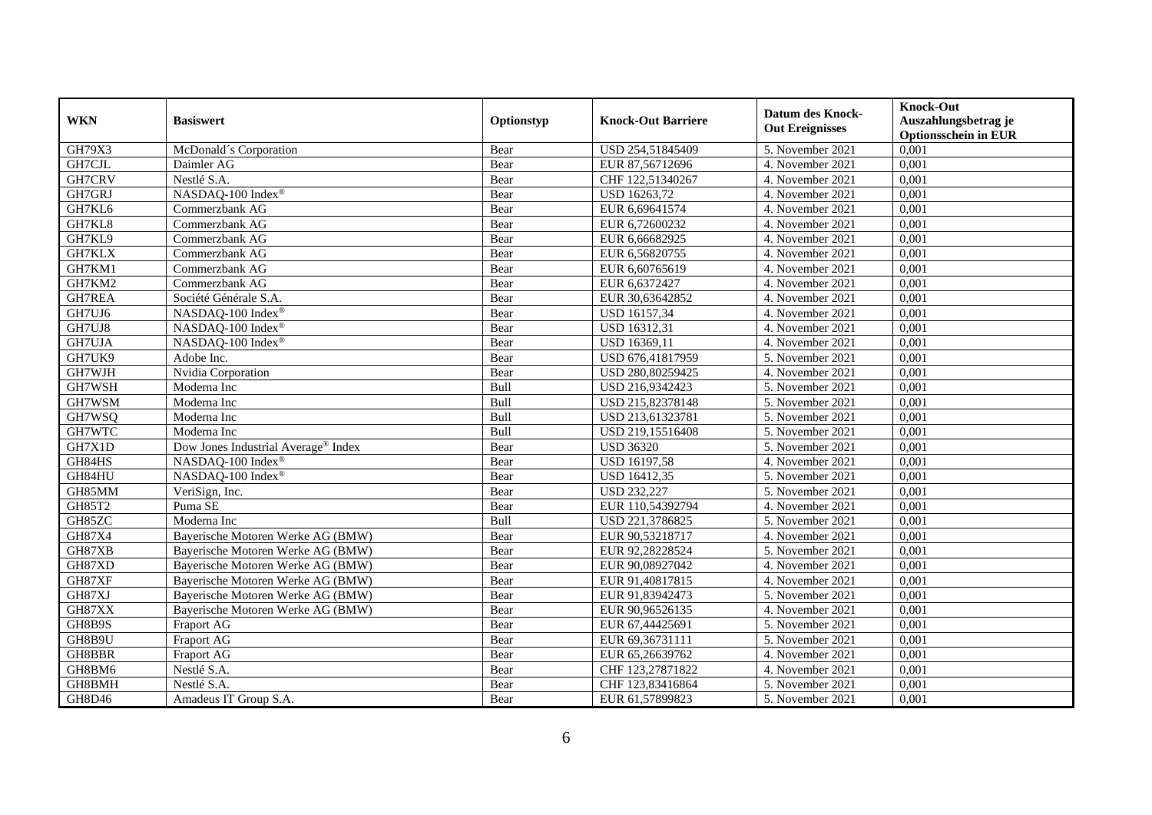|            | <b>Basiswert</b>                    | Optionstyp  |                           | <b>Datum des Knock-</b> | <b>Knock-Out</b>                                    |
|------------|-------------------------------------|-------------|---------------------------|-------------------------|-----------------------------------------------------|
| <b>WKN</b> |                                     |             | <b>Knock-Out Barriere</b> | <b>Out Ereignisses</b>  | Auszahlungsbetrag je<br><b>Optionsschein in EUR</b> |
| GH79X3     | McDonald's Corporation              | Bear        | USD 254,51845409          | 5. November 2021        | 0,001                                               |
| GH7CJL     | Daimler AG                          | Bear        | EUR 87,56712696           | 4. November 2021        | 0,001                                               |
| GH7CRV     | Nestlé S.A.                         | Bear        | CHF 122,51340267          | 4. November 2021        | 0,001                                               |
| GH7GRJ     | NASDAQ-100 Index®                   | Bear        | USD 16263,72              | 4. November 2021        | 0,001                                               |
| GH7KL6     | Commerzbank AG                      | Bear        | EUR 6,69641574            | 4. November 2021        | 0,001                                               |
| GH7KL8     | Commerzbank AG                      | Bear        | EUR 6,72600232            | 4. November 2021        | 0,001                                               |
| GH7KL9     | Commerzbank AG                      | Bear        | EUR 6,66682925            | 4. November 2021        | 0,001                                               |
| GH7KLX     | Commerzbank AG                      | Bear        | EUR 6,56820755            | 4. November 2021        | 0,001                                               |
| GH7KM1     | Commerzbank AG                      | Bear        | EUR 6,60765619            | 4. November 2021        | 0,001                                               |
| GH7KM2     | Commerzbank AG                      | Bear        | EUR 6,6372427             | 4. November 2021        | 0,001                                               |
| GH7REA     | Société Générale S.A.               | Bear        | EUR 30,63642852           | 4. November 2021        | 0,001                                               |
| GH7UJ6     | NASDAQ-100 Index®                   | Bear        | USD 16157,34              | 4. November 2021        | 0,001                                               |
| GH7UJ8     | NASDAQ-100 Index®                   | Bear        | USD 16312,31              | 4. November 2021        | 0,001                                               |
| GH7UJA     | NASDAQ-100 Index®                   | Bear        | USD 16369,11              | 4. November 2021        | 0,001                                               |
| GH7UK9     | Adobe Inc.                          | Bear        | USD 676,41817959          | 5. November 2021        | 0,001                                               |
| GH7WJH     | Nvidia Corporation                  | Bear        | USD 280,80259425          | 4. November 2021        | 0,001                                               |
| GH7WSH     | Moderna Inc                         | Bull        | USD 216,9342423           | 5. November 2021        | 0,001                                               |
| GH7WSM     | Moderna Inc                         | <b>Bull</b> | USD 215,82378148          | 5. November 2021        | 0,001                                               |
| GH7WSQ     | Moderna Inc                         | Bull        | USD 213,61323781          | 5. November 2021        | 0,001                                               |
| GH7WTC     | Moderna Inc                         | Bull        | USD 219,15516408          | 5. November 2021        | 0,001                                               |
| GH7X1D     | Dow Jones Industrial Average® Index | Bear        | <b>USD 36320</b>          | 5. November 2021        | 0,001                                               |
| GH84HS     | NASDAQ-100 Index®                   | Bear        | <b>USD 16197,58</b>       | 4. November 2021        | 0,001                                               |
| GH84HU     | NASDAQ-100 Index®                   | Bear        | USD 16412,35              | 5. November 2021        | 0,001                                               |
| GH85MM     | VeriSign, Inc.                      | Bear        | <b>USD 232,227</b>        | 5. November 2021        | 0,001                                               |
| GH85T2     | Puma SE                             | Bear        | EUR 110,54392794          | 4. November 2021        | 0,001                                               |
| GH85ZC     | Moderna Inc                         | Bull        | USD 221,3786825           | 5. November 2021        | 0,001                                               |
| GH87X4     | Bayerische Motoren Werke AG (BMW)   | Bear        | EUR 90,53218717           | 4. November 2021        | 0,001                                               |
| GH87XB     | Bayerische Motoren Werke AG (BMW)   | Bear        | EUR 92,28228524           | 5. November 2021        | 0,001                                               |
| GH87XD     | Bayerische Motoren Werke AG (BMW)   | Bear        | EUR 90,08927042           | 4. November 2021        | 0,001                                               |
| GH87XF     | Bayerische Motoren Werke AG (BMW)   | Bear        | EUR 91,40817815           | 4. November 2021        | 0,001                                               |
| GH87XJ     | Bayerische Motoren Werke AG (BMW)   | Bear        | EUR 91,83942473           | 5. November 2021        | 0,001                                               |
| GH87XX     | Bayerische Motoren Werke AG (BMW)   | Bear        | EUR 90,96526135           | 4. November 2021        | 0,001                                               |
| GH8B9S     | Fraport AG                          | Bear        | EUR 67,44425691           | 5. November 2021        | 0,001                                               |
| GH8B9U     | Fraport AG                          | Bear        | EUR 69,36731111           | 5. November 2021        | 0,001                                               |
| GH8BBR     | Fraport AG                          | Bear        | EUR 65,26639762           | 4. November 2021        | 0,001                                               |
| GH8BM6     | Nestlé S.A.                         | Bear        | CHF 123,27871822          | 4. November 2021        | 0,001                                               |
| GH8BMH     | Nestlé S.A.                         | Bear        | CHF 123,83416864          | 5. November 2021        | 0,001                                               |
| GH8D46     | Amadeus IT Group S.A.               | Bear        | EUR 61,57899823           | 5. November 2021        | 0,001                                               |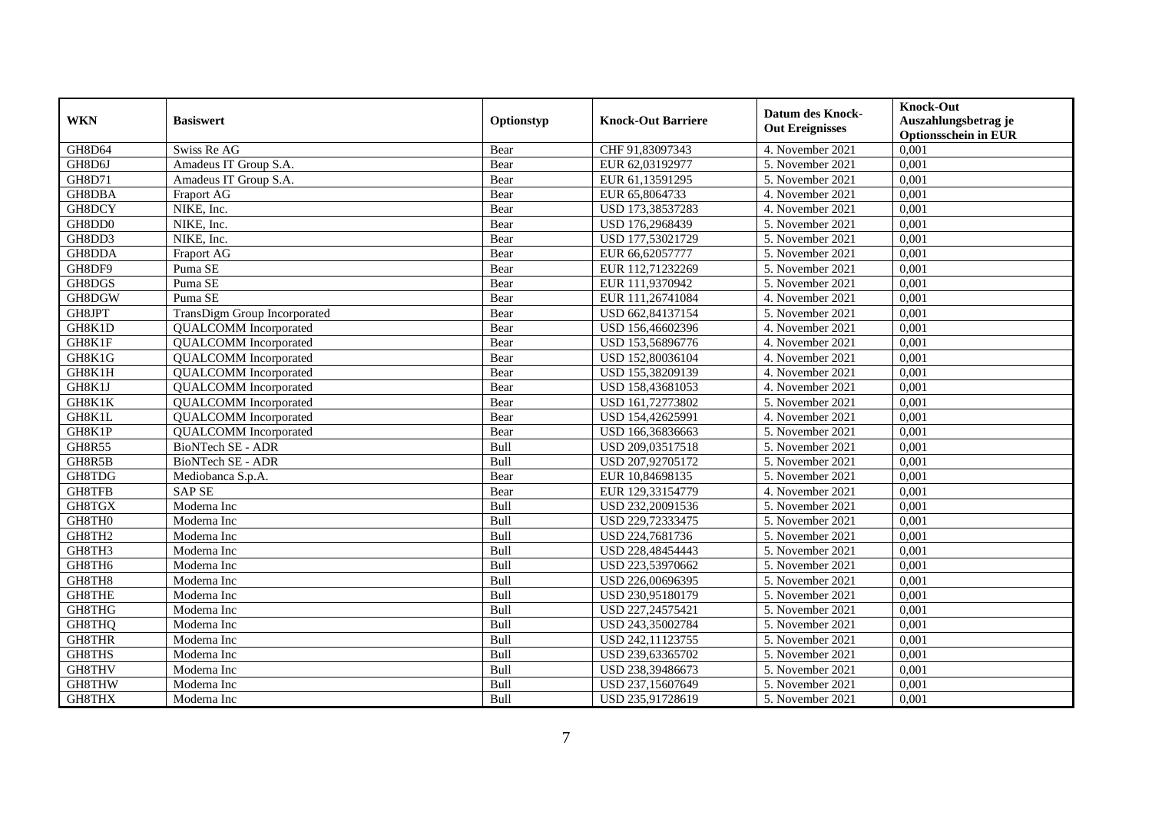|               |                              |             |                           | <b>Datum des Knock-</b> | <b>Knock-Out</b>                                    |
|---------------|------------------------------|-------------|---------------------------|-------------------------|-----------------------------------------------------|
| <b>WKN</b>    | <b>Basiswert</b>             | Optionstyp  | <b>Knock-Out Barriere</b> | <b>Out Ereignisses</b>  | Auszahlungsbetrag je<br><b>Optionsschein in EUR</b> |
| <b>GH8D64</b> | Swiss Re AG                  | Bear        | CHF 91,83097343           | 4. November 2021        | 0,001                                               |
| GH8D6J        | Amadeus IT Group S.A.        | Bear        | EUR 62,03192977           | 5. November 2021        | 0,001                                               |
| GH8D71        | Amadeus IT Group S.A.        | Bear        | EUR 61,13591295           | 5. November 2021        | 0,001                                               |
| GH8DBA        | Fraport AG                   | Bear        | EUR 65,8064733            | 4. November 2021        | 0,001                                               |
| GH8DCY        | NIKE, Inc.                   | Bear        | USD 173,38537283          | 4. November 2021        | 0,001                                               |
| GH8DD0        | NIKE, Inc.                   | Bear        | USD 176,2968439           | 5. November 2021        | 0,001                                               |
| GH8DD3        | NIKE, Inc.                   | Bear        | USD 177,53021729          | 5. November 2021        | 0.001                                               |
| GH8DDA        | Fraport AG                   | Bear        | EUR 66,62057777           | 5. November 2021        | 0,001                                               |
| GH8DF9        | Puma SE                      | Bear        | EUR 112,71232269          | 5. November 2021        | 0,001                                               |
| GH8DGS        | Puma SE                      | Bear        | EUR 111,9370942           | 5. November 2021        | 0,001                                               |
| GH8DGW        | Puma SE                      | Bear        | EUR 111,26741084          | 4. November 2021        | 0,001                                               |
| GH8JPT        | TransDigm Group Incorporated | Bear        | USD 662,84137154          | 5. November 2021        | 0,001                                               |
| GH8K1D        | <b>QUALCOMM</b> Incorporated | Bear        | USD 156,46602396          | 4. November 2021        | 0,001                                               |
| GH8K1F        | <b>QUALCOMM</b> Incorporated | Bear        | USD 153,56896776          | 4. November 2021        | 0,001                                               |
| GH8K1G        | <b>QUALCOMM</b> Incorporated | Bear        | USD 152,80036104          | 4. November 2021        | 0,001                                               |
| GH8K1H        | <b>QUALCOMM</b> Incorporated | Bear        | USD 155,38209139          | 4. November 2021        | 0,001                                               |
| GH8K1J        | <b>QUALCOMM</b> Incorporated | Bear        | USD 158,43681053          | 4. November 2021        | 0,001                                               |
| GH8K1K        | <b>QUALCOMM</b> Incorporated | Bear        | USD 161,72773802          | 5. November 2021        | 0,001                                               |
| GH8K1L        | <b>QUALCOMM</b> Incorporated | Bear        | USD 154,42625991          | 4. November 2021        | 0,001                                               |
| GH8K1P        | <b>QUALCOMM</b> Incorporated | Bear        | USD 166,36836663          | 5. November 2021        | 0,001                                               |
| <b>GH8R55</b> | <b>BioNTech SE - ADR</b>     | Bull        | USD 209,03517518          | 5. November 2021        | 0,001                                               |
| GH8R5B        | <b>BioNTech SE - ADR</b>     | <b>Bull</b> | USD 207,92705172          | 5. November 2021        | 0,001                                               |
| GH8TDG        | Mediobanca S.p.A.            | Bear        | EUR 10,84698135           | 5. November 2021        | 0,001                                               |
| GH8TFB        | <b>SAP SE</b>                | Bear        | EUR 129,33154779          | 4. November 2021        | 0,001                                               |
| GH8TGX        | Moderna Inc                  | Bull        | USD 232,20091536          | 5. November 2021        | 0,001                                               |
| GH8TH0        | Moderna Inc                  | Bull        | USD 229,72333475          | 5. November 2021        | 0,001                                               |
| GH8TH2        | Moderna Inc                  | Bull        | USD 224,7681736           | 5. November 2021        | 0,001                                               |
| GH8TH3        | Moderna Inc                  | Bull        | USD 228,48454443          | 5. November 2021        | 0,001                                               |
| GH8TH6        | Moderna Inc                  | Bull        | USD 223,53970662          | 5. November 2021        | 0,001                                               |
| GH8TH8        | Moderna Inc                  | Bull        | USD 226,00696395          | 5. November 2021        | 0,001                                               |
| <b>GH8THE</b> | Moderna Inc                  | Bull        | USD 230,95180179          | 5. November 2021        | 0,001                                               |
| GH8THG        | Moderna Inc                  | Bull        | USD 227,24575421          | 5. November 2021        | 0,001                                               |
| GH8THQ        | Moderna Inc                  | Bull        | USD 243,35002784          | 5. November 2021        | 0,001                                               |
| GH8THR        | Moderna Inc                  | Bull        | USD 242,11123755          | 5. November 2021        | 0,001                                               |
| GH8THS        | Moderna Inc                  | Bull        | USD 239,63365702          | 5. November 2021        | 0,001                                               |
| GH8THV        | Moderna Inc                  | Bull        | USD 238,39486673          | 5. November 2021        | 0,001                                               |
| GH8THW        | Moderna Inc                  | Bull        | USD 237,15607649          | 5. November 2021        | 0,001                                               |
| GH8THX        | Moderna Inc                  | Bull        | USD 235,91728619          | 5. November 2021        | 0,001                                               |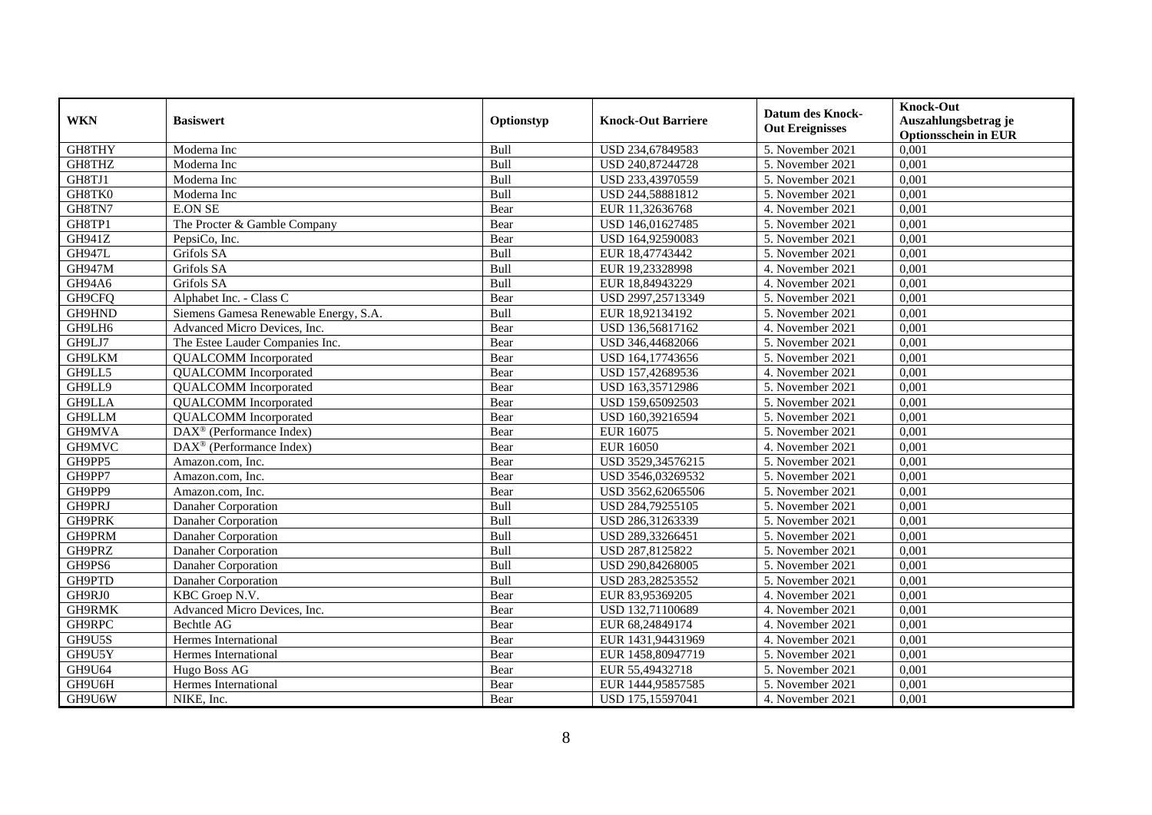| <b>WKN</b>    | <b>Basiswert</b>                      | Optionstyp | <b>Knock-Out Barriere</b> | <b>Datum des Knock-</b><br><b>Out Ereignisses</b> | <b>Knock-Out</b><br>Auszahlungsbetrag je<br><b>Optionsschein in EUR</b> |
|---------------|---------------------------------------|------------|---------------------------|---------------------------------------------------|-------------------------------------------------------------------------|
| GH8THY        | Moderna Inc                           | Bull       | USD 234,67849583          | 5. November 2021                                  | 0,001                                                                   |
| GH8THZ        | Moderna Inc                           | Bull       | USD 240,87244728          | 5. November 2021                                  | 0,001                                                                   |
| GH8TJ1        | Moderna Inc                           | Bull       | USD 233,43970559          | 5. November 2021                                  | 0,001                                                                   |
| GH8TK0        | Moderna Inc                           | Bull       | USD 244,58881812          | 5. November 2021                                  | 0,001                                                                   |
| GH8TN7        | <b>E.ON SE</b>                        | Bear       | EUR 11,32636768           | 4. November 2021                                  | 0,001                                                                   |
| GH8TP1        | The Procter & Gamble Company          | Bear       | USD 146,01627485          | 5. November 2021                                  | 0,001                                                                   |
| GH941Z        | PepsiCo, Inc.                         | Bear       | USD 164,92590083          | 5. November 2021                                  | 0,001                                                                   |
| <b>GH947L</b> | Grifols SA                            | Bull       | EUR 18,47743442           | 5. November 2021                                  | 0,001                                                                   |
| <b>GH947M</b> | Grifols SA                            | Bull       | EUR 19,23328998           | 4. November 2021                                  | 0,001                                                                   |
| GH94A6        | Grifols SA                            | Bull       | EUR 18,84943229           | 4. November 2021                                  | 0,001                                                                   |
| GH9CFQ        | Alphabet Inc. - Class C               | Bear       | USD 2997,25713349         | 5. November 2021                                  | 0,001                                                                   |
| GH9HND        | Siemens Gamesa Renewable Energy, S.A. | Bull       | EUR 18,92134192           | 5. November 2021                                  | 0,001                                                                   |
| GH9LH6        | Advanced Micro Devices, Inc.          | Bear       | USD 136,56817162          | 4. November 2021                                  | 0,001                                                                   |
| GH9LJ7        | The Estee Lauder Companies Inc.       | Bear       | USD 346,44682066          | 5. November 2021                                  | 0,001                                                                   |
| GH9LKM        | <b>QUALCOMM</b> Incorporated          | Bear       | USD 164,17743656          | 5. November 2021                                  | 0,001                                                                   |
| GH9LL5        | <b>QUALCOMM</b> Incorporated          | Bear       | USD 157,42689536          | 4. November 2021                                  | 0,001                                                                   |
| GH9LL9        | <b>QUALCOMM</b> Incorporated          | Bear       | USD 163,35712986          | 5. November 2021                                  | 0,001                                                                   |
| <b>GH9LLA</b> | <b>QUALCOMM</b> Incorporated          | Bear       | USD 159,65092503          | 5. November 2021                                  | 0,001                                                                   |
| GH9LLM        | <b>QUALCOMM</b> Incorporated          | Bear       | USD 160,39216594          | 5. November 2021                                  | 0,001                                                                   |
| GH9MVA        | DAX <sup>®</sup> (Performance Index)  | Bear       | EUR 16075                 | 5. November 2021                                  | 0,001                                                                   |
| GH9MVC        | DAX <sup>®</sup> (Performance Index)  | Bear       | <b>EUR 16050</b>          | 4. November 2021                                  | 0,001                                                                   |
| GH9PP5        | Amazon.com, Inc.                      | Bear       | USD 3529,34576215         | 5. November 2021                                  | 0,001                                                                   |
| GH9PP7        | Amazon.com. Inc.                      | Bear       | USD 3546,03269532         | 5. November 2021                                  | 0,001                                                                   |
| GH9PP9        | Amazon.com. Inc.                      | Bear       | USD 3562,62065506         | 5. November 2021                                  | 0,001                                                                   |
| GH9PRJ        | Danaher Corporation                   | Bull       | USD 284,79255105          | 5. November 2021                                  | 0,001                                                                   |
| GH9PRK        | Danaher Corporation                   | Bull       | USD 286,31263339          | 5. November 2021                                  | 0,001                                                                   |
| GH9PRM        | Danaher Corporation                   | Bull       | USD 289,33266451          | 5. November 2021                                  | 0,001                                                                   |
| GH9PRZ        | Danaher Corporation                   | Bull       | USD 287,8125822           | 5. November 2021                                  | 0,001                                                                   |
| GH9PS6        | Danaher Corporation                   | Bull       | USD 290,84268005          | 5. November 2021                                  | 0,001                                                                   |
| GH9PTD        | Danaher Corporation                   | Bull       | USD 283,28253552          | 5. November 2021                                  | 0,001                                                                   |
| GH9RJ0        | KBC Groep N.V.                        | Bear       | EUR 83,95369205           | 4. November 2021                                  | 0,001                                                                   |
| <b>GH9RMK</b> | Advanced Micro Devices, Inc.          | Bear       | USD 132,71100689          | 4. November 2021                                  | 0,001                                                                   |
| GH9RPC        | Bechtle AG                            | Bear       | EUR 68,24849174           | 4. November 2021                                  | 0,001                                                                   |
| GH9U5S        | Hermes International                  | Bear       | EUR 1431,94431969         | 4. November 2021                                  | 0,001                                                                   |
| GH9U5Y        | Hermes International                  | Bear       | EUR 1458,80947719         | 5. November 2021                                  | 0,001                                                                   |
| GH9U64        | Hugo Boss AG                          | Bear       | EUR 55,49432718           | 5. November 2021                                  | 0,001                                                                   |
| GH9U6H        | Hermes International                  | Bear       | EUR 1444,95857585         | 5. November 2021                                  | 0,001                                                                   |
| GH9U6W        | NIKE, Inc.                            | Bear       | USD 175,15597041          | 4. November 2021                                  | 0,001                                                                   |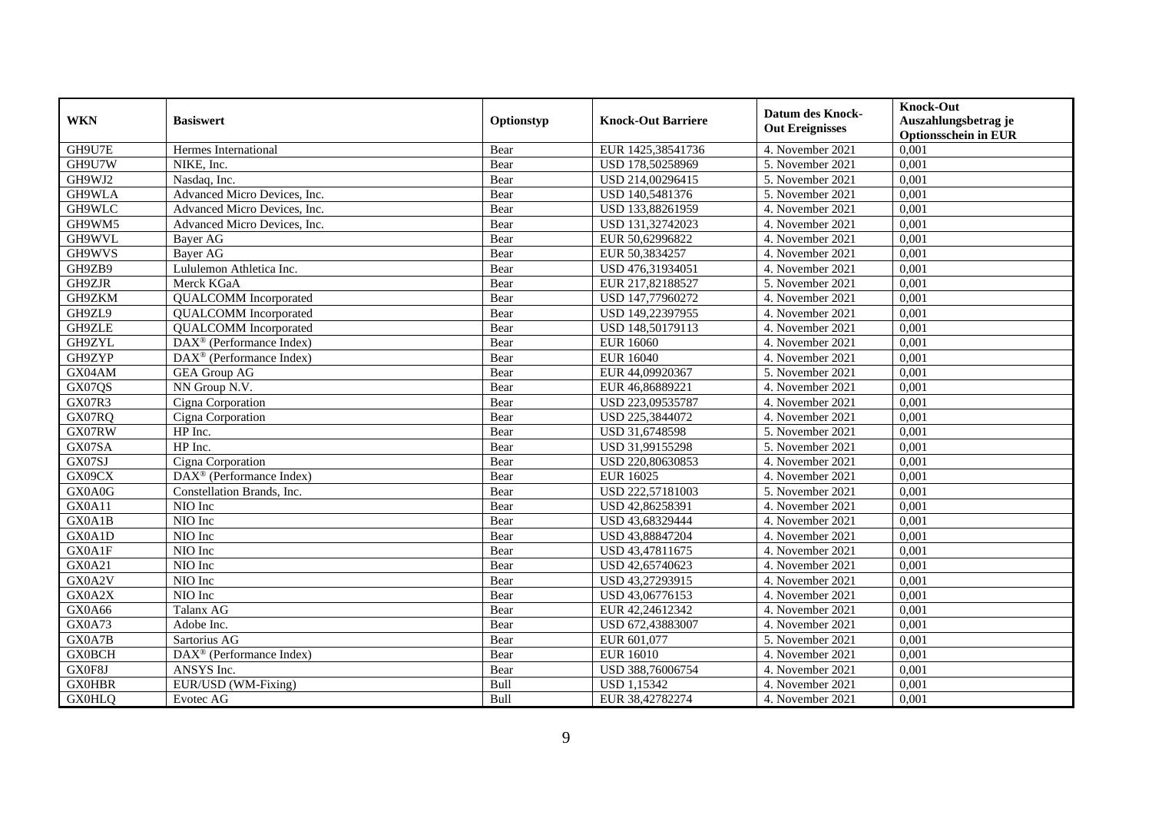|               |                                                       |             |                           | <b>Datum des Knock-</b> | <b>Knock-Out</b>            |
|---------------|-------------------------------------------------------|-------------|---------------------------|-------------------------|-----------------------------|
| <b>WKN</b>    | <b>Basiswert</b>                                      | Optionstyp  | <b>Knock-Out Barriere</b> | <b>Out Ereignisses</b>  | Auszahlungsbetrag je        |
|               |                                                       |             |                           |                         | <b>Optionsschein in EUR</b> |
| GH9U7E        | Hermes International                                  | Bear        | EUR 1425,38541736         | 4. November 2021        | 0,001                       |
| GH9U7W        | NIKE, Inc.                                            | Bear        | USD 178,50258969          | 5. November 2021        | 0,001                       |
| GH9WJ2        | Nasdaq, Inc.                                          | Bear        | USD 214,00296415          | 5. November 2021        | 0,001                       |
| GH9WLA        | Advanced Micro Devices, Inc.                          | Bear        | USD 140,5481376           | 5. November 2021        | 0,001                       |
| GH9WLC        | Advanced Micro Devices, Inc.                          | Bear        | USD 133,88261959          | 4. November 2021        | 0,001                       |
| GH9WM5        | Advanced Micro Devices, Inc.                          | Bear        | USD 131,32742023          | 4. November 2021        | 0,001                       |
| GH9WVL        | <b>Baver AG</b>                                       | Bear        | EUR 50,62996822           | 4. November 2021        | 0,001                       |
| GH9WVS        | <b>Baver AG</b>                                       | Bear        | EUR 50,3834257            | 4. November 2021        | 0,001                       |
| GH9ZB9        | Lululemon Athletica Inc.                              | Bear        | USD 476,31934051          | 4. November 2021        | 0,001                       |
| GH9ZJR        | Merck KGaA                                            | Bear        | EUR 217,82188527          | 5. November 2021        | 0,001                       |
| GH9ZKM        | <b>QUALCOMM</b> Incorporated                          | Bear        | USD 147,77960272          | 4. November 2021        | 0,001                       |
| GH9ZL9        | <b>QUALCOMM</b> Incorporated                          | Bear        | USD 149,22397955          | 4. November 2021        | 0,001                       |
| GH9ZLE        | <b>QUALCOMM</b> Incorporated                          | Bear        | USD 148,50179113          | 4. November 2021        | 0,001                       |
| GH9ZYL        | DAX <sup>®</sup> (Performance Index)                  | Bear        | <b>EUR 16060</b>          | 4. November 2021        | 0.001                       |
| GH9ZYP        | DAX <sup>®</sup> (Performance Index)                  | Bear        | <b>EUR 16040</b>          | 4. November 2021        | 0,001                       |
| GX04AM        | <b>GEA Group AG</b>                                   | Bear        | EUR 44,09920367           | 5. November 2021        | 0,001                       |
| GX07QS        | NN Group N.V.                                         | Bear        | EUR 46,86889221           | 4. November 2021        | 0,001                       |
| <b>GX07R3</b> | Cigna Corporation                                     | Bear        | USD 223,09535787          | 4. November 2021        | 0,001                       |
| GX07RQ        | Cigna Corporation                                     | Bear        | USD 225,3844072           | 4. November 2021        | 0,001                       |
| GX07RW        | HP Inc.                                               | Bear        | USD 31,6748598            | 5. November 2021        | 0,001                       |
| GX07SA        | HP Inc.                                               | Bear        | USD 31,99155298           | 5. November 2021        | 0,001                       |
| GX07SJ        | Cigna Corporation                                     | Bear        | USD 220,80630853          | 4. November 2021        | 0,001                       |
| GX09CX        | $\overline{\text{DAX}^{\otimes}}$ (Performance Index) | Bear        | EUR 16025                 | 4. November 2021        | 0,001                       |
| GX0A0G        | Constellation Brands, Inc.                            | Bear        | USD 222,57181003          | 5. November 2021        | 0,001                       |
| GX0A11        | NIO Inc                                               | Bear        | USD 42,86258391           | 4. November 2021        | 0,001                       |
| GX0A1B        | NIO Inc                                               | Bear        | USD 43,68329444           | 4. November 2021        | 0,001                       |
| GX0A1D        | NIO Inc                                               | Bear        | USD 43,88847204           | 4. November 2021        | 0,001                       |
| GX0A1F        | NIO Inc                                               | Bear        | USD 43,47811675           | 4. November 2021        | 0,001                       |
| GX0A21        | NIO Inc                                               | Bear        | USD 42,65740623           | 4. November 2021        | 0,001                       |
| GX0A2V        | NIO Inc                                               | Bear        | USD 43,27293915           | 4. November 2021        | 0,001                       |
| GX0A2X        | NIO Inc                                               | Bear        | USD 43,06776153           | 4. November 2021        | 0,001                       |
| GX0A66        | Talanx AG                                             | Bear        | EUR 42,24612342           | 4. November 2021        | 0,001                       |
| GX0A73        | Adobe Inc.                                            | Bear        | USD 672,43883007          | 4. November 2021        | 0,001                       |
| GX0A7B        | Sartorius AG                                          | Bear        | EUR 601,077               | 5. November 2021        | 0,001                       |
| <b>GX0BCH</b> | $\text{DAX}^{\textcircled{n}}$ (Performance Index)    | Bear        | EUR 16010                 | 4. November 2021        | 0,001                       |
| GX0F8J        | ANSYS Inc.                                            | Bear        | USD 388,76006754          | 4. November 2021        | 0,001                       |
| <b>GX0HBR</b> | EUR/USD (WM-Fixing)                                   | <b>Bull</b> | <b>USD 1,15342</b>        | 4. November 2021        | 0,001                       |
| <b>GX0HLQ</b> | Evotec AG                                             | <b>Bull</b> | EUR 38,42782274           | 4. November 2021        | 0,001                       |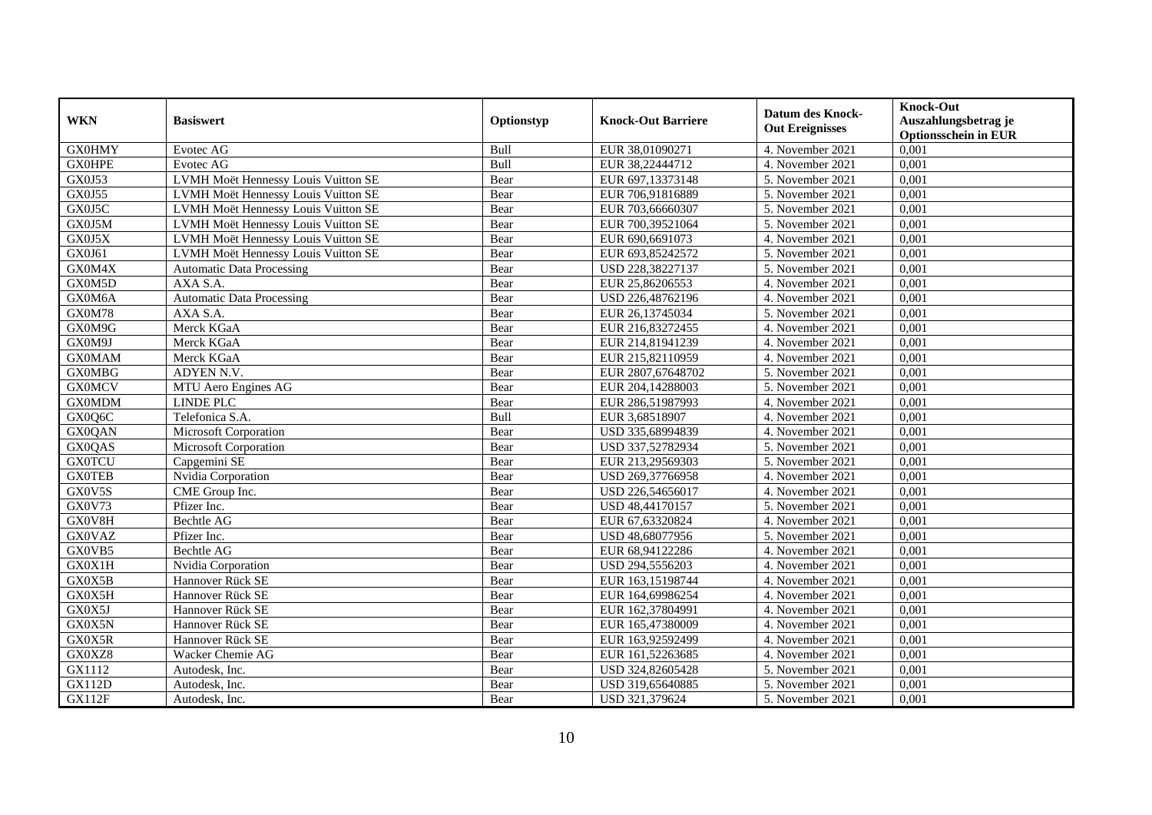| <b>WKN</b>    | <b>Basiswert</b>                    | Optionstyp | <b>Knock-Out Barriere</b> | <b>Datum des Knock-</b> | <b>Knock-Out</b><br>Auszahlungsbetrag je |
|---------------|-------------------------------------|------------|---------------------------|-------------------------|------------------------------------------|
|               |                                     |            |                           | <b>Out Ereignisses</b>  | <b>Optionsschein in EUR</b>              |
| <b>GX0HMY</b> | Evotec AG                           | Bull       | EUR 38,01090271           | 4. November 2021        | 0,001                                    |
| <b>GX0HPE</b> | Evotec AG                           | Bull       | EUR 38,22444712           | 4. November 2021        | 0,001                                    |
| GX0J53        | LVMH Moët Hennessy Louis Vuitton SE | Bear       | EUR 697,13373148          | 5. November 2021        | 0,001                                    |
| GX0J55        | LVMH Moët Hennessy Louis Vuitton SE | Bear       | EUR 706,91816889          | 5. November 2021        | 0,001                                    |
| GX0J5C        | LVMH Moët Hennessy Louis Vuitton SE | Bear       | EUR 703,66660307          | 5. November 2021        | 0,001                                    |
| GX0J5M        | LVMH Moët Hennessy Louis Vuitton SE | Bear       | EUR 700,39521064          | 5. November 2021        | 0,001                                    |
| GX0J5X        | LVMH Moët Hennessy Louis Vuitton SE | Bear       | EUR 690,6691073           | 4. November 2021        | 0.001                                    |
| GX0J61        | LVMH Moët Hennessy Louis Vuitton SE | Bear       | EUR 693,85242572          | 5. November 2021        | 0,001                                    |
| GX0M4X        | <b>Automatic Data Processing</b>    | Bear       | USD 228,38227137          | 5. November 2021        | 0,001                                    |
| GX0M5D        | AXA S.A.                            | Bear       | EUR 25,86206553           | 4. November 2021        | 0,001                                    |
| GX0M6A        | <b>Automatic Data Processing</b>    | Bear       | USD 226,48762196          | 4. November 2021        | 0,001                                    |
| GX0M78        | AXA S.A.                            | Bear       | EUR 26,13745034           | 5. November 2021        | 0,001                                    |
| GX0M9G        | Merck KGaA                          | Bear       | EUR 216,83272455          | 4. November 2021        | 0,001                                    |
| GX0M9J        | Merck KGaA                          | Bear       | EUR 214,81941239          | 4. November 2021        | 0.001                                    |
| <b>GX0MAM</b> | Merck KGaA                          | Bear       | EUR 215,82110959          | 4. November 2021        | 0,001                                    |
| <b>GX0MBG</b> | ADYEN N.V.                          | Bear       | EUR 2807,67648702         | 5. November 2021        | 0,001                                    |
| <b>GX0MCV</b> | MTU Aero Engines AG                 | Bear       | EUR 204,14288003          | 5. November 2021        | 0,001                                    |
| <b>GX0MDM</b> | <b>LINDE PLC</b>                    | Bear       | EUR 286,51987993          | 4. November 2021        | 0,001                                    |
| GX0Q6C        | Telefonica S.A.                     | Bull       | EUR 3,68518907            | 4. November 2021        | 0,001                                    |
| <b>GX0QAN</b> | Microsoft Corporation               | Bear       | USD 335,68994839          | 4. November 2021        | 0,001                                    |
| <b>GX0QAS</b> | Microsoft Corporation               | Bear       | USD 337,52782934          | 5. November 2021        | 0,001                                    |
| <b>GX0TCU</b> | Capgemini SE                        | Bear       | EUR 213,29569303          | 5. November 2021        | 0,001                                    |
| <b>GX0TEB</b> | Nvidia Corporation                  | Bear       | USD 269,37766958          | 4. November 2021        | 0,001                                    |
| GX0V5S        | CME Group Inc.                      | Bear       | USD 226,54656017          | 4. November 2021        | 0,001                                    |
| GX0V73        | Pfizer Inc.                         | Bear       | USD 48,44170157           | 5. November 2021        | 0,001                                    |
| GX0V8H        | <b>Bechtle AG</b>                   | Bear       | EUR 67,63320824           | 4. November 2021        | 0,001                                    |
| <b>GX0VAZ</b> | Pfizer Inc.                         | Bear       | USD 48,68077956           | 5. November 2021        | 0,001                                    |
| GX0VB5        | Bechtle AG                          | Bear       | EUR 68,94122286           | 4. November 2021        | 0,001                                    |
| GX0X1H        | Nvidia Corporation                  | Bear       | USD 294,5556203           | 4. November 2021        | 0,001                                    |
| GX0X5B        | Hannover Rück SE                    | Bear       | EUR 163,15198744          | 4. November 2021        | 0,001                                    |
| GX0X5H        | Hannover Rück SE                    | Bear       | EUR 164,69986254          | 4. November 2021        | 0,001                                    |
| GX0X5J        | Hannover Rück SE                    | Bear       | EUR 162,37804991          | 4. November 2021        | 0,001                                    |
| GX0X5N        | Hannover Rück SE                    | Bear       | EUR 165,47380009          | 4. November 2021        | 0,001                                    |
| GX0X5R        | Hannover Rück SE                    | Bear       | EUR 163,92592499          | 4. November 2021        | 0,001                                    |
| GX0XZ8        | Wacker Chemie AG                    | Bear       | EUR 161,52263685          | 4. November 2021        | 0,001                                    |
| GX1112        | Autodesk, Inc.                      | Bear       | USD 324,82605428          | 5. November 2021        | 0,001                                    |
| <b>GX112D</b> | Autodesk, Inc.                      | Bear       | USD 319,65640885          | 5. November 2021        | 0,001                                    |
| <b>GX112F</b> | Autodesk, Inc.                      | Bear       | USD 321,379624            | 5. November 2021        | 0,001                                    |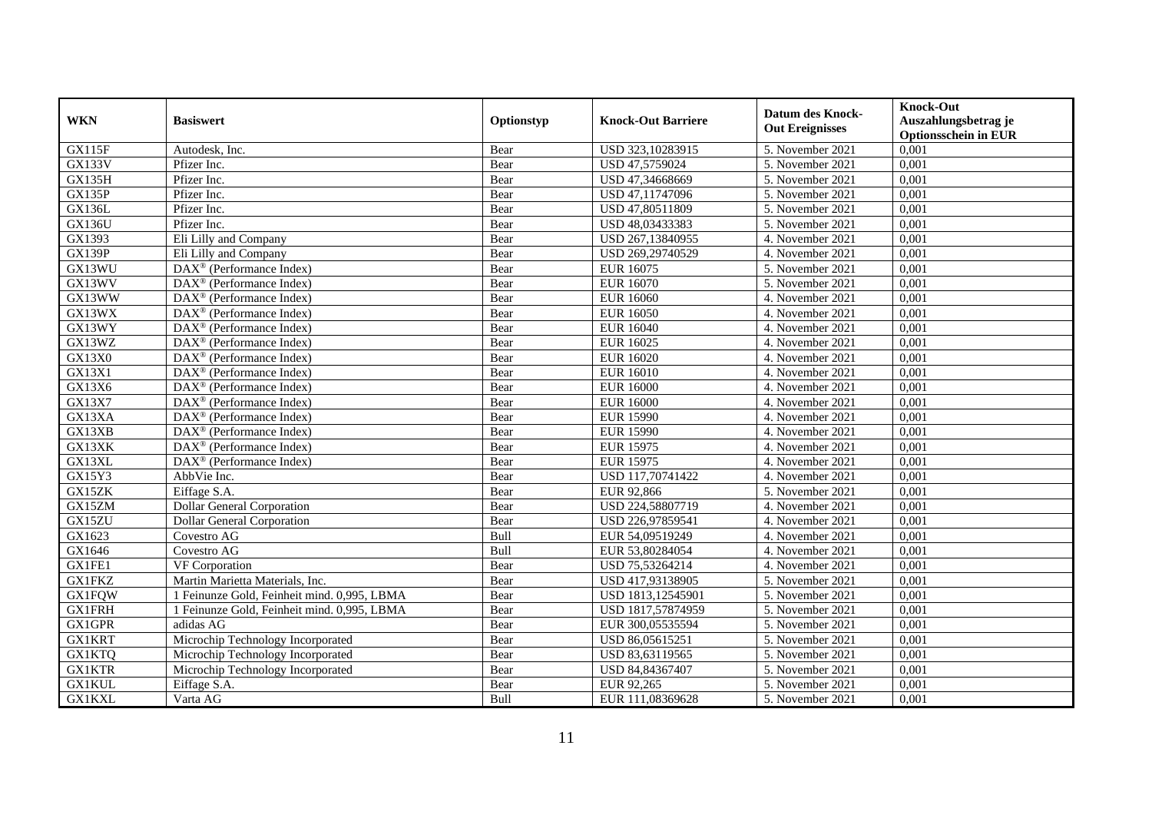| <b>WKN</b>    | <b>Basiswert</b>                                      | Optionstyp  | <b>Knock-Out Barriere</b> | Datum des Knock-<br><b>Out Ereignisses</b> | <b>Knock-Out</b><br>Auszahlungsbetrag je<br><b>Optionsschein in EUR</b> |
|---------------|-------------------------------------------------------|-------------|---------------------------|--------------------------------------------|-------------------------------------------------------------------------|
| <b>GX115F</b> | Autodesk, Inc.                                        | Bear        | USD 323,10283915          | 5. November 2021                           | 0,001                                                                   |
| <b>GX133V</b> | Pfizer Inc.                                           | Bear        | USD 47,5759024            | 5. November 2021                           | 0,001                                                                   |
| <b>GX135H</b> | Pfizer Inc.                                           | Bear        | USD 47,34668669           | 5. November 2021                           | 0,001                                                                   |
| GX135P        | Pfizer Inc.                                           | Bear        | USD 47,11747096           | 5. November 2021                           | 0,001                                                                   |
| <b>GX136L</b> | Pfizer Inc.                                           | Bear        | USD 47,80511809           | 5. November 2021                           | 0,001                                                                   |
| GX136U        | Pfizer Inc.                                           | Bear        | USD 48,03433383           | 5. November 2021                           | 0,001                                                                   |
| GX1393        | Eli Lilly and Company                                 | Bear        | USD 267,13840955          | 4. November 2021                           | 0,001                                                                   |
| <b>GX139P</b> | Eli Lilly and Company                                 | Bear        | USD 269,29740529          | 4. November 2021                           | 0,001                                                                   |
| GX13WU        | $\text{DAX}^{\textcircled{}}$ (Performance Index)     | Bear        | <b>EUR 16075</b>          | 5. November 2021                           | 0,001                                                                   |
| GX13WV        | $DAX^{\circledR}$ (Performance Index)                 | Bear        | <b>EUR 16070</b>          | 5. November 2021                           | 0,001                                                                   |
| GX13WW        | $\overline{\text{DAX}^{\otimes}}$ (Performance Index) | Bear        | <b>EUR 16060</b>          | 4. November 2021                           | 0,001                                                                   |
| GX13WX        | DAX <sup>®</sup> (Performance Index)                  | Bear        | <b>EUR 16050</b>          | 4. November 2021                           | 0,001                                                                   |
| GX13WY        | $DAX^{\circledR}$ (Performance Index)                 | Bear        | <b>EUR 16040</b>          | 4. November 2021                           | 0,001                                                                   |
| GX13WZ        | $DAX^{\circledcirc}$ (Performance Index)              | Bear        | <b>EUR 16025</b>          | 4. November 2021                           | 0,001                                                                   |
| GX13X0        | $DAX^{\circledast}$ (Performance Index)               | Bear        | <b>EUR 16020</b>          | 4. November 2021                           | 0,001                                                                   |
| GX13X1        | DAX <sup>®</sup> (Performance Index)                  | Bear        | <b>EUR 16010</b>          | 4. November 2021                           | 0,001                                                                   |
| GX13X6        | $\text{DAX}^{\textcircled{}}$ (Performance Index)     | Bear        | <b>EUR 16000</b>          | 4. November 2021                           | 0,001                                                                   |
| GX13X7        | $DAX^{\circledcirc}$ (Performance Index)              | Bear        | <b>EUR 16000</b>          | 4. November 2021                           | 0,001                                                                   |
| GX13XA        | $\text{DAX}^{\textcircled{}}$ (Performance Index)     | Bear        | <b>EUR 15990</b>          | 4. November 2021                           | 0,001                                                                   |
| GX13XB        | $\overline{\text{DAX}^{\otimes}}$ (Performance Index) | Bear        | <b>EUR 15990</b>          | 4. November 2021                           | 0,001                                                                   |
| GX13XK        | DAX <sup>®</sup> (Performance Index)                  | Bear        | <b>EUR 15975</b>          | 4. November 2021                           | 0,001                                                                   |
| GX13XL        | $DAX^{\circledR}$ (Performance Index)                 | Bear        | <b>EUR 15975</b>          | 4. November 2021                           | 0,001                                                                   |
| GX15Y3        | AbbVie Inc.                                           | Bear        | USD 117,70741422          | 4. November 2021                           | 0,001                                                                   |
| GX15ZK        | Eiffage S.A.                                          | Bear        | EUR 92,866                | 5. November 2021                           | 0,001                                                                   |
| GX15ZM        | <b>Dollar General Corporation</b>                     | Bear        | USD 224,58807719          | 4. November 2021                           | 0,001                                                                   |
| GX15ZU        | Dollar General Corporation                            | Bear        | USD 226,97859541          | 4. November 2021                           | 0,001                                                                   |
| GX1623        | Covestro AG                                           | <b>Bull</b> | EUR 54,09519249           | 4. November 2021                           | 0,001                                                                   |
| GX1646        | Covestro AG                                           | Bull        | EUR 53,80284054           | 4. November 2021                           | 0,001                                                                   |
| GX1FE1        | $\overline{\text{VF}}$ Corporation                    | Bear        | USD 75,53264214           | 4. November 2021                           | 0.001                                                                   |
| <b>GX1FKZ</b> | Martin Marietta Materials, Inc.                       | Bear        | USD 417,93138905          | 5. November 2021                           | 0,001                                                                   |
| <b>GX1FQW</b> | Feinunze Gold, Feinheit mind. 0,995, LBMA             | Bear        | USD 1813,12545901         | 5. November 2021                           | 0,001                                                                   |
| <b>GX1FRH</b> | 1 Feinunze Gold, Feinheit mind. 0,995, LBMA           | Bear        | USD 1817,57874959         | 5. November 2021                           | 0,001                                                                   |
| <b>GX1GPR</b> | adidas AG                                             | Bear        | EUR 300,05535594          | 5. November 2021                           | 0,001                                                                   |
| <b>GX1KRT</b> | Microchip Technology Incorporated                     | Bear        | USD 86,05615251           | 5. November 2021                           | 0,001                                                                   |
| <b>GX1KTQ</b> | Microchip Technology Incorporated                     | Bear        | USD 83,63119565           | 5. November 2021                           | 0,001                                                                   |
| <b>GX1KTR</b> | Microchip Technology Incorporated                     | Bear        | USD 84,84367407           | 5. November 2021                           | 0,001                                                                   |
| <b>GX1KUL</b> | Eiffage S.A.                                          | Bear        | EUR 92,265                | 5. November 2021                           | 0,001                                                                   |
| <b>GX1KXL</b> | Varta AG                                              | <b>Bull</b> | EUR 111,08369628          | 5. November 2021                           | 0,001                                                                   |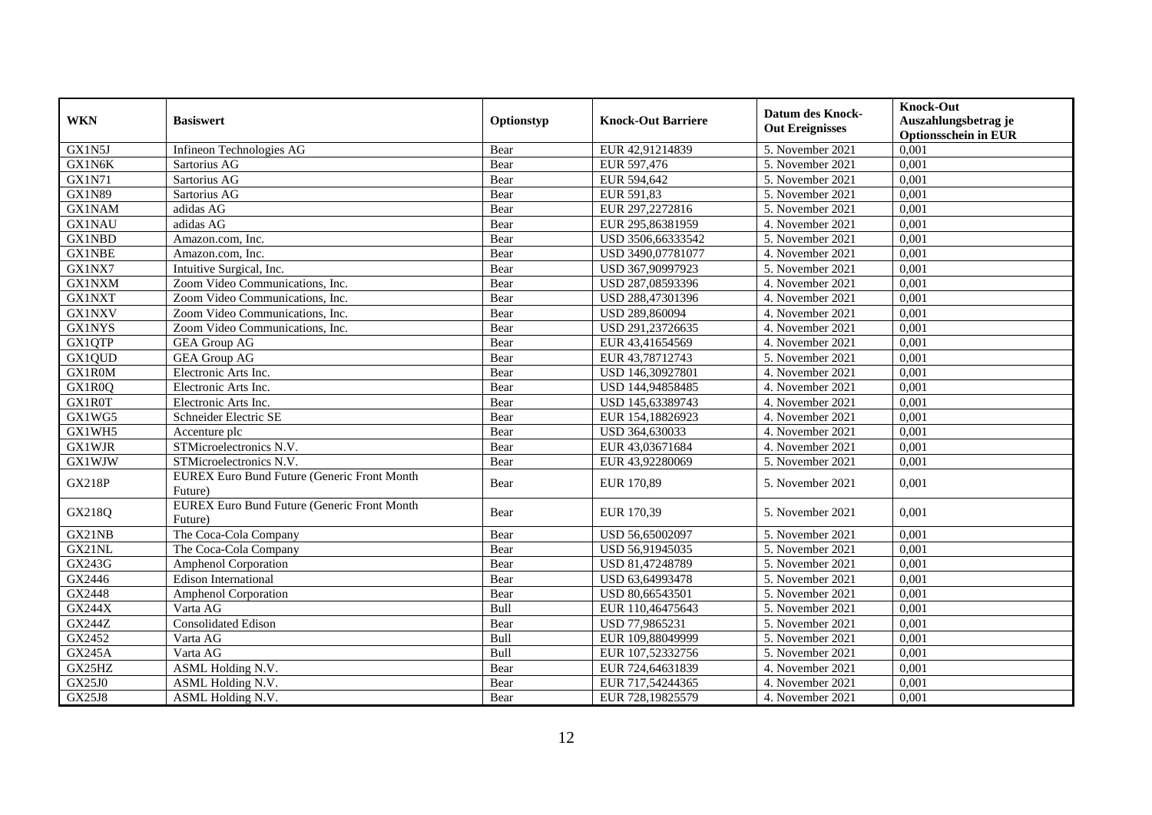|               | <b>Basiswert</b>                                              | Optionstyp |                           | <b>Datum des Knock-</b>        | <b>Knock-Out</b>                                    |
|---------------|---------------------------------------------------------------|------------|---------------------------|--------------------------------|-----------------------------------------------------|
| <b>WKN</b>    |                                                               |            | <b>Knock-Out Barriere</b> | <b>Out Ereignisses</b>         | Auszahlungsbetrag je<br><b>Optionsschein in EUR</b> |
| GX1N5J        | Infineon Technologies AG                                      | Bear       | EUR 42,91214839           | 5. November 2021               | 0,001                                               |
| GX1N6K        | Sartorius AG                                                  | Bear       | EUR 597,476               | 5. November 2021               | 0,001                                               |
| <b>GX1N71</b> | Sartorius AG                                                  | Bear       | EUR 594,642               | 5. November 2021               | 0,001                                               |
| <b>GX1N89</b> | Sartorius AG                                                  | Bear       | EUR 591,83                | 5. November 2021               | 0,001                                               |
| <b>GX1NAM</b> | adidas AG                                                     | Bear       | EUR 297,2272816           | 5. November 2021               | 0,001                                               |
| <b>GX1NAU</b> | adidas AG                                                     | Bear       | EUR 295,86381959          | 4. November 2021               | 0,001                                               |
| <b>GX1NBD</b> | Amazon.com. Inc.                                              | Bear       | USD 3506,66333542         | 5. November 2021               | 0,001                                               |
| <b>GX1NBE</b> | Amazon.com, Inc.                                              | Bear       | USD 3490,07781077         | 4. November 2021               | 0,001                                               |
| GX1NX7        | Intuitive Surgical, Inc.                                      | Bear       | USD 367,90997923          | 5. November 2021               | 0,001                                               |
| GX1NXM        | Zoom Video Communications, Inc.                               | Bear       | USD 287,08593396          | 4. November 2021               | 0,001                                               |
| <b>GX1NXT</b> | Zoom Video Communications, Inc.                               | Bear       | USD 288,47301396          | 4. November 2021               | 0,001                                               |
| GX1NXV        | Zoom Video Communications, Inc.                               | Bear       | USD 289,860094            | 4. November 2021               | 0,001                                               |
| <b>GX1NYS</b> | Zoom Video Communications, Inc.                               | Bear       | USD 291,23726635          | 4. November 2021               | 0,001                                               |
| GX1QTP        | <b>GEA Group AG</b>                                           | Bear       | EUR 43,41654569           | 4. November 2021               | 0,001                                               |
| GX1QUD        | <b>GEA Group AG</b>                                           | Bear       | EUR 43,78712743           | 5. November 2021               | 0,001                                               |
| GX1R0M        | Electronic Arts Inc.                                          | Bear       | USD 146,30927801          | 4. November 2021               | 0,001                                               |
| GX1R0Q        | Electronic Arts Inc.                                          | Bear       | USD 144,94858485          | 4. November 2021               | 0,001                                               |
| GX1R0T        | Electronic Arts Inc.                                          | Bear       | USD 145,63389743          | 4. November 2021               | 0,001                                               |
| GX1WG5        | Schneider Electric SE                                         | Bear       | EUR 154,18826923          | 4. November 2021               | 0,001                                               |
| GX1WH5        | Accenture plc                                                 | Bear       | USD 364,630033            | 4. November 2021               | 0,001                                               |
| <b>GX1WJR</b> | STMicroelectronics N.V.                                       | Bear       | EUR 43,03671684           | 4. November 2021               | 0,001                                               |
| <b>GX1WJW</b> | STMicroelectronics N.V.                                       | Bear       | EUR 43,92280069           | 5. November 2021               | 0,001                                               |
| <b>GX218P</b> | <b>EUREX Euro Bund Future (Generic Front Month</b><br>Future) | Bear       | EUR 170,89                | 5. November 2021               | 0,001                                               |
| GX218Q        | <b>EUREX Euro Bund Future (Generic Front Month</b><br>Future) | Bear       | EUR 170,39                | 5. November 2021               | 0,001                                               |
| GX21NB        | The Coca-Cola Company                                         | Bear       | USD 56,65002097           | 5. November 2021               | 0,001                                               |
| GX21NL        | The Coca-Cola Company                                         | Bear       | USD 56,91945035           | 5. November 2021               | 0,001                                               |
| GX243G        | <b>Amphenol Corporation</b>                                   | Bear       | USD 81,47248789           | 5. November 2021               | 0,001                                               |
| GX2446        | <b>Edison International</b>                                   | Bear       | USD 63,64993478           | 5. November 2021               | 0,001                                               |
| GX2448        | Amphenol Corporation                                          | Bear       | USD 80,66543501           | 5. November 2021               | 0,001                                               |
| <b>GX244X</b> | Varta AG                                                      | Bull       | EUR 110,46475643          | $\overline{5}$ . November 2021 | 0,001                                               |
| <b>GX244Z</b> | Consolidated Edison                                           | Bear       | USD 77,9865231            | 5. November 2021               | 0,001                                               |
| GX2452        | Varta AG                                                      | Bull       | EUR 109,88049999          | 5. November 2021               | 0,001                                               |
| <b>GX245A</b> | Varta AG                                                      | Bull       | EUR 107,52332756          | 5. November 2021               | 0,001                                               |
| GX25HZ        | ASML Holding N.V.                                             | Bear       | EUR 724,64631839          | 4. November 2021               | 0,001                                               |
| GX25J0        | ASML Holding N.V.                                             | Bear       | EUR 717,54244365          | 4. November 2021               | 0,001                                               |
| GX25J8        | ASML Holding N.V.                                             | Bear       | EUR 728,19825579          | 4. November 2021               | 0,001                                               |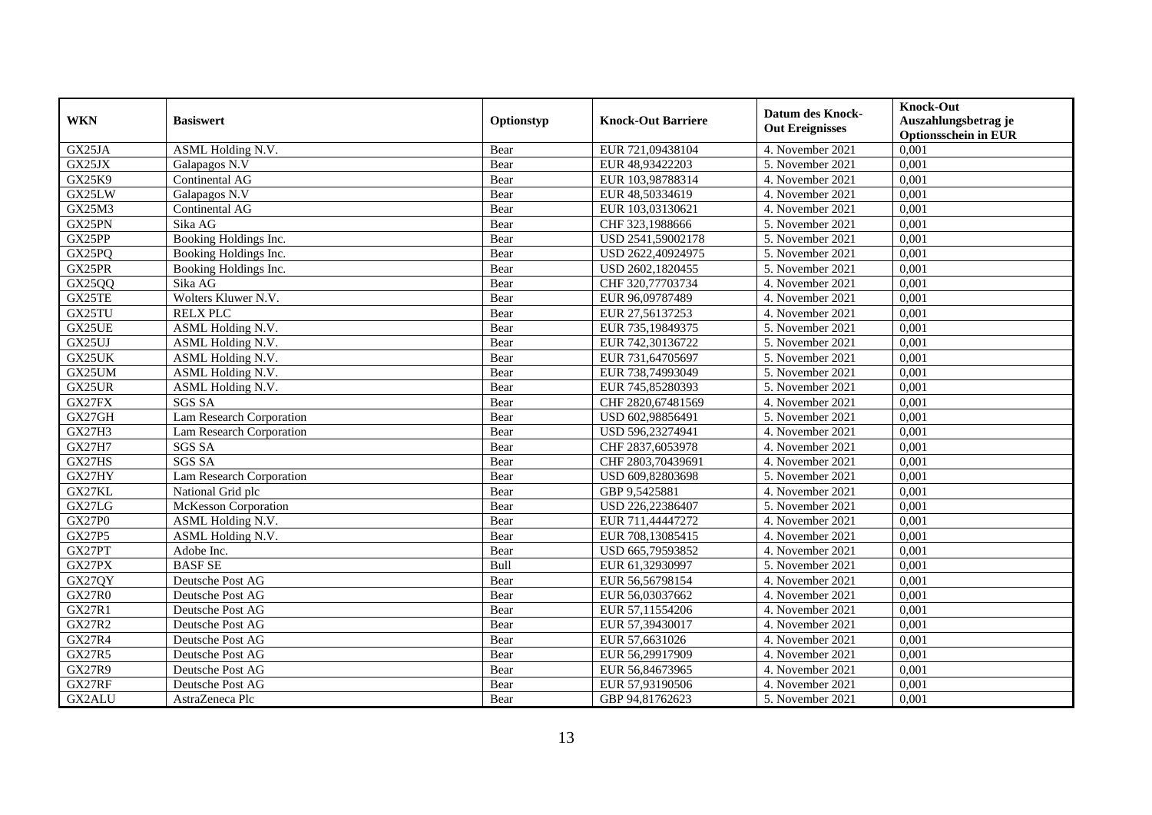|               |                             |            |                           | <b>Datum des Knock-</b> | <b>Knock-Out</b>                                    |
|---------------|-----------------------------|------------|---------------------------|-------------------------|-----------------------------------------------------|
| <b>WKN</b>    | <b>Basiswert</b>            | Optionstyp | <b>Knock-Out Barriere</b> | <b>Out Ereignisses</b>  | Auszahlungsbetrag je<br><b>Optionsschein in EUR</b> |
| GX25JA        | ASML Holding N.V.           | Bear       | EUR 721,09438104          | 4. November 2021        | 0,001                                               |
| GX25JX        | Galapagos N.V               | Bear       | EUR 48,93422203           | 5. November 2021        | 0,001                                               |
| GX25K9        | Continental AG              | Bear       | EUR 103,98788314          | 4. November 2021        | 0,001                                               |
| GX25LW        | Galapagos N.V               | Bear       | EUR 48,50334619           | 4. November 2021        | 0,001                                               |
| GX25M3        | Continental AG              | Bear       | EUR 103,03130621          | 4. November 2021        | 0,001                                               |
| GX25PN        | Sika AG                     | Bear       | CHF 323,1988666           | 5. November 2021        | 0,001                                               |
| GX25PP        | Booking Holdings Inc.       | Bear       | USD 2541,59002178         | 5. November 2021        | 0.001                                               |
| GX25PQ        | Booking Holdings Inc.       | Bear       | USD 2622,40924975         | 5. November 2021        | 0,001                                               |
| GX25PR        | Booking Holdings Inc.       | Bear       | USD 2602,1820455          | 5. November 2021        | 0,001                                               |
| GX25QQ        | Sika AG                     | Bear       | CHF 320,77703734          | 4. November 2021        | 0,001                                               |
| GX25TE        | Wolters Kluwer N.V.         | Bear       | EUR 96,09787489           | 4. November 2021        | 0,001                                               |
| GX25TU        | <b>RELX PLC</b>             | Bear       | EUR 27,56137253           | 4. November 2021        | 0,001                                               |
| GX25UE        | ASML Holding N.V.           | Bear       | EUR 735,19849375          | 5. November 2021        | 0,001                                               |
| GX25UJ        | ASML Holding N.V.           | Bear       | EUR 742,30136722          | 5. November 2021        | 0,001                                               |
| GX25UK        | ASML Holding N.V.           | Bear       | EUR 731,64705697          | 5. November 2021        | 0,001                                               |
| GX25UM        | ASML Holding N.V.           | Bear       | EUR 738,74993049          | 5. November 2021        | 0,001                                               |
| GX25UR        | ASML Holding N.V.           | Bear       | EUR 745,85280393          | 5. November 2021        | 0,001                                               |
| GX27FX        | <b>SGS SA</b>               | Bear       | CHF 2820,67481569         | 4. November 2021        | 0,001                                               |
| GX27GH        | Lam Research Corporation    | Bear       | USD 602,98856491          | 5. November 2021        | 0,001                                               |
| <b>GX27H3</b> | Lam Research Corporation    | Bear       | USD 596,23274941          | 4. November 2021        | 0,001                                               |
| <b>GX27H7</b> | <b>SGS SA</b>               | Bear       | CHF 2837,6053978          | 4. November 2021        | 0,001                                               |
| GX27HS        | <b>SGS SA</b>               | Bear       | CHF 2803.70439691         | 4. November 2021        | 0,001                                               |
| GX27HY        | Lam Research Corporation    | Bear       | USD 609,82803698          | 5. November 2021        | 0,001                                               |
| GX27KL        | National Grid plc           | Bear       | GBP 9,5425881             | 4. November 2021        | 0,001                                               |
| GX27LG        | <b>McKesson Corporation</b> | Bear       | USD 226,22386407          | 5. November 2021        | 0,001                                               |
| <b>GX27P0</b> | ASML Holding N.V.           | Bear       | EUR 711,44447272          | 4. November 2021        | 0,001                                               |
| <b>GX27P5</b> | ASML Holding N.V.           | Bear       | EUR 708,13085415          | 4. November 2021        | 0,001                                               |
| GX27PT        | Adobe Inc.                  | Bear       | USD 665,79593852          | 4. November 2021        | 0,001                                               |
| GX27PX        | <b>BASFSE</b>               | Bull       | EUR 61,32930997           | 5. November 2021        | 0,001                                               |
| <b>GX27QY</b> | Deutsche Post AG            | Bear       | EUR 56,56798154           | 4. November 2021        | 0,001                                               |
| <b>GX27R0</b> | Deutsche Post AG            | Bear       | EUR 56,03037662           | 4. November 2021        | 0,001                                               |
| <b>GX27R1</b> | Deutsche Post AG            | Bear       | EUR 57,11554206           | 4. November 2021        | 0,001                                               |
| <b>GX27R2</b> | Deutsche Post AG            | Bear       | EUR 57,39430017           | 4. November 2021        | 0,001                                               |
| <b>GX27R4</b> | Deutsche Post AG            | Bear       | EUR 57,6631026            | 4. November 2021        | 0,001                                               |
| <b>GX27R5</b> | Deutsche Post AG            | Bear       | EUR 56,29917909           | 4. November 2021        | 0,001                                               |
| <b>GX27R9</b> | Deutsche Post AG            | Bear       | EUR 56,84673965           | 4. November 2021        | 0,001                                               |
| GX27RF        | Deutsche Post AG            | Bear       | EUR 57,93190506           | 4. November 2021        | 0,001                                               |
| GX2ALU        | AstraZeneca Plc             | Bear       | GBP 94,81762623           | 5. November 2021        | 0,001                                               |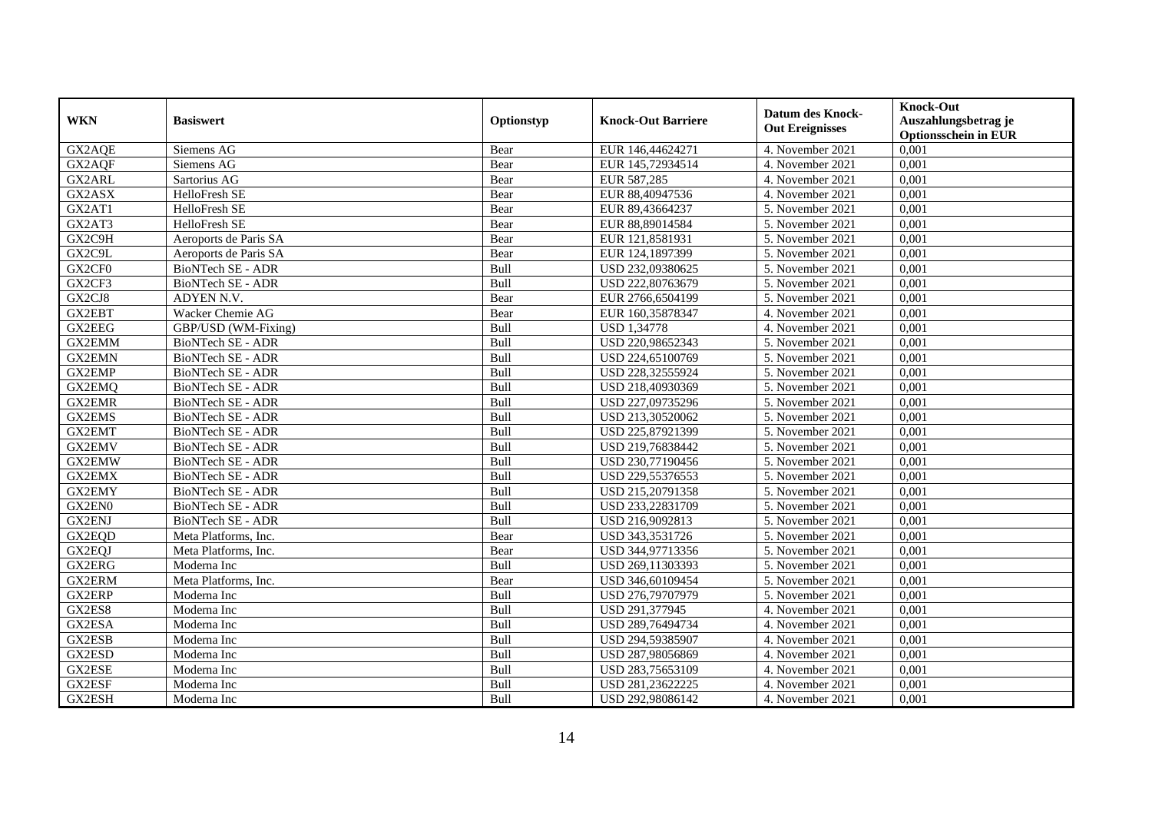| <b>WKN</b>    | <b>Basiswert</b>         | Optionstyp  | <b>Knock-Out Barriere</b> | <b>Datum des Knock-</b><br><b>Out Ereignisses</b> | <b>Knock-Out</b><br>Auszahlungsbetrag je<br><b>Optionsschein in EUR</b> |
|---------------|--------------------------|-------------|---------------------------|---------------------------------------------------|-------------------------------------------------------------------------|
| GX2AQE        | Siemens AG               | Bear        | EUR 146,44624271          | 4. November 2021                                  | 0,001                                                                   |
| GX2AOF        | Siemens AG               | Bear        | EUR 145,72934514          | 4. November 2021                                  | 0,001                                                                   |
| GX2ARL        | Sartorius AG             | Bear        | EUR 587,285               | 4. November 2021                                  | 0,001                                                                   |
| GX2ASX        | HelloFresh SE            | Bear        | EUR 88,40947536           | 4. November 2021                                  | 0,001                                                                   |
| GX2AT1        | HelloFresh SE            | Bear        | EUR 89,43664237           | 5. November 2021                                  | 0,001                                                                   |
| GX2AT3        | HelloFresh SE            | Bear        | EUR 88,89014584           | 5. November 2021                                  | 0,001                                                                   |
| GX2C9H        | Aeroports de Paris SA    | Bear        | EUR 121,8581931           | 5. November 2021                                  | 0,001                                                                   |
| GX2C9L        | Aeroports de Paris SA    | Bear        | EUR 124,1897399           | 5. November 2021                                  | 0,001                                                                   |
| GX2CF0        | BioNTech SE - ADR        | Bull        | USD 232,09380625          | 5. November 2021                                  | 0,001                                                                   |
| GX2CF3        | <b>BioNTech SE - ADR</b> | Bull        | USD 222,80763679          | 5. November 2021                                  | 0,001                                                                   |
| GX2CJ8        | ADYEN N.V.               | Bear        | EUR 2766,6504199          | 5. November 2021                                  | 0,001                                                                   |
| GX2EBT        | Wacker Chemie AG         | Bear        | EUR 160,35878347          | 4. November 2021                                  | 0,001                                                                   |
| GX2EEG        | GBP/USD (WM-Fixing)      | Bull        | <b>USD 1,34778</b>        | 4. November 2021                                  | 0,001                                                                   |
| <b>GX2EMM</b> | BioNTech SE - ADR        | Bull        | USD 220,98652343          | 5. November 2021                                  | 0,001                                                                   |
| <b>GX2EMN</b> | BioNTech SE - ADR        | Bull        | USD 224,65100769          | 5. November 2021                                  | 0,001                                                                   |
| GX2EMP        | BioNTech SE - ADR        | Bull        | USD 228,32555924          | 5. November 2021                                  | 0,001                                                                   |
| GX2EMQ        | <b>BioNTech SE - ADR</b> | Bull        | USD 218,40930369          | 5. November 2021                                  | 0,001                                                                   |
| <b>GX2EMR</b> | <b>BioNTech SE - ADR</b> | <b>Bull</b> | USD 227,09735296          | 5. November 2021                                  | 0.001                                                                   |
| GX2EMS        | BioNTech SE - ADR        | Bull        | USD 213,30520062          | 5. November 2021                                  | 0,001                                                                   |
| GX2EMT        | <b>BioNTech SE - ADR</b> | Bull        | USD 225,87921399          | 5. November 2021                                  | 0,001                                                                   |
| <b>GX2EMV</b> | BioNTech SE - ADR        | Bull        | USD 219,76838442          | 5. November 2021                                  | 0,001                                                                   |
| <b>GX2EMW</b> | <b>BioNTech SE - ADR</b> | Bull        | USD 230,77190456          | 5. November 2021                                  | 0,001                                                                   |
| <b>GX2EMX</b> | BioNTech SE - ADR        | Bull        | USD 229,55376553          | 5. November 2021                                  | 0,001                                                                   |
| GX2EMY        | BioNTech SE - ADR        | Bull        | USD 215,20791358          | 5. November 2021                                  | 0,001                                                                   |
| GX2EN0        | <b>BioNTech SE - ADR</b> | Bull        | USD 233,22831709          | 5. November 2021                                  | 0,001                                                                   |
| <b>GX2ENJ</b> | BioNTech SE - ADR        | Bull        | USD 216,9092813           | 5. November 2021                                  | 0,001                                                                   |
| GX2EQD        | Meta Platforms, Inc.     | Bear        | USD 343,3531726           | 5. November 2021                                  | 0,001                                                                   |
| GX2EQJ        | Meta Platforms, Inc.     | Bear        | USD 344,97713356          | 5. November 2021                                  | 0,001                                                                   |
| GX2ERG        | Moderna Inc              | <b>Bull</b> | USD 269,11303393          | 5. November 2021                                  | 0,001                                                                   |
| <b>GX2ERM</b> | Meta Platforms, Inc.     | Bear        | USD 346,60109454          | 5. November 2021                                  | 0,001                                                                   |
| GX2ERP        | Moderna Inc              | Bull        | USD 276,79707979          | 5. November 2021                                  | 0,001                                                                   |
| GX2ES8        | Moderna Inc              | Bull        | USD 291,377945            | 4. November 2021                                  | 0,001                                                                   |
| GX2ESA        | Moderna Inc              | Bull        | USD 289,76494734          | 4. November 2021                                  | 0,001                                                                   |
| GX2ESB        | Moderna Inc              | Bull        | USD 294,59385907          | 4. November 2021                                  | 0,001                                                                   |
| GX2ESD        | Moderna Inc              | Bull        | USD 287,98056869          | 4. November 2021                                  | 0,001                                                                   |
| GX2ESE        | Moderna Inc              | Bull        | USD 283,75653109          | 4. November 2021                                  | 0,001                                                                   |
| GX2ESF        | Moderna Inc              | Bull        | USD 281,23622225          | 4. November 2021                                  | 0,001                                                                   |
| GX2ESH        | Moderna Inc              | Bull        | USD 292,98086142          | 4. November 2021                                  | 0,001                                                                   |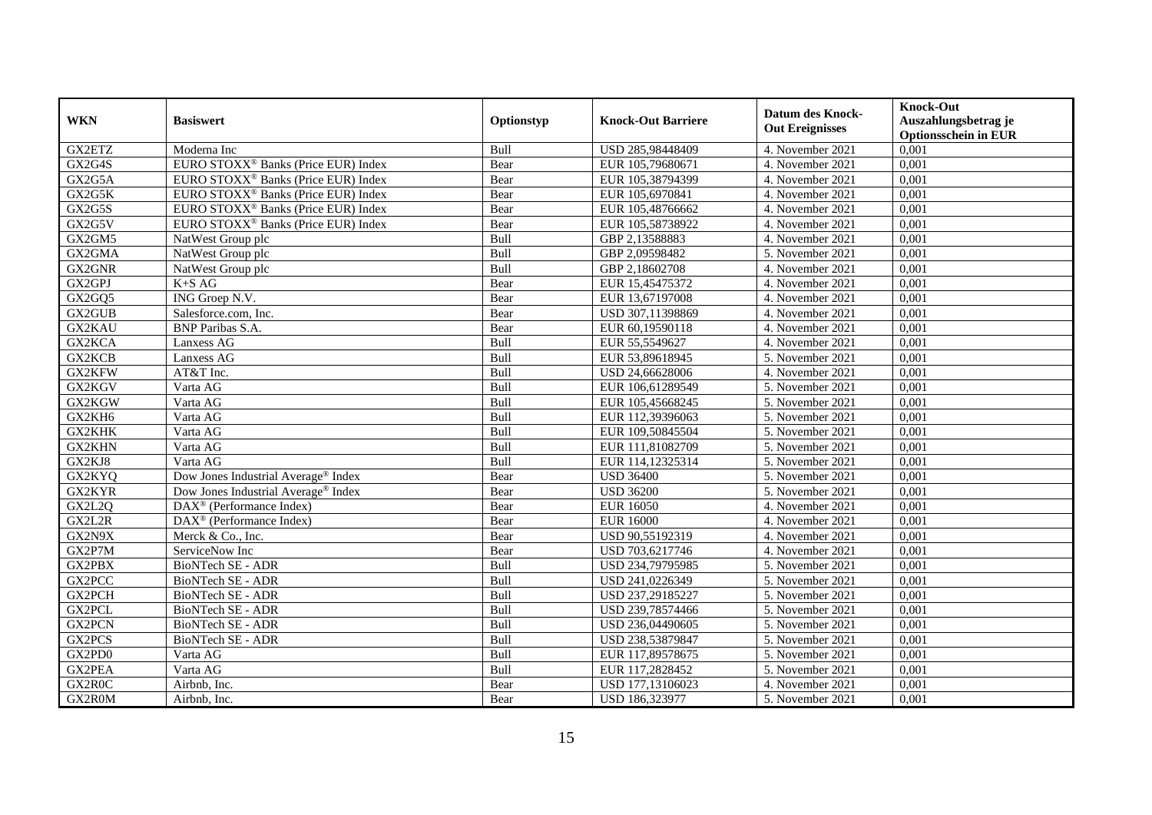| <b>WKN</b>    | <b>Basiswert</b>                                | Optionstyp  | <b>Knock-Out Barriere</b> | <b>Datum des Knock-</b><br><b>Out Ereignisses</b> | <b>Knock-Out</b><br>Auszahlungsbetrag je<br><b>Optionsschein in EUR</b> |
|---------------|-------------------------------------------------|-------------|---------------------------|---------------------------------------------------|-------------------------------------------------------------------------|
| GX2ETZ        | Moderna Inc                                     | Bull        | USD 285,98448409          | 4. November 2021                                  | 0,001                                                                   |
| GX2G4S        | EURO STOXX <sup>®</sup> Banks (Price EUR) Index | Bear        | EUR 105,79680671          | 4. November 2021                                  | 0,001                                                                   |
| GX2G5A        | EURO STOXX <sup>®</sup> Banks (Price EUR) Index | Bear        | EUR 105,38794399          | 4. November 2021                                  | 0,001                                                                   |
| GX2G5K        | EURO STOXX <sup>®</sup> Banks (Price EUR) Index | Bear        | EUR 105,6970841           | 4. November 2021                                  | 0,001                                                                   |
| GX2G5S        | EURO STOXX <sup>®</sup> Banks (Price EUR) Index | Bear        | EUR 105,48766662          | 4. November 2021                                  | 0,001                                                                   |
| GX2G5V        | EURO STOXX <sup>®</sup> Banks (Price EUR) Index | Bear        | EUR 105,58738922          | 4. November 2021                                  | 0,001                                                                   |
| GX2GM5        | NatWest Group plc                               | Bull        | GBP 2,13588883            | 4. November 2021                                  | 0,001                                                                   |
| GX2GMA        | NatWest Group plc                               | Bull        | GBP 2,09598482            | 5. November 2021                                  | 0,001                                                                   |
| GX2GNR        | NatWest Group plc                               | Bull        | GBP 2,18602708            | 4. November 2021                                  | 0,001                                                                   |
| GX2GPJ        | $K+SAG$                                         | Bear        | EUR 15,45475372           | 4. November 2021                                  | 0,001                                                                   |
| GX2GQ5        | ING Groep N.V.                                  | Bear        | EUR 13,67197008           | 4. November 2021                                  | 0,001                                                                   |
| GX2GUB        | Salesforce.com, Inc.                            | Bear        | USD 307,11398869          | 4. November 2021                                  | 0,001                                                                   |
| GX2KAU        | <b>BNP</b> Paribas S.A.                         | Bear        | EUR 60,19590118           | 4. November 2021                                  | 0,001                                                                   |
| GX2KCA        | Lanxess AG                                      | Bull        | EUR 55,5549627            | 4. November 2021                                  | 0,001                                                                   |
| GX2KCB        | Lanxess AG                                      | Bull        | EUR 53,89618945           | 5. November 2021                                  | 0,001                                                                   |
| GX2KFW        | AT&T Inc.                                       | Bull        | USD 24,66628006           | 4. November 2021                                  | 0,001                                                                   |
| GX2KGV        | Varta AG                                        | Bull        | EUR 106,61289549          | 5. November 2021                                  | 0,001                                                                   |
| GX2KGW        | Varta AG                                        | <b>Bull</b> | EUR 105,45668245          | 5. November 2021                                  | 0.001                                                                   |
| GX2KH6        | Varta AG                                        | Bull        | EUR 112,39396063          | 5. November 2021                                  | 0,001                                                                   |
| <b>GX2KHK</b> | Varta AG                                        | Bull        | EUR 109,50845504          | 5. November 2021                                  | 0,001                                                                   |
| GX2KHN        | Varta AG                                        | Bull        | EUR 111,81082709          | 5. November 2021                                  | 0,001                                                                   |
| GX2KJ8        | Varta AG                                        | Bull        | EUR 114,12325314          | 5. November 2021                                  | 0,001                                                                   |
| GX2KYQ        | Dow Jones Industrial Average® Index             | Bear        | <b>USD 36400</b>          | 5. November 2021                                  | 0,001                                                                   |
| GX2KYR        | Dow Jones Industrial Average <sup>®</sup> Index | Bear        | <b>USD 36200</b>          | 5. November 2021                                  | 0,001                                                                   |
| GX2L2Q        | $DAX^{\circledcirc}$ (Performance Index)        | Bear        | <b>EUR 16050</b>          | 4. November 2021                                  | 0,001                                                                   |
| GX2L2R        | $DAX^{\circledast}$ (Performance Index)         | Bear        | <b>EUR 16000</b>          | 4. November 2021                                  | 0,001                                                                   |
| GX2N9X        | Merck & Co., Inc.                               | Bear        | USD 90,55192319           | 4. November 2021                                  | 0,001                                                                   |
| GX2P7M        | ServiceNow Inc                                  | Bear        | USD 703,6217746           | 4. November 2021                                  | 0,001                                                                   |
| GX2PBX        | <b>BioNTech SE - ADR</b>                        | Bull        | USD 234,79795985          | 5. November 2021                                  | 0.001                                                                   |
| GX2PCC        | <b>BioNTech SE - ADR</b>                        | Bull        | USD 241,0226349           | 5. November 2021                                  | 0,001                                                                   |
| GX2PCH        | <b>BioNTech SE - ADR</b>                        | Bull        | USD 237,29185227          | 5. November 2021                                  | 0,001                                                                   |
| <b>GX2PCL</b> | <b>BioNTech SE - ADR</b>                        | Bull        | USD 239,78574466          | 5. November 2021                                  | 0,001                                                                   |
| <b>GX2PCN</b> | <b>BioNTech SE - ADR</b>                        | Bull        | USD 236,04490605          | 5. November 2021                                  | 0,001                                                                   |
| GX2PCS        | BioNTech SE - ADR                               | Bull        | USD 238,53879847          | 5. November 2021                                  | 0,001                                                                   |
| GX2PD0        | Varta AG                                        | Bull        | EUR 117,89578675          | 5. November 2021                                  | 0,001                                                                   |
| GX2PEA        | Varta AG                                        | Bull        | EUR 117,2828452           | 5. November 2021                                  | 0,001                                                                   |
| GX2R0C        | Airbnb, Inc.                                    | Bear        | USD 177,13106023          | 4. November 2021                                  | 0,001                                                                   |
| GX2R0M        | Airbnb, Inc.                                    | Bear        | USD 186,323977            | 5. November 2021                                  | 0,001                                                                   |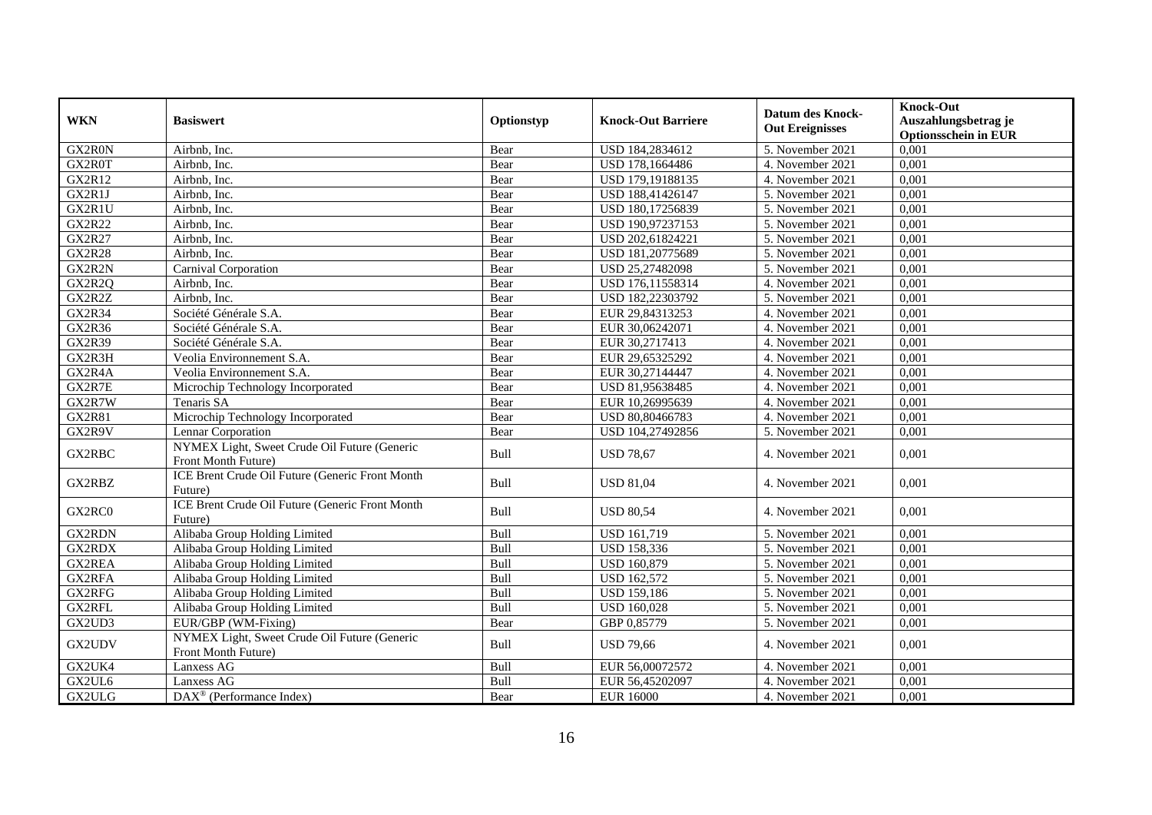| <b>WKN</b>    | <b>Basiswert</b>                                                    | Optionstyp | <b>Knock-Out Barriere</b> | <b>Datum des Knock-</b><br><b>Out Ereignisses</b> | <b>Knock-Out</b><br>Auszahlungsbetrag je<br><b>Optionsschein in EUR</b> |
|---------------|---------------------------------------------------------------------|------------|---------------------------|---------------------------------------------------|-------------------------------------------------------------------------|
| GX2R0N        | Airbnb, Inc.                                                        | Bear       | USD 184,2834612           | 5. November 2021                                  | 0,001                                                                   |
| GX2R0T        | Airbnb, Inc.                                                        | Bear       | USD 178,1664486           | 4. November 2021                                  | 0,001                                                                   |
| <b>GX2R12</b> | Airbnb, Inc.                                                        | Bear       | USD 179,19188135          | 4. November 2021                                  | 0,001                                                                   |
| GX2R1J        | Airbnb, Inc.                                                        | Bear       | USD 188,41426147          | 5. November 2021                                  | 0,001                                                                   |
| GX2R1U        | Airbnb, Inc.                                                        | Bear       | USD 180,17256839          | 5. November 2021                                  | 0,001                                                                   |
| <b>GX2R22</b> | Airbnb, Inc.                                                        | Bear       | USD 190,97237153          | 5. November 2021                                  | 0,001                                                                   |
| <b>GX2R27</b> | Airbnb, Inc.                                                        | Bear       | USD 202,61824221          | 5. November 2021                                  | 0,001                                                                   |
| <b>GX2R28</b> | Airbnb. Inc.                                                        | Bear       | USD 181,20775689          | 5. November 2021                                  | 0,001                                                                   |
| GX2R2N        | Carnival Corporation                                                | Bear       | USD 25,27482098           | 5. November 2021                                  | 0,001                                                                   |
| GX2R2Q        | Airbnb, Inc.                                                        | Bear       | USD 176,11558314          | 4. November 2021                                  | 0,001                                                                   |
| GX2R2Z        | Airbnb, Inc.                                                        | Bear       | USD 182,22303792          | 5. November 2021                                  | 0,001                                                                   |
| <b>GX2R34</b> | Société Générale S.A.                                               | Bear       | EUR 29,84313253           | 4. November 2021                                  | 0,001                                                                   |
| <b>GX2R36</b> | Société Générale S.A.                                               | Bear       | EUR 30,06242071           | 4. November 2021                                  | 0,001                                                                   |
| <b>GX2R39</b> | Société Générale S.A.                                               | Bear       | EUR 30,2717413            | 4. November 2021                                  | 0,001                                                                   |
| GX2R3H        | Veolia Environnement S.A.                                           | Bear       | EUR 29,65325292           | 4. November 2021                                  | 0,001                                                                   |
| GX2R4A        | Veolia Environnement S.A.                                           | Bear       | EUR 30,27144447           | 4. November 2021                                  | 0,001                                                                   |
| GX2R7E        | Microchip Technology Incorporated                                   | Bear       | USD 81,95638485           | 4. November 2021                                  | 0,001                                                                   |
| GX2R7W        | Tenaris SA                                                          | Bear       | EUR 10,26995639           | 4. November 2021                                  | 0,001                                                                   |
| <b>GX2R81</b> | Microchip Technology Incorporated                                   | Bear       | USD 80,80466783           | 4. November 2021                                  | 0,001                                                                   |
| GX2R9V        | Lennar Corporation                                                  | Bear       | USD 104,27492856          | 5. November 2021                                  | 0,001                                                                   |
| GX2RBC        | NYMEX Light, Sweet Crude Oil Future (Generic<br>Front Month Future) | Bull       | <b>USD 78,67</b>          | 4. November 2021                                  | 0,001                                                                   |
| GX2RBZ        | ICE Brent Crude Oil Future (Generic Front Month<br>Future)          | Bull       | <b>USD 81,04</b>          | 4. November 2021                                  | 0,001                                                                   |
| GX2RC0        | ICE Brent Crude Oil Future (Generic Front Month<br>Future)          | Bull       | <b>USD 80,54</b>          | 4. November 2021                                  | 0,001                                                                   |
| GX2RDN        | Alibaba Group Holding Limited                                       | Bull       | <b>USD 161,719</b>        | $\overline{5}$ . November 2021                    | 0,001                                                                   |
| GX2RDX        | Alibaba Group Holding Limited                                       | Bull       | <b>USD 158,336</b>        | 5. November 2021                                  | 0,001                                                                   |
| GX2REA        | Alibaba Group Holding Limited                                       | Bull       | <b>USD 160,879</b>        | 5. November 2021                                  | 0,001                                                                   |
| GX2RFA        | Alibaba Group Holding Limited                                       | Bull       | <b>USD 162.572</b>        | 5. November 2021                                  | 0,001                                                                   |
| GX2RFG        | Alibaba Group Holding Limited                                       | Bull       | <b>USD 159,186</b>        | 5. November 2021                                  | 0,001                                                                   |
| GX2RFL        | Alibaba Group Holding Limited                                       | Bull       | <b>USD 160,028</b>        | 5. November 2021                                  | 0,001                                                                   |
| GX2UD3        | EUR/GBP (WM-Fixing)                                                 | Bear       | GBP 0,85779               | 5. November 2021                                  | 0,001                                                                   |
| GX2UDV        | NYMEX Light, Sweet Crude Oil Future (Generic<br>Front Month Future) | Bull       | <b>USD 79,66</b>          | 4. November 2021                                  | 0.001                                                                   |
| GX2UK4        | Lanxess AG                                                          | Bull       | EUR 56,00072572           | 4. November 2021                                  | 0,001                                                                   |
| GX2UL6        | Lanxess AG                                                          | Bull       | EUR 56,45202097           | 4. November 2021                                  | 0,001                                                                   |
| GX2ULG        | DAX <sup>®</sup> (Performance Index)                                | Bear       | <b>EUR 16000</b>          | 4. November 2021                                  | 0,001                                                                   |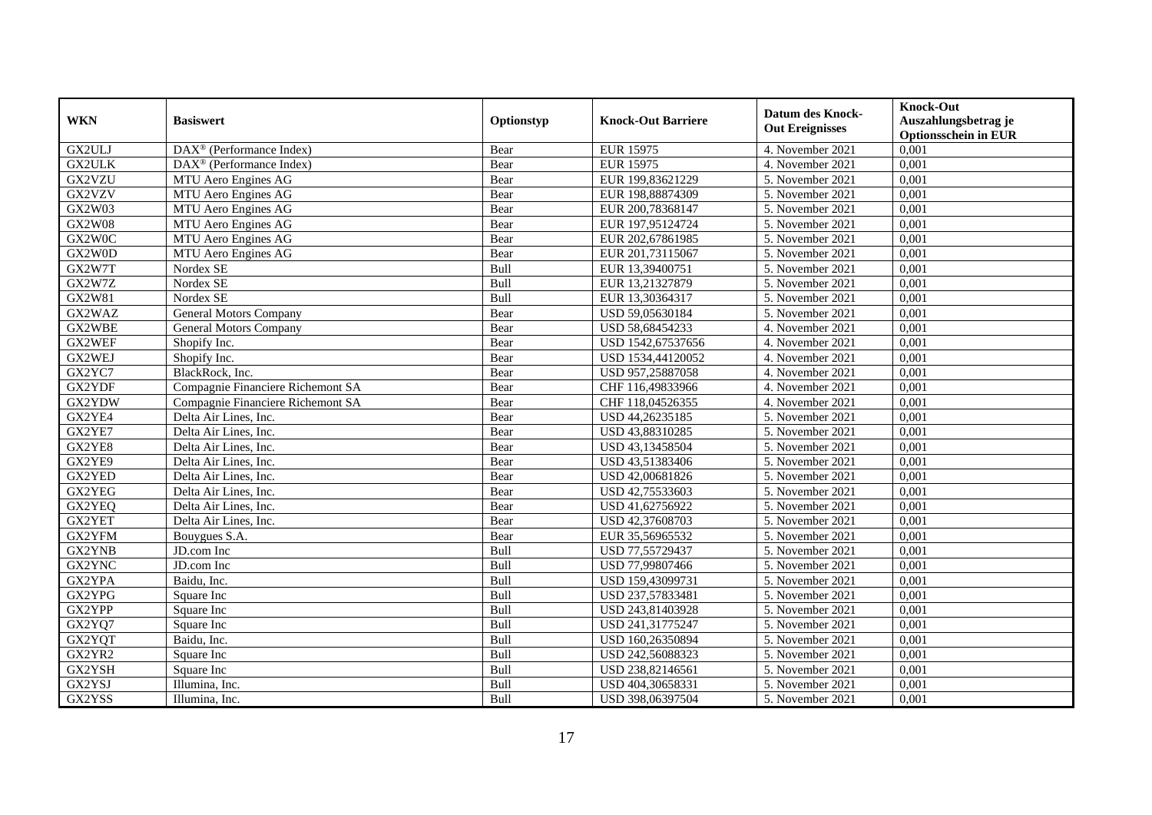|                  | <b>Basiswert</b>                                      | Optionstyp   | <b>Knock-Out Barriere</b>            | <b>Datum des Knock-</b> | <b>Knock-Out</b>                                    |
|------------------|-------------------------------------------------------|--------------|--------------------------------------|-------------------------|-----------------------------------------------------|
| <b>WKN</b>       |                                                       |              |                                      | <b>Out Ereignisses</b>  | Auszahlungsbetrag je<br><b>Optionsschein in EUR</b> |
| GX2ULJ           | $\overline{\text{DAX}^{\otimes}}$ (Performance Index) | Bear         | <b>EUR 15975</b>                     | 4. November 2021        | 0,001                                               |
| <b>GX2ULK</b>    | DAX <sup>®</sup> (Performance Index)                  | Bear         | <b>EUR 15975</b>                     | 4. November 2021        | 0,001                                               |
| GX2VZU           |                                                       |              |                                      | 5. November 2021        | 0,001                                               |
|                  | MTU Aero Engines AG                                   | Bear         | EUR 199,83621229                     | 5. November 2021        | 0,001                                               |
| GX2VZV<br>GX2W03 | MTU Aero Engines AG<br>MTU Aero Engines AG            | Bear<br>Bear | EUR 198,88874309<br>EUR 200,78368147 | 5. November 2021        | 0,001                                               |
| <b>GX2W08</b>    |                                                       |              |                                      |                         |                                                     |
|                  | MTU Aero Engines AG                                   | Bear         | EUR 197,95124724                     | 5. November 2021        | 0,001                                               |
| GX2W0C           | MTU Aero Engines AG                                   | Bear         | EUR 202,67861985                     | 5. November 2021        | 0,001                                               |
| GX2W0D           | MTU Aero Engines AG                                   | Bear         | EUR 201,73115067                     | 5. November 2021        | 0,001                                               |
| GX2W7T           | Nordex SE                                             | Bull         | EUR 13,39400751                      | 5. November 2021        | 0,001                                               |
| GX2W7Z           | Nordex SE                                             | Bull         | EUR 13,21327879                      | 5. November 2021        | 0,001                                               |
| GX2W81           | Nordex SE                                             | Bull         | EUR 13,30364317                      | 5. November 2021        | 0,001                                               |
| GX2WAZ           | <b>General Motors Company</b>                         | Bear         | USD 59,05630184                      | 5. November 2021        | 0,001                                               |
| GX2WBE           | <b>General Motors Company</b>                         | Bear         | USD 58,68454233                      | 4. November 2021        | 0,001                                               |
| GX2WEF           | Shopify Inc.                                          | Bear         | USD 1542,67537656                    | 4. November 2021        | 0,001                                               |
| GX2WEJ           | Shopify Inc.                                          | Bear         | USD 1534,44120052                    | 4. November 2021        | 0,001                                               |
| GX2YC7           | BlackRock, Inc.                                       | Bear         | USD 957,25887058                     | 4. November 2021        | 0,001                                               |
| GX2YDF           | Compagnie Financiere Richemont SA                     | Bear         | CHF 116,49833966                     | 4. November 2021        | 0,001                                               |
| GX2YDW           | Compagnie Financiere Richemont SA                     | Bear         | CHF 118,04526355                     | 4. November 2021        | 0.001                                               |
| GX2YE4           | Delta Air Lines, Inc.                                 | Bear         | USD 44,26235185                      | 5. November 2021        | 0,001                                               |
| GX2YE7           | Delta Air Lines, Inc.                                 | Bear         | USD 43,88310285                      | 5. November 2021        | 0,001                                               |
| GX2YE8           | Delta Air Lines, Inc.                                 | Bear         | USD 43,13458504                      | 5. November 2021        | 0,001                                               |
| GX2YE9           | Delta Air Lines, Inc.                                 | Bear         | USD 43,51383406                      | 5. November 2021        | 0,001                                               |
| GX2YED           | Delta Air Lines, Inc.                                 | Bear         | USD 42,00681826                      | 5. November 2021        | 0,001                                               |
| GX2YEG           | Delta Air Lines, Inc.                                 | Bear         | USD 42,75533603                      | 5. November 2021        | 0,001                                               |
| GX2YEQ           | Delta Air Lines, Inc.                                 | Bear         | USD 41,62756922                      | 5. November 2021        | 0,001                                               |
| GX2YET           | Delta Air Lines, Inc.                                 | Bear         | USD 42,37608703                      | 5. November 2021        | 0,001                                               |
| GX2YFM           | Bouygues S.A.                                         | Bear         | EUR 35,56965532                      | 5. November 2021        | 0,001                                               |
| GX2YNB           | JD.com Inc                                            | Bull         | USD 77,55729437                      | 5. November 2021        | 0,001                                               |
| GX2YNC           | JD.com Inc                                            | Bull         | USD 77,99807466                      | 5. November 2021        | 0,001                                               |
| GX2YPA           | Baidu, Inc.                                           | Bull         | USD 159,43099731                     | 5. November 2021        | 0,001                                               |
| GX2YPG           | Square Inc                                            | Bull         | USD 237,57833481                     | 5. November 2021        | 0,001                                               |
| GX2YPP           | Square Inc                                            | <b>Bull</b>  | USD 243,81403928                     | 5. November 2021        | 0,001                                               |
| GX2YQ7           | Square Inc                                            | Bull         | USD 241,31775247                     | 5. November 2021        | 0,001                                               |
| GX2YQT           | Baidu, Inc.                                           | Bull         | USD 160,26350894                     | 5. November 2021        | 0,001                                               |
| GX2YR2           | Square Inc                                            | Bull         | USD 242,56088323                     | 5. November 2021        | 0,001                                               |
| GX2YSH           | Square Inc                                            | Bull         | USD 238,82146561                     | 5. November 2021        | 0,001                                               |
| GX2YSJ           | Illumina, Inc.                                        | Bull         | USD 404,30658331                     | 5. November 2021        | 0,001                                               |
| GX2YSS           | Illumina, Inc.                                        | Bull         | USD 398,06397504                     | 5. November 2021        | 0,001                                               |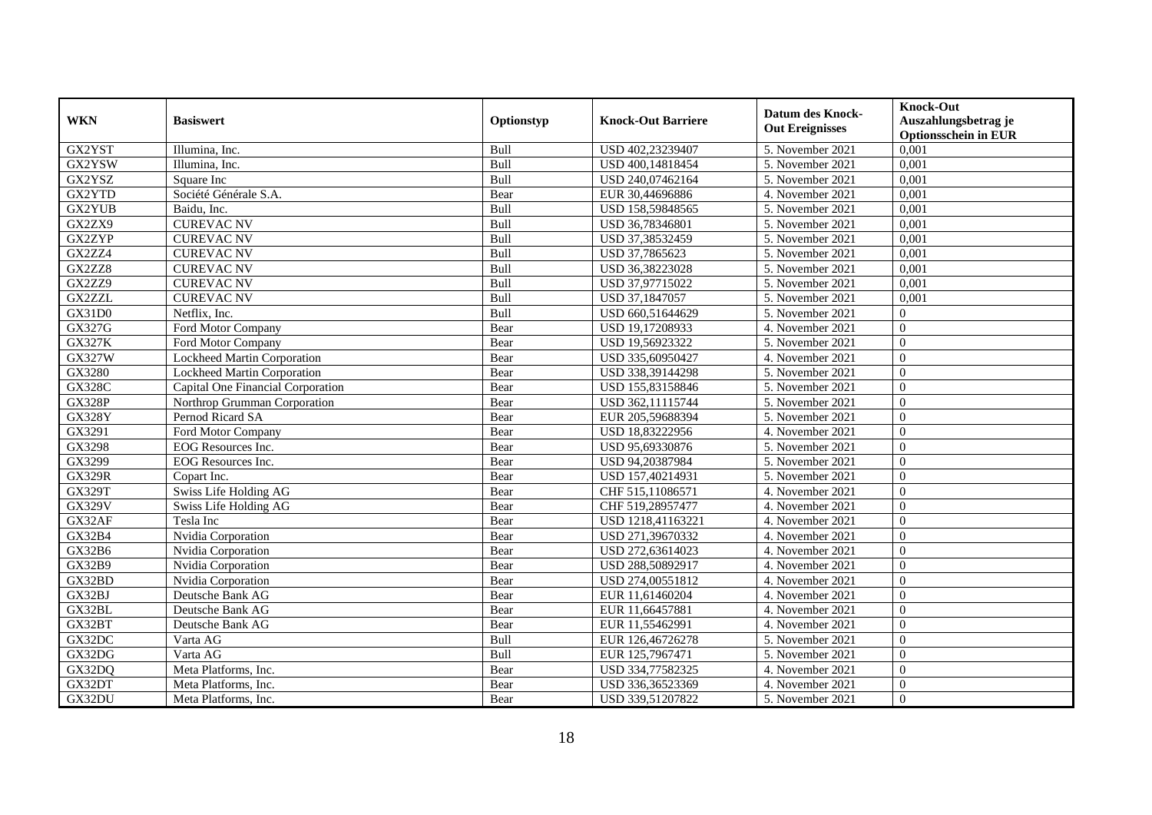| <b>WKN</b>    | <b>Basiswert</b>                  | Optionstyp  | <b>Knock-Out Barriere</b> | <b>Datum des Knock-</b><br><b>Out Ereignisses</b> | <b>Knock-Out</b><br>Auszahlungsbetrag je<br><b>Optionsschein in EUR</b> |
|---------------|-----------------------------------|-------------|---------------------------|---------------------------------------------------|-------------------------------------------------------------------------|
| GX2YST        | Illumina, Inc.                    | Bull        | USD 402,23239407          | 5. November 2021                                  | 0,001                                                                   |
| GX2YSW        | Illumina, Inc.                    | Bull        | USD 400,14818454          | 5. November 2021                                  | 0,001                                                                   |
| GX2YSZ        | Square Inc                        | Bull        | USD 240,07462164          | 5. November 2021                                  | 0,001                                                                   |
| GX2YTD        | Société Générale S.A.             | Bear        | EUR 30,44696886           | 4. November 2021                                  | 0,001                                                                   |
| GX2YUB        | Baidu, Inc.                       | Bull        | USD 158,59848565          | 5. November 2021                                  | 0,001                                                                   |
| GX2ZX9        | <b>CUREVAC NV</b>                 | Bull        | USD 36,78346801           | 5. November 2021                                  | 0,001                                                                   |
| GX2ZYP        | <b>CUREVAC NV</b>                 | Bull        | USD 37,38532459           | 5. November 2021                                  | 0,001                                                                   |
| GX2ZZ4        | <b>CUREVAC NV</b>                 | Bull        | USD 37,7865623            | 5. November 2021                                  | 0,001                                                                   |
| GX2ZZ8        | <b>CUREVAC NV</b>                 | Bull        | USD 36,38223028           | 5. November 2021                                  | 0,001                                                                   |
| GX2ZZ9        | <b>CUREVAC NV</b>                 | Bull        | USD 37,97715022           | 5. November 2021                                  | 0,001                                                                   |
| <b>GX2ZZL</b> | <b>CUREVAC NV</b>                 | <b>Bull</b> | USD 37,1847057            | 5. November 2021                                  | 0,001                                                                   |
| GX31D0        | Netflix, Inc.                     | Bull        | USD 660,51644629          | 5. November 2021                                  | $\overline{0}$                                                          |
| GX327G        | Ford Motor Company                | Bear        | USD 19,17208933           | 4. November 2021                                  | $\overline{0}$                                                          |
| <b>GX327K</b> | Ford Motor Company                | Bear        | USD 19,56923322           | 5. November 2021                                  | $\overline{0}$                                                          |
| GX327W        | Lockheed Martin Corporation       | Bear        | USD 335,60950427          | 4. November 2021                                  | $\overline{0}$                                                          |
| GX3280        | Lockheed Martin Corporation       | Bear        | USD 338,39144298          | 5. November 2021                                  | $\overline{0}$                                                          |
| <b>GX328C</b> | Capital One Financial Corporation | Bear        | USD 155,83158846          | 5. November 2021                                  | $\overline{0}$                                                          |
| <b>GX328P</b> | Northrop Grumman Corporation      | Bear        | USD 362,11115744          | 5. November 2021                                  | $\Omega$                                                                |
| <b>GX328Y</b> | Pernod Ricard SA                  | Bear        | EUR 205,59688394          | 5. November 2021                                  | $\overline{0}$                                                          |
| GX3291        | Ford Motor Company                | Bear        | USD 18,83222956           | 4. November 2021                                  | $\overline{0}$                                                          |
| GX3298        | EOG Resources Inc.                | Bear        | USD 95,69330876           | 5. November 2021                                  | $\overline{0}$                                                          |
| GX3299        | EOG Resources Inc.                | Bear        | USD 94,20387984           | 5. November 2021                                  | $\overline{0}$                                                          |
| <b>GX329R</b> | Copart Inc.                       | Bear        | USD 157,40214931          | 5. November 2021                                  | $\overline{0}$                                                          |
| <b>GX329T</b> | <b>Swiss Life Holding AG</b>      | Bear        | CHF 515,11086571          | 4. November 2021                                  | $\overline{0}$                                                          |
| <b>GX329V</b> | Swiss Life Holding AG             | Bear        | CHF 519,28957477          | 4. November 2021                                  | $\overline{0}$                                                          |
| GX32AF        | Tesla Inc                         | Bear        | USD 1218,41163221         | 4. November 2021                                  | $\overline{0}$                                                          |
| GX32B4        | Nvidia Corporation                | Bear        | USD 271,39670332          | 4. November 2021                                  | $\overline{0}$                                                          |
| GX32B6        | Nvidia Corporation                | Bear        | USD 272,63614023          | 4. November 2021                                  | $\theta$                                                                |
| <b>GX32B9</b> | Nvidia Corporation                | Bear        | USD 288,50892917          | 4. November 2021                                  | $\Omega$                                                                |
| GX32BD        | Nvidia Corporation                | Bear        | USD 274,00551812          | 4. November 2021                                  | $\theta$                                                                |
| GX32BJ        | Deutsche Bank AG                  | Bear        | EUR 11,61460204           | 4. November 2021                                  | $\overline{0}$                                                          |
| GX32BL        | Deutsche Bank AG                  | Bear        | EUR 11,66457881           | 4. November 2021                                  | $\overline{0}$                                                          |
| GX32BT        | Deutsche Bank AG                  | Bear        | EUR 11,55462991           | 4. November 2021                                  | $\overline{0}$                                                          |
| GX32DC        | Varta AG                          | <b>Bull</b> | EUR 126,46726278          | 5. November 2021                                  | $\overline{0}$                                                          |
| GX32DG        | Varta AG                          | <b>Bull</b> | EUR 125,7967471           | 5. November 2021                                  | $\overline{0}$                                                          |
| GX32DQ        | Meta Platforms, Inc.              | Bear        | USD 334,77582325          | 4. November 2021                                  | $\overline{0}$                                                          |
| GX32DT        | Meta Platforms, Inc.              | Bear        | USD 336,36523369          | 4. November 2021                                  | $\overline{0}$                                                          |
| GX32DU        | Meta Platforms, Inc.              | Bear        | USD 339,51207822          | 5. November 2021                                  | $\mathbf{0}$                                                            |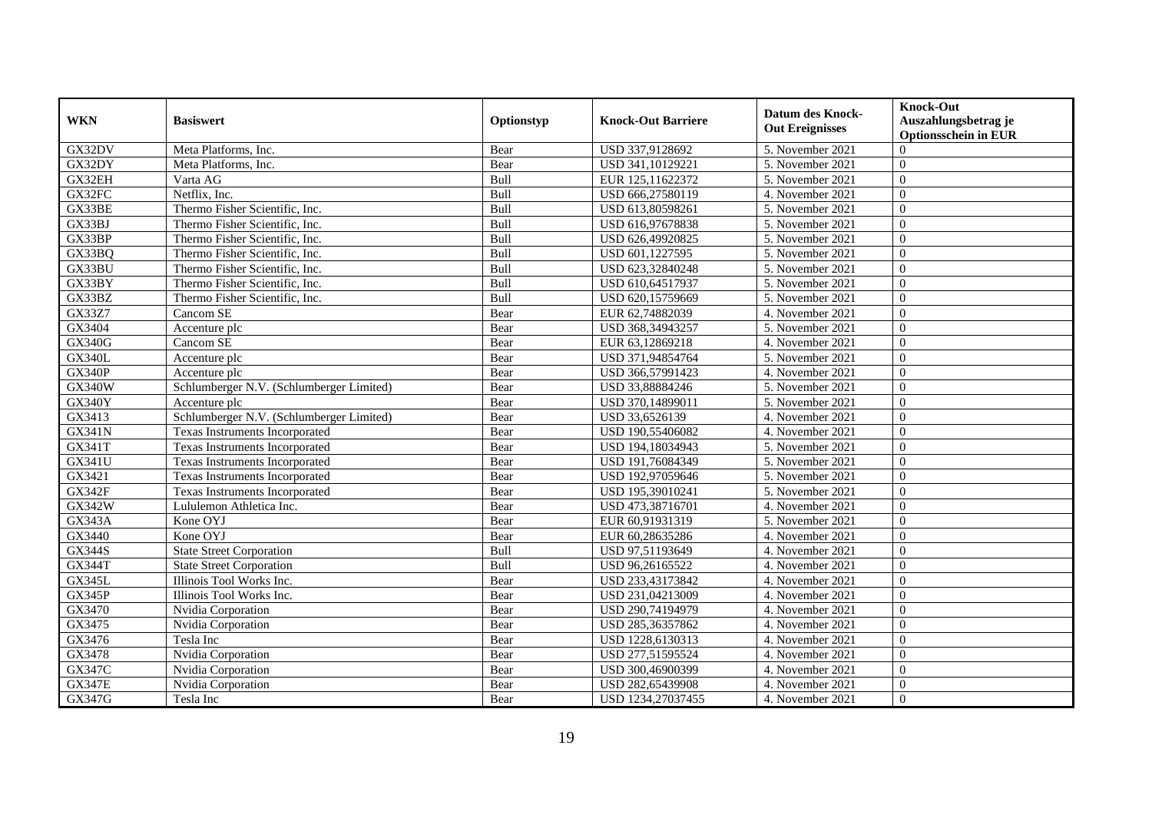|                     |                                          |             |                           | <b>Datum des Knock-</b> | <b>Knock-Out</b>            |
|---------------------|------------------------------------------|-------------|---------------------------|-------------------------|-----------------------------|
| <b>WKN</b>          | <b>Basiswert</b>                         | Optionstyp  | <b>Knock-Out Barriere</b> | <b>Out Ereignisses</b>  | Auszahlungsbetrag je        |
|                     |                                          |             |                           |                         | <b>Optionsschein in EUR</b> |
| GX32DV              | Meta Platforms, Inc.                     | Bear        | USD 337,9128692           | 5. November 2021        | $\Omega$                    |
| GX32DY              | Meta Platforms, Inc.                     | Bear        | USD 341,10129221          | 5. November 2021        | $\overline{0}$              |
| GX32EH              | Varta AG                                 | Bull        | EUR 125,11622372          | 5. November 2021        | $\overline{0}$              |
| GX32FC              | Netflix, Inc.                            | Bull        | USD 666,27580119          | 4. November 2021        | $\Omega$                    |
| GX33BE              | Thermo Fisher Scientific, Inc.           | Bull        | USD 613,80598261          | 5. November 2021        | $\Omega$                    |
| GX33BJ              | Thermo Fisher Scientific, Inc.           | Bull        | USD 616,97678838          | 5. November 2021        | $\theta$                    |
| GX33BP              | Thermo Fisher Scientific. Inc.           | Bull        | USD 626,49920825          | 5. November 2021        | $\Omega$                    |
| GX33BQ              | Thermo Fisher Scientific, Inc.           | <b>Bull</b> | USD 601,1227595           | 5. November 2021        | $\overline{0}$              |
| GX33BU              | Thermo Fisher Scientific, Inc.           | Bull        | USD 623,32840248          | 5. November 2021        | $\overline{0}$              |
| GX33BY              | Thermo Fisher Scientific, Inc.           | Bull        | USD 610,64517937          | 5. November 2021        | $\overline{0}$              |
| GX33BZ              | Thermo Fisher Scientific. Inc.           | Bull        | USD 620,15759669          | 5. November 2021        | $\theta$                    |
| GX33Z7              | Cancom SE                                | Bear        | EUR 62,74882039           | 4. November 2021        | $\theta$                    |
| GX3404              | Accenture plc                            | Bear        | USD 368,34943257          | 5. November 2021        | $\Omega$                    |
| <b>GX340G</b>       | Cancom SE                                | Bear        | EUR 63,12869218           | 4. November 2021        | $\Omega$                    |
| <b>GX340L</b>       | Accenture plc                            | Bear        | USD 371,94854764          | 5. November 2021        | $\mathbf{0}$                |
| <b>GX340P</b>       | Accenture plc                            | Bear        | USD 366,57991423          | 4. November 2021        | $\overline{0}$              |
| <b>GX340W</b>       | Schlumberger N.V. (Schlumberger Limited) | Bear        | USD 33,88884246           | 5. November 2021        | $\overline{0}$              |
| <b>GX340Y</b>       | Accenture plc                            | Bear        | USD 370,14899011          | 5. November 2021        | $\Omega$                    |
| GX3413              | Schlumberger N.V. (Schlumberger Limited) | Bear        | USD 33,6526139            | 4. November 2021        | $\theta$                    |
| <b>GX341N</b>       | <b>Texas Instruments Incorporated</b>    | Bear        | USD 190,55406082          | 4. November 2021        | $\overline{0}$              |
| GX341T              | Texas Instruments Incorporated           | Bear        | USD 194,18034943          | 5. November 2021        | $\Omega$                    |
| GX341U              | Texas Instruments Incorporated           | Bear        | USD 191,76084349          | 5. November 2021        | $\Omega$                    |
| $G\overline{X3421}$ | Texas Instruments Incorporated           | Bear        | USD 192,97059646          | 5. November 2021        | $\overline{0}$              |
| <b>GX342F</b>       | Texas Instruments Incorporated           | Bear        | USD 195,39010241          | 5. November 2021        | $\overline{0}$              |
| GX342W              | Lululemon Athletica Inc.                 | Bear        | USD 473,38716701          | 4. November 2021        | $\theta$                    |
| <b>GX343A</b>       | Kone OYJ                                 | Bear        | EUR 60,91931319           | 5. November 2021        | $\theta$                    |
| GX3440              | Kone OYJ                                 | Bear        | EUR 60,28635286           | 4. November 2021        | $\mathbf{0}$                |
| GX344S              | <b>State Street Corporation</b>          | Bull        | USD 97,51193649           | 4. November 2021        | $\theta$                    |
| <b>GX344T</b>       | <b>State Street Corporation</b>          | Bull        | USD 96,26165522           | 4. November 2021        | $\Omega$                    |
| <b>GX345L</b>       | Illinois Tool Works Inc.                 | Bear        | USD 233,43173842          | 4. November 2021        | $\overline{0}$              |
| <b>GX345P</b>       | Illinois Tool Works Inc.                 | Bear        | USD 231,04213009          | 4. November 2021        | $\overline{0}$              |
| GX3470              | Nvidia Corporation                       | Bear        | USD 290,74194979          | 4. November 2021        | $\Omega$                    |
| GX3475              | Nvidia Corporation                       | Bear        | USD 285,36357862          | 4. November 2021        | $\Omega$                    |
| $G$ $X$ 3476        | Tesla Inc                                | Bear        | USD 1228,6130313          | 4. November 2021        | $\overline{0}$              |
| GX3478              | Nvidia Corporation                       | Bear        | USD 277,51595524          | 4. November 2021        | $\overline{0}$              |
| <b>GX347C</b>       | Nvidia Corporation                       | Bear        | USD 300,46900399          | 4. November 2021        | $\theta$                    |
| <b>GX347E</b>       | Nvidia Corporation                       | Bear        | USD 282,65439908          | 4. November 2021        | $\boldsymbol{0}$            |
| GX347G              | Tesla Inc                                | Bear        | USD 1234,27037455         | 4. November 2021        | $\overline{0}$              |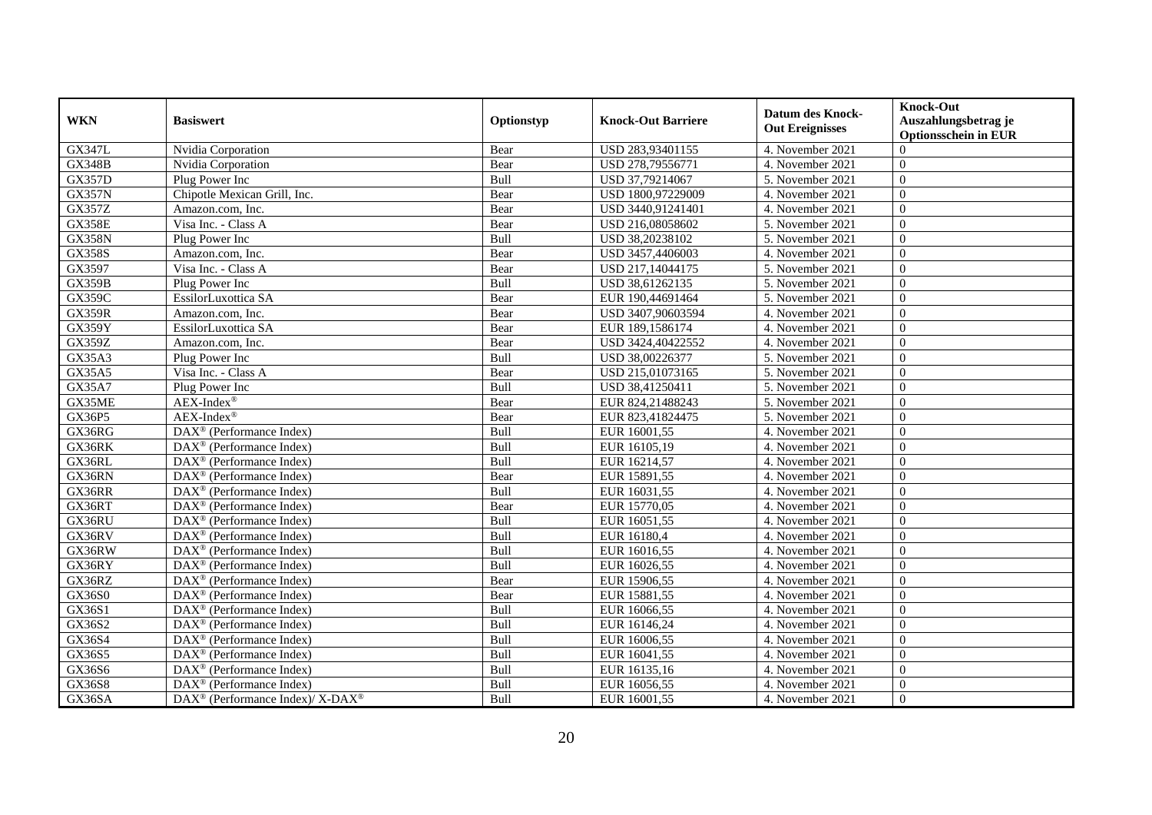|                     |                                                                          |             |                                      | <b>Datum des Knock-</b>              | <b>Knock-Out</b>                        |
|---------------------|--------------------------------------------------------------------------|-------------|--------------------------------------|--------------------------------------|-----------------------------------------|
| <b>WKN</b>          | <b>Basiswert</b>                                                         | Optionstyp  | <b>Knock-Out Barriere</b>            | <b>Out Ereignisses</b>               | Auszahlungsbetrag je                    |
| <b>GX347L</b>       |                                                                          |             |                                      |                                      | <b>Optionsschein in EUR</b><br>$\Omega$ |
| <b>GX348B</b>       | Nvidia Corporation                                                       | Bear        | USD 283,93401155<br>USD 278,79556771 | 4. November 2021<br>4. November 2021 | $\overline{0}$                          |
|                     | Nvidia Corporation                                                       | Bear        |                                      |                                      |                                         |
| <b>GX357D</b>       | Plug Power Inc                                                           | <b>Bull</b> | USD 37,79214067                      | 5. November 2021                     | $\overline{0}$                          |
| <b>GX357N</b>       | Chipotle Mexican Grill, Inc.                                             | Bear        | USD 1800,97229009                    | 4. November 2021                     | $\Omega$                                |
| <b>GX357Z</b>       | Amazon.com, Inc.                                                         | Bear        | USD 3440,91241401                    | 4. November 2021                     | $\Omega$                                |
| GX358E              | Visa Inc. - Class A                                                      | Bear        | USD 216,08058602                     | 5. November 2021                     | $\theta$                                |
| <b>GX358N</b>       | Plug Power Inc                                                           | Bull        | USD 38,20238102                      | 5. November 2021                     | $\Omega$                                |
| <b>GX358S</b>       | Amazon.com, Inc.                                                         | Bear        | USD 3457,4406003                     | 4. November 2021                     | $\overline{0}$                          |
| GX3597              | Visa Inc. - Class A                                                      | Bear        | USD 217,14044175                     | 5. November 2021                     | $\overline{0}$                          |
| <b>GX359B</b>       | Plug Power Inc                                                           | Bull        | USD 38,61262135                      | 5. November 2021                     | $\overline{0}$                          |
| <b>GX359C</b>       | EssilorLuxottica SA                                                      | Bear        | EUR 190,44691464                     | 5. November 2021                     | $\theta$                                |
| <b>GX359R</b>       | Amazon.com, Inc.                                                         | Bear        | USD 3407,90603594                    | 4. November 2021                     | $\theta$                                |
| GX359Y              | EssilorLuxottica SA                                                      | Bear        | EUR 189,1586174                      | 4. November 2021                     | $\Omega$                                |
| GX359Z              | Amazon.com. Inc.                                                         | Bear        | USD 3424,40422552                    | 4. November 2021                     | $\Omega$                                |
| GX35A3              | Plug Power Inc                                                           | Bull        | USD 38,00226377                      | 5. November 2021                     | $\mathbf{0}$                            |
| GX35A5              | Visa Inc. - Class A                                                      | Bear        | USD 215,01073165                     | 5. November 2021                     | $\overline{0}$                          |
| GX35A7              | Plug Power Inc                                                           | <b>Bull</b> | USD 38,41250411                      | 5. November 2021                     | $\overline{0}$                          |
| GX35ME              | $AEX-Index^{\circledR}$                                                  | Bear        | EUR 824,21488243                     | 5. November 2021                     | $\theta$                                |
| GX36P5              | $AEX-Index^{\circledR}$                                                  | Bear        | EUR 823,41824475                     | 5. November 2021                     | $\theta$                                |
| GX36RG              | DAX <sup>®</sup> (Performance Index)                                     | Bull        | EUR 16001,55                         | 4. November 2021                     | $\overline{0}$                          |
| GX36RK              | $DAX^{\circledR}$ (Performance Index)                                    | Bull        | EUR 16105,19                         | 4. November 2021                     | $\overline{0}$                          |
| GX36RL              | $\text{DAX}^{\textcircled{}}$ (Performance Index)                        | Bull        | EUR 16214,57                         | 4. November 2021                     | $\Omega$                                |
| GX36RN              | DAX <sup>®</sup> (Performance Index)                                     | Bear        | EUR 15891,55                         | 4. November 2021                     | $\overline{0}$                          |
| GX36RR              | $\text{DAX}^{\textcircled{n}}$ (Performance Index)                       | <b>Bull</b> | EUR 16031,55                         | 4. November 2021                     | $\overline{0}$                          |
| GX36RT              | $DAX^{\circledR}$ (Performance Index)                                    | Bear        | EUR 15770,05                         | 4. November 2021                     | $\theta$                                |
| GX36RU              | DAX <sup>®</sup> (Performance Index)                                     | Bull        | EUR 16051,55                         | 4. November 2021                     | $\theta$                                |
| GX36RV              | DAX <sup>®</sup> (Performance Index)                                     | Bull        | EUR 16180,4                          | 4. November 2021                     | $\mathbf{0}$                            |
| GX36RW              | $\text{DAX}^{\textcircled{}}$ (Performance Index)                        | Bull        | EUR 16016,55                         | 4. November 2021                     | $\theta$                                |
| GX36RY              | $\overline{\text{DAX}^{\otimes}}$ (Performance Index)                    | Bull        | EUR 16026,55                         | 4. November 2021                     | $\theta$                                |
| GX36RZ              | $\text{DAX}^{\textcircled{n}}$ (Performance Index)                       | Bear        | EUR 15906,55                         | 4. November 2021                     | $\overline{0}$                          |
| GX36S0              | DAX <sup>®</sup> (Performance Index)                                     | Bear        | EUR 15881,55                         | 4. November 2021                     | $\overline{0}$                          |
| GX36S1              | $DAX^{\circledR}$ (Performance Index)                                    | Bull        | EUR 16066,55                         | 4. November 2021                     | $\theta$                                |
| GX36S2              | $\text{DAX}^{\textcircled{}}$ (Performance Index)                        | Bull        | EUR 16146,24                         | 4. November 2021                     | $\theta$                                |
| $G\overline{X36S4}$ | DAX <sup>®</sup> (Performance Index)                                     | Bull        | EUR 16006,55                         | 4. November 2021                     | $\overline{0}$                          |
| GX36S5              | DAX <sup>®</sup> (Performance Index)                                     | Bull        | EUR 16041,55                         | 4. November 2021                     | $\overline{0}$                          |
| GX36S6              | $\text{DAX}^{\textcircled{}}$ (Performance Index)                        | Bull        | EUR 16135,16                         | 4. November 2021                     | $\theta$                                |
| GX36S8              | $DAX^{\circledast}$ (Performance Index)                                  | Bull        | EUR 16056,55                         | 4. November 2021                     | $\boldsymbol{0}$                        |
| GX36SA              | $\overline{\text{DAX}^{\otimes}}$ (Performance Index)/X-DAX <sup>®</sup> | Bull        | EUR 16001,55                         | 4. November 2021                     | $\overline{0}$                          |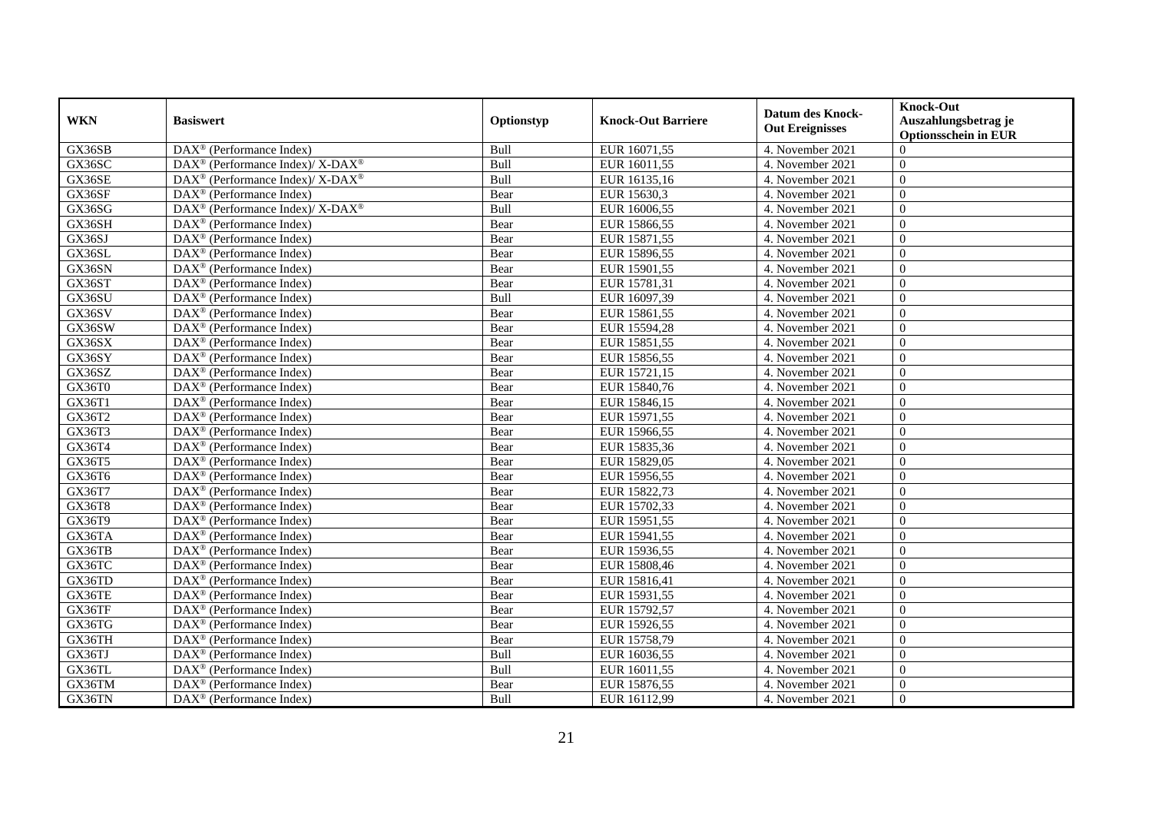|            | <b>Basiswert</b>                                                          | Optionstyp |                           | <b>Datum des Knock-</b><br><b>Out Ereignisses</b> | <b>Knock-Out</b>                        |
|------------|---------------------------------------------------------------------------|------------|---------------------------|---------------------------------------------------|-----------------------------------------|
| <b>WKN</b> |                                                                           |            | <b>Knock-Out Barriere</b> |                                                   | Auszahlungsbetrag je                    |
| GX36SB     | DAX <sup>®</sup> (Performance Index)                                      | Bull       | EUR 16071,55              | 4. November 2021                                  | <b>Optionsschein in EUR</b><br>$\Omega$ |
| GX36SC     | DAX <sup>®</sup> (Performance Index)/ X-DAX <sup>®</sup>                  | Bull       | EUR 16011,55              | 4. November 2021                                  | $\overline{0}$                          |
| GX36SE     | $DAX^{\circledast}$ (Performance Index)/ X-DAX <sup>®</sup>               | Bull       | EUR 16135,16              | 4. November 2021                                  | $\overline{0}$                          |
| GX36SF     | DAX <sup>®</sup> (Performance Index)                                      | Bear       | EUR 15630,3               | 4. November 2021                                  | $\theta$                                |
| GX36SG     | $DAX^{\circledast}$ (Performance Index)/ $\overline{X-DAX^{\circledast}}$ | Bull       | EUR 16006,55              | 4. November 2021                                  | $\Omega$                                |
| GX36SH     | $\text{DAX}^{\textcircled{}}$ (Performance Index)                         | Bear       | EUR 15866,55              | 4. November 2021                                  | $\overline{0}$                          |
| GX36SJ     | $DAX^{\circledR}$ (Performance Index)                                     | Bear       | EUR 15871,55              | 4. November 2021                                  | $\Omega$                                |
| GX36SL     | DAX <sup>®</sup> (Performance Index)                                      | Bear       | EUR 15896,55              | 4. November 2021                                  | $\overline{0}$                          |
| GX36SN     | DAX <sup>®</sup> (Performance Index)                                      | Bear       | EUR 15901,55              | 4. November 2021                                  | $\overline{0}$                          |
| GX36ST     | $DAX^{\circledast}$ (Performance Index)                                   | Bear       | EUR 15781,31              | 4. November 2021                                  | $\overline{0}$                          |
| GX36SU     | $DAX^{\circledR}$ (Performance Index)                                     | Bull       | EUR 16097,39              | 4. November 2021                                  | $\theta$                                |
| GX36SV     | DAX <sup>®</sup> (Performance Index)                                      | Bear       | EUR 15861,55              | 4. November 2021                                  | $\theta$                                |
| GX36SW     | $DAX^{\circledR}$ (Performance Index)                                     | Bear       | EUR 15594,28              | 4. November 2021                                  | $\Omega$                                |
| GX36SX     | $DAX^{\circledR}$ (Performance Index)                                     | Bear       | EUR 15851,55              | 4. November 2021                                  | $\theta$                                |
| GX36SY     | DAX <sup>®</sup> (Performance Index)                                      | Bear       | EUR 15856,55              | 4. November 2021                                  | $\overline{0}$                          |
| GX36SZ     | DAX <sup>®</sup> (Performance Index)                                      | Bear       | EUR 15721,15              | 4. November 2021                                  | $\overline{0}$                          |
| GX36T0     | DAX <sup>®</sup> (Performance Index)                                      | Bear       | EUR 15840,76              | 4. November 2021                                  | $\overline{0}$                          |
| GX36T1     | $DAX^{\circledR}$ (Performance Index)                                     | Bear       | EUR 15846,15              | 4. November 2021                                  | $\theta$                                |
| GX36T2     | $\text{DAX}^{\otimes}$ (Performance Index)                                | Bear       | EUR 15971,55              | 4. November 2021                                  | $\theta$                                |
| GX36T3     | DAX <sup>®</sup> (Performance Index)                                      | Bear       | EUR 15966,55              | 4. November 2021                                  | $\overline{0}$                          |
| GX36T4     | $DAX^{\circledR}$ (Performance Index)                                     | Bear       | EUR 15835,36              | 4. November 2021                                  | $\overline{0}$                          |
| GX36T5     | $\overline{\text{DAX}^{\otimes}}$ (Performance Index)                     | Bear       | EUR 15829,05              | 4. November 2021                                  | $\theta$                                |
| GX36T6     | DAX <sup>®</sup> (Performance Index)                                      | Bear       | EUR 15956,55              | 4. November 2021                                  | $\overline{0}$                          |
| GX36T7     | $\text{DAX}^{\textcircled{n}}$ (Performance Index)                        | Bear       | EUR 15822,73              | 4. November 2021                                  | $\overline{0}$                          |
| GX36T8     | $DAX^{\circledR}$ (Performance Index)                                     | Bear       | EUR 15702,33              | 4. November 2021                                  | $\theta$                                |
| GX36T9     | DAX <sup>®</sup> (Performance Index)                                      | Bear       | EUR 15951,55              | 4. November 2021                                  | $\theta$                                |
| GX36TA     | DAX <sup>®</sup> (Performance Index)                                      | Bear       | EUR 15941,55              | 4. November 2021                                  | $\mathbf{0}$                            |
| GX36TB     | $\text{DAX}^{\textcircled{}}$ (Performance Index)                         | Bear       | EUR 15936,55              | 4. November 2021                                  | $\theta$                                |
| GX36TC     | $\overline{\text{DAX}^{\otimes}}$ (Performance Index)                     | Bear       | EUR 15808,46              | 4. November 2021                                  | $\theta$                                |
| GX36TD     | $DAX^{\circledast}$ (Performance Index)                                   | Bear       | EUR 15816,41              | 4. November 2021                                  | $\overline{0}$                          |
| GX36TE     | $DAX^{\circledast}$ (Performance Index)                                   | Bear       | EUR 15931,55              | 4. November 2021                                  | $\overline{0}$                          |
| GX36TF     | $DAX^{\circledR}$ (Performance Index)                                     | Bear       | EUR 15792,57              | 4. November 2021                                  | $\theta$                                |
| GX36TG     | $\text{DAX}^{\textcircled{}}$ (Performance Index)                         | Bear       | EUR 15926,55              | 4. November 2021                                  | $\Omega$                                |
| GX36TH     | $\overline{\text{DAX}^{\otimes}}$ (Performance Index)                     | Bear       | EUR 15758,79              | 4. November 2021                                  | $\overline{0}$                          |
| GX36TJ     | DAX <sup>®</sup> (Performance Index)                                      | Bull       | EUR 16036,55              | 4. November 2021                                  | $\overline{0}$                          |
| GX36TL     | $\text{DAX}^{\otimes}$ (Performance Index)                                | Bull       | EUR 16011,55              | 4. November 2021                                  | $\theta$                                |
| GX36TM     | $DAX^{\circledast}$ (Performance Index)                                   | Bear       | EUR 15876,55              | 4. November 2021                                  | $\boldsymbol{0}$                        |
| GX36TN     | $\overline{\text{DAX}^{\otimes}}$ (Performance Index)                     | Bull       | EUR 16112,99              | 4. November 2021                                  | $\overline{0}$                          |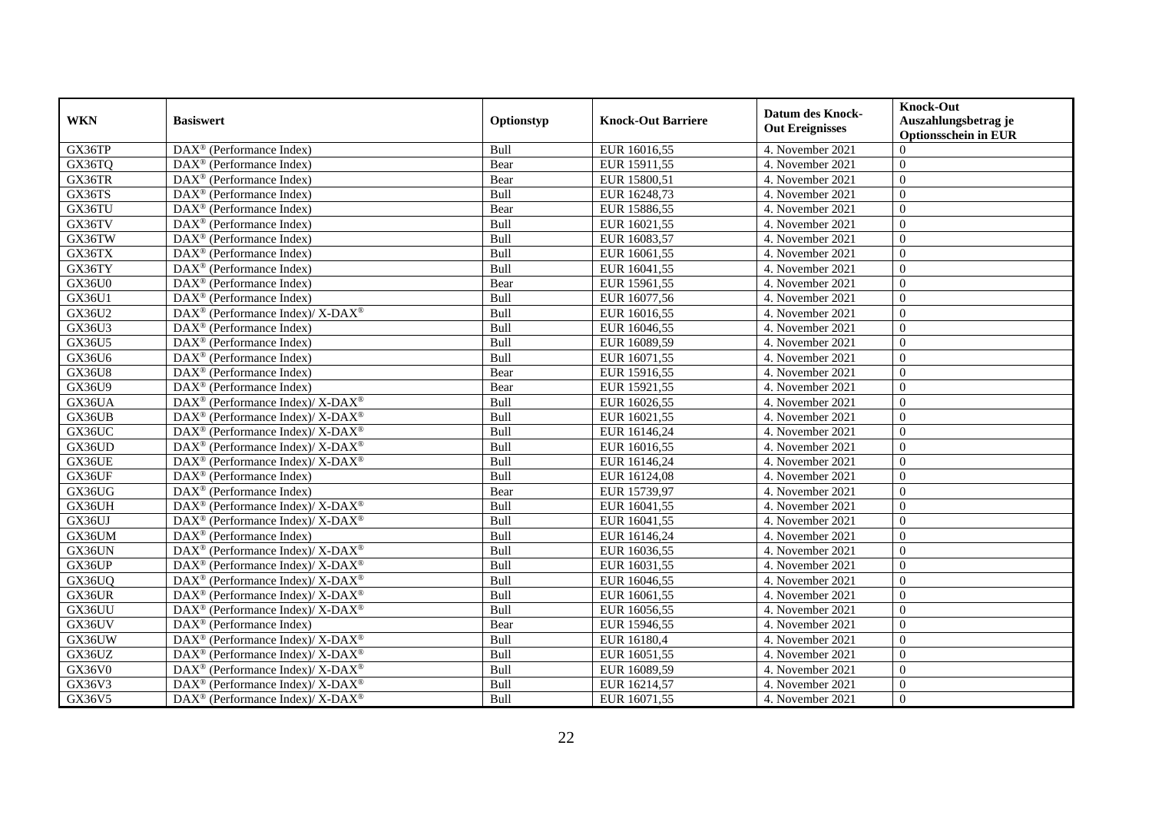|               |                                                                          |             |                           | <b>Datum des Knock-</b> | <b>Knock-Out</b>            |
|---------------|--------------------------------------------------------------------------|-------------|---------------------------|-------------------------|-----------------------------|
| <b>WKN</b>    | <b>Basiswert</b>                                                         | Optionstyp  | <b>Knock-Out Barriere</b> | <b>Out Ereignisses</b>  | Auszahlungsbetrag je        |
|               |                                                                          |             |                           |                         | <b>Optionsschein in EUR</b> |
| GX36TP        | DAX <sup>®</sup> (Performance Index)                                     | Bull        | EUR 16016,55              | 4. November 2021        | $\Omega$                    |
| GX36TQ        | DAX <sup>®</sup> (Performance Index)                                     | Bear        | EUR 15911,55              | 4. November 2021        | $\mathbf{0}$                |
| GX36TR        | $\text{DAX}^{\circledast}$ (Performance Index)                           | Bear        | EUR 15800,51              | 4. November 2021        | $\overline{0}$              |
| GX36TS        | $DAX^{\circledast}$ (Performance Index)                                  | Bull        | EUR 16248,73              | 4. November 2021        | $\theta$                    |
| GX36TU        | DAX <sup>®</sup> (Performance Index)                                     | Bear        | EUR 15886,55              | 4. November 2021        | $\Omega$                    |
| GX36TV        | $\text{DAX}^{\otimes}$ (Performance Index)                               | Bull        | EUR 16021,55              | 4. November 2021        | $\theta$                    |
| GX36TW        | $DAX^{\circledR}$ (Performance Index)                                    | Bull        | EUR 16083,57              | 4. November 2021        | $\Omega$                    |
| GX36TX        | DAX <sup>®</sup> (Performance Index)                                     | Bull        | EUR 16061,55              | 4. November 2021        | $\overline{0}$              |
| GX36TY        | DAX <sup>®</sup> (Performance Index)                                     | Bull        | EUR 16041,55              | 4. November 2021        | $\overline{0}$              |
| GX36U0        | DAX <sup>®</sup> (Performance Index)                                     | Bear        | EUR 15961,55              | 4. November 2021        | $\overline{0}$              |
| GX36U1        | $DAX^{\circledR}$ (Performance Index)                                    | Bull        | EUR 16077,56              | 4. November 2021        | $\theta$                    |
| GX36U2        | DAX <sup>®</sup> (Performance Index)/ X-DAX <sup>®</sup>                 | Bull        | EUR 16016,55              | 4. November 2021        | $\theta$                    |
| GX36U3        | DAX <sup>®</sup> (Performance Index)                                     | Bull        | EUR 16046,55              | 4. November 2021        | $\Omega$                    |
| GX36U5        | DAX <sup>®</sup> (Performance Index)                                     | Bull        | EUR 16089,59              | 4. November 2021        | $\theta$                    |
| GX36U6        | DAX <sup>®</sup> (Performance Index)                                     | Bull        | EUR 16071,55              | 4. November 2021        | $\overline{0}$              |
| <b>GX36U8</b> | DAX <sup>®</sup> (Performance Index)                                     | Bear        | EUR 15916,55              | 4. November 2021        | $\overline{0}$              |
| GX36U9        | DAX <sup>®</sup> (Performance Index)                                     | Bear        | EUR 15921,55              | 4. November 2021        | $\overline{0}$              |
| GX36UA        | $DAX^{\circledcirc}$ (Performance Index)/ X-DAX <sup>®</sup>             | <b>Bull</b> | EUR 16026,55              | 4. November 2021        | $\theta$                    |
| GX36UB        | $\overline{\text{DAX}^{\otimes}}$ (Performance Index)/X-DAX <sup>®</sup> | Bull        | EUR 16021,55              | 4. November 2021        | $\theta$                    |
| GX36UC        | DAX <sup>®</sup> (Performance Index)/ X-DAX <sup>®</sup>                 | Bull        | EUR 16146,24              | 4. November 2021        | $\overline{0}$              |
| GX36UD        | DAX <sup>®</sup> (Performance Index)/ X-DAX <sup>®</sup>                 | Bull        | EUR 16016,55              | 4. November 2021        | $\overline{0}$              |
| GX36UE        | DAX <sup>®</sup> (Performance Index)/ X-DAX <sup>®</sup>                 | Bull        | EUR 16146,24              | 4. November 2021        | $\Omega$                    |
| GX36UF        | DAX <sup>®</sup> (Performance Index)                                     | Bull        | EUR 16124,08              | 4. November 2021        | $\overline{0}$              |
| GX36UG        | $\text{DAX}^{\circledcirc}$ (Performance Index)                          | Bear        | EUR 15739,97              | 4. November 2021        | $\overline{0}$              |
| GX36UH        | $DAX^{\circledcirc}$ (Performance Index)/ X-DAX <sup>®</sup>             | Bull        | EUR 16041,55              | 4. November 2021        | $\theta$                    |
| GX36UJ        | $\overline{\text{DAX}^{\otimes}}$ (Performance Index)/X-DAX <sup>®</sup> | Bull        | EUR 16041,55              | 4. November 2021        | $\theta$                    |
| GX36UM        | $\text{DAX}^{\circledast}$ (Performance Index)                           | Bull        | EUR 16146,24              | 4. November 2021        | $\mathbf{0}$                |
| GX36UN        | DAX <sup>®</sup> (Performance Index)/ X-DAX <sup>®</sup>                 | Bull        | EUR 16036,55              | 4. November 2021        | $\theta$                    |
| GX36UP        | DAX <sup>®</sup> (Performance Index)/ X-DAX <sup>®</sup>                 | Bull        | EUR 16031,55              | 4. November 2021        | $\theta$                    |
| GX36UQ        | DAX <sup>®</sup> (Performance Index)/ X-DAX <sup>®</sup>                 | Bull        | EUR 16046,55              | 4. November 2021        | $\overline{0}$              |
| GX36UR        | $DAX^{\circledast}$ (Performance Index)/ X-DAX <sup>®</sup>              | Bull        | EUR 16061,55              | 4. November 2021        | $\overline{0}$              |
| GX36UU        | DAX <sup>®</sup> (Performance Index)/ X-DAX <sup>®</sup>                 | Bull        | EUR 16056,55              | 4. November 2021        | $\theta$                    |
| GX36UV        | $\text{DAX}^{\textcircled{}}$ (Performance Index)                        | Bear        | EUR 15946,55              | 4. November 2021        | $\Omega$                    |
| GX36UW        | DAX <sup>®</sup> (Performance Index)/ X-DAX <sup>®</sup>                 | Bull        | EUR 16180,4               | 4. November 2021        | $\overline{0}$              |
| GX36UZ        | DAX <sup>®</sup> (Performance Index)/ X-DAX <sup>®</sup>                 | Bull        | EUR 16051,55              | 4. November 2021        | $\overline{0}$              |
| GX36V0        | $DAX^{\circledast}$ (Performance Index)/ X-DAX <sup>®</sup>              | Bull        | EUR 16089,59              | 4. November 2021        | $\theta$                    |
| GX36V3        | DAX <sup>®</sup> (Performance Index)/ X-DAX <sup>®</sup>                 | Bull        | EUR 16214,57              | 4. November 2021        | $\boldsymbol{0}$            |
| GX36V5        | $\text{DAX}^{\circledR}$ (Performance Index)/ X-DAX <sup>®</sup>         | Bull        | EUR 16071,55              | 4. November 2021        | $\overline{0}$              |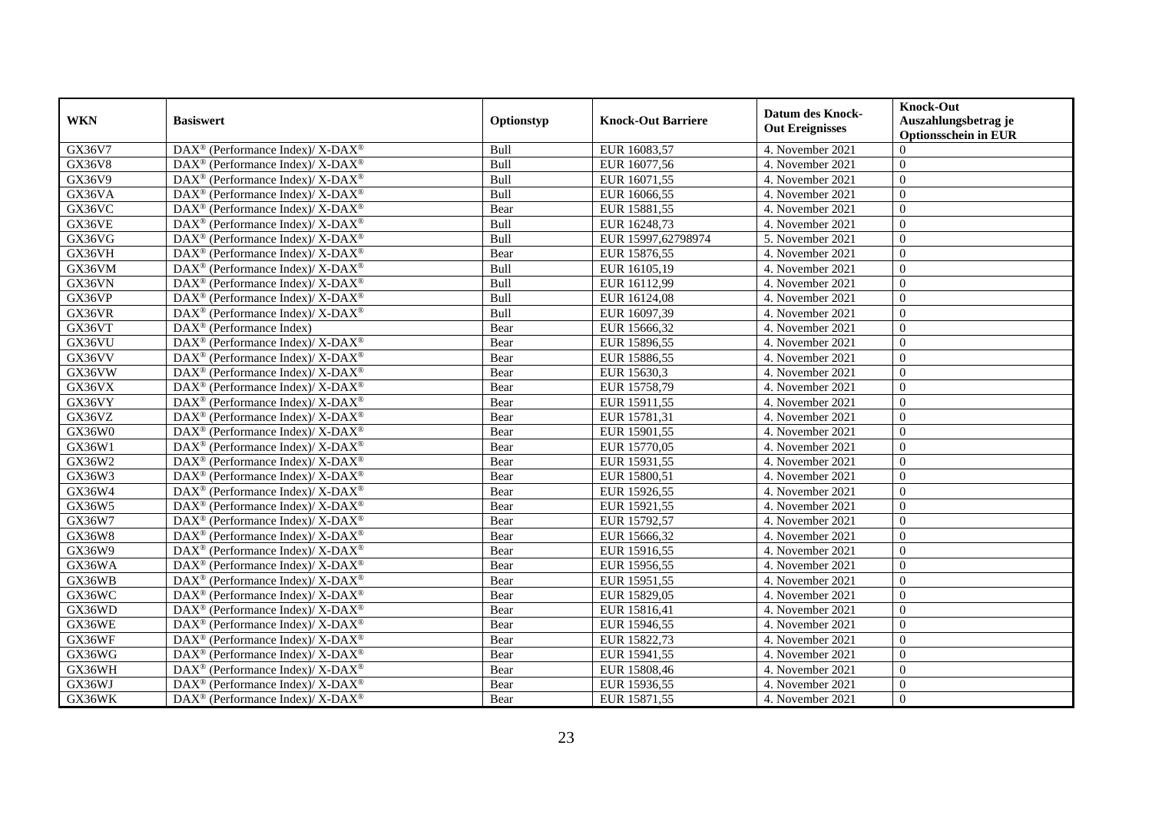| <b>WKN</b> | <b>Basiswert</b>                                                  | Optionstyp | <b>Knock-Out Barriere</b> | <b>Datum des Knock-</b> | <b>Knock-Out</b><br>Auszahlungsbetrag je |
|------------|-------------------------------------------------------------------|------------|---------------------------|-------------------------|------------------------------------------|
|            |                                                                   |            |                           | <b>Out Ereignisses</b>  | Optionsschein in EUR                     |
| GX36V7     | DAX <sup>®</sup> (Performance Index)/ X-DAX <sup>®</sup>          | Bull       | EUR 16083,57              | 4. November 2021        | $\Omega$                                 |
| GX36V8     | $DAX^{\circledast}$ (Performance Index)/ X-DAX <sup>®</sup>       | Bull       | EUR 16077,56              | 4. November 2021        | $\overline{0}$                           |
| GX36V9     | $DAX^{\circledast}$ (Performance Index)/ X-DAX <sup>®</sup>       | Bull       | EUR 16071,55              | 4. November 2021        | $\Omega$                                 |
| GX36VA     | DAX <sup>®</sup> (Performance Index)/ X-DAX <sup>®</sup>          | Bull       | EUR 16066,55              | 4. November 2021        | $\Omega$                                 |
| GX36VC     | $DAX^{\circledast}$ (Performance Index)/ X-DAX <sup>®</sup>       | Bear       | EUR 15881,55              | 4. November 2021        | $\mathbf{0}$                             |
| GX36VE     | DAX <sup>®</sup> (Performance Index)/ X-DAX <sup>®</sup>          | Bull       | EUR 16248,73              | 4. November 2021        | $\Omega$                                 |
| GX36VG     | $DAX^{\circledast}$ (Performance Index)/ X-DAX <sup>®</sup>       | Bull       | EUR 15997,62798974        | 5. November 2021        | $\Omega$                                 |
| GX36VH     | $DAX^{\circledast}$ (Performance Index)/ X-DAX <sup>®</sup>       | Bear       | EUR 15876,55              | 4. November 2021        | $\Omega$                                 |
| GX36VM     | $DAX^{\circledast}$ (Performance Index)/ X-DAX <sup>®</sup>       | Bull       | EUR 16105,19              | 4. November 2021        | $\theta$                                 |
| GX36VN     | DAX <sup>®</sup> (Performance Index)/ X-DAX <sup>®</sup>          | Bull       | EUR 16112,99              | 4. November 2021        | $\mathbf{0}$                             |
| GX36VP     | $DAX^{\circledast}$ (Performance Index)/ X-DAX <sup>®</sup>       | Bull       | EUR 16124,08              | 4. November 2021        | $\mathbf{0}$                             |
| GX36VR     | $DAX^{\circledast}$ (Performance Index)/ X-DAX <sup>®</sup>       | Bull       | EUR 16097,39              | 4. November 2021        | $\overline{0}$                           |
| GX36VT     | $DAX^{\circledR}$ (Performance Index)                             | Bear       | EUR 15666,32              | 4. November 2021        | $\Omega$                                 |
| GX36VU     | $\text{DAX}^{\circledR}$ (Performance Index)/ X-DAX <sup>®</sup>  | Bear       | EUR 15896,55              | 4. November 2021        | $\mathbf{0}$                             |
| GX36VV     | DAX <sup>®</sup> (Performance Index)/ X-DAX <sup>®</sup>          | Bear       | EUR 15886,55              | 4. November 2021        | $\overline{0}$                           |
| GX36VW     | $DAX^{\circledast}$ (Performance Index)/ X-DAX <sup>®</sup>       | Bear       | EUR 15630,3               | 4. November 2021        | $\mathbf{0}$                             |
| GX36VX     | $DAX^{\circledast}$ (Performance Index)/ X-DAX <sup>®</sup>       | Bear       | EUR 15758,79              | 4. November 2021        | $\Omega$                                 |
| GX36VY     | $DAX^{\circledcirc}$ (Performance Index)/ X- $DAX^{\circledcirc}$ | Bear       | EUR 15911,55              | 4. November 2021        | $\Omega$                                 |
| GX36VZ     | DAX <sup>®</sup> (Performance Index)/ X-DAX <sup>®</sup>          | Bear       | EUR 15781,31              | 4. November 2021        | $\mathbf{0}$                             |
| GX36W0     | DAX <sup>®</sup> (Performance Index)/ X-DAX <sup>®</sup>          | Bear       | EUR 15901,55              | 4. November 2021        | $\overline{0}$                           |
| GX36W1     | $DAX^{\circledast}$ (Performance Index)/ X-DAX <sup>®</sup>       | Bear       | EUR 15770,05              | 4. November 2021        | $\mathbf{0}$                             |
| GX36W2     | $DAX^{\circledast}$ (Performance Index)/ X-DAX <sup>®</sup>       | Bear       | EUR 15931,55              | 4. November 2021        | $\mathbf{0}$                             |
| GX36W3     | $DAX^{\circledcirc}$ (Performance Index)/ X-DAX <sup>®</sup>      | Bear       | EUR 15800,51              | 4. November 2021        | $\Omega$                                 |
| GX36W4     | $DAX^{\circledast}$ (Performance Index)/ X-DAX <sup>®</sup>       | Bear       | EUR 15926,55              | 4. November 2021        | $\Omega$                                 |
| GX36W5     | $DAX^{\circledast}$ (Performance Index)/ X-DAX <sup>®</sup>       | Bear       | EUR 15921,55              | 4. November 2021        | $\Omega$                                 |
| GX36W7     | $DAX^{\circledast}$ (Performance Index)/ X-DAX <sup>®</sup>       | Bear       | EUR 15792,57              | 4. November 2021        | $\overline{0}$                           |
| GX36W8     | DAX <sup>®</sup> (Performance Index)/ X-DAX <sup>®</sup>          | Bear       | EUR 15666,32              | 4. November 2021        | $\overline{0}$                           |
| GX36W9     | $DAX^{\circledcirc}$ (Performance Index)/ X- $DAX^{\circledcirc}$ | Bear       | EUR 15916,55              | 4. November 2021        | $\Omega$                                 |
| GX36WA     | DAX <sup>®</sup> (Performance Index)/ X-DAX <sup>®</sup>          | Bear       | EUR 15956,55              | 4. November 2021        | $\Omega$                                 |
| GX36WB     | $DAX^{\circledast}$ (Performance Index)/ X-DAX <sup>®</sup>       | Bear       | EUR 15951,55              | 4. November 2021        | $\Omega$                                 |
| GX36WC     | DAX <sup>®</sup> (Performance Index)/ X-DAX <sup>®</sup>          | Bear       | EUR 15829,05              | 4. November 2021        | $\mathbf{0}$                             |
| GX36WD     | DAX <sup>®</sup> (Performance Index)/ X-DAX <sup>®</sup>          | Bear       | EUR 15816,41              | 4. November 2021        | $\overline{0}$                           |
| GX36WE     | DAX <sup>®</sup> (Performance Index)/ X-DAX <sup>®</sup>          | Bear       | EUR 15946,55              | 4. November 2021        | $\boldsymbol{0}$                         |
| GX36WF     | DAX <sup>®</sup> (Performance Index)/ X-DAX <sup>®</sup>          | Bear       | EUR 15822,73              | 4. November 2021        | $\theta$                                 |
| GX36WG     | DAX <sup>®</sup> (Performance Index)/ X-DAX <sup>®</sup>          | Bear       | EUR 15941,55              | 4. November 2021        | $\Omega$                                 |
| GX36WH     | DAX <sup>®</sup> (Performance Index)/ X-DAX <sup>®</sup>          | Bear       | EUR 15808,46              | 4. November 2021        | $\mathbf{0}$                             |
| GX36WJ     | $DAX^{\circledast}$ (Performance Index)/ X-DAX <sup>®</sup>       | Bear       | EUR 15936,55              | 4. November 2021        | $\overline{0}$                           |
| GX36WK     | DAX <sup>®</sup> (Performance Index)/ X-DAX <sup>®</sup>          | Bear       | EUR 15871,55              | 4. November 2021        | $\overline{0}$                           |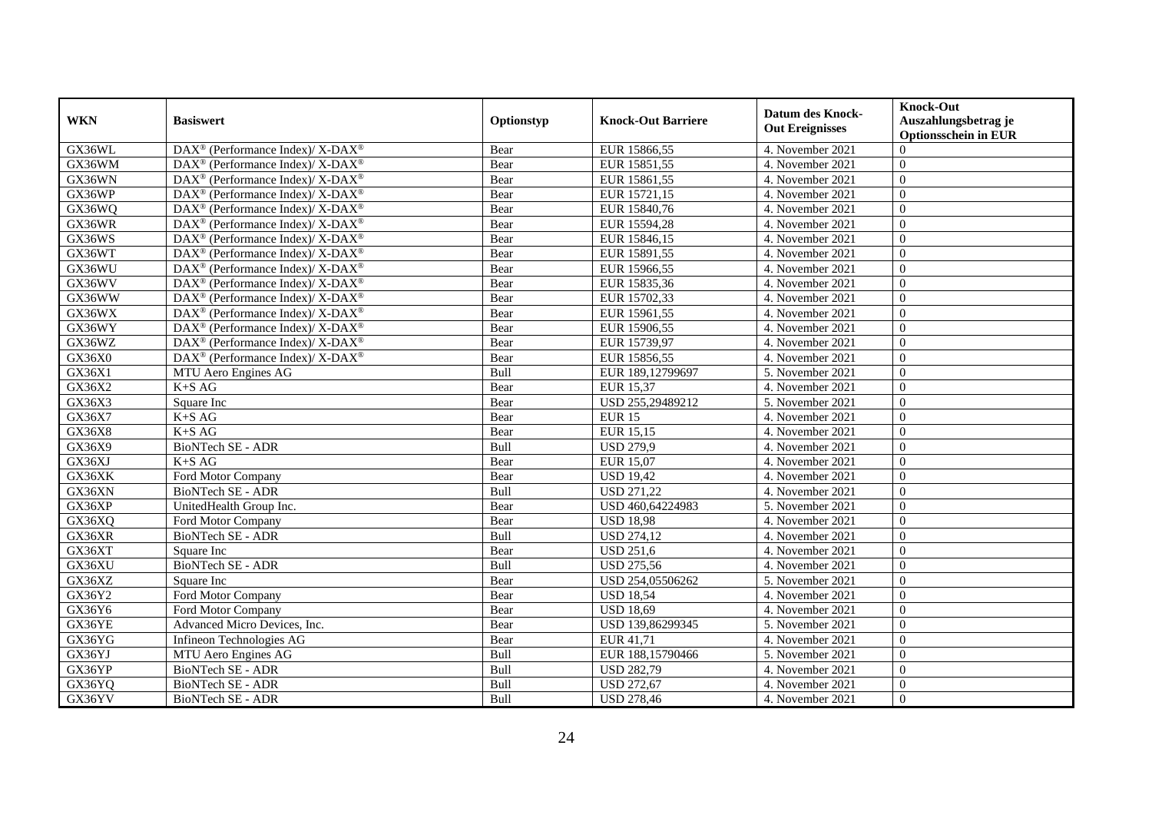|            | <b>Basiswert</b>                                                  | Optionstyp  | <b>Knock-Out Barriere</b> | <b>Datum des Knock-</b> | <b>Knock-Out</b>                                    |
|------------|-------------------------------------------------------------------|-------------|---------------------------|-------------------------|-----------------------------------------------------|
| <b>WKN</b> |                                                                   |             |                           | <b>Out Ereignisses</b>  | Auszahlungsbetrag je<br><b>Optionsschein in EUR</b> |
| GX36WL     | DAX <sup>®</sup> (Performance Index)/ X-DAX <sup>®</sup>          | Bear        | EUR 15866,55              | 4. November 2021        | $\Omega$                                            |
| GX36WM     | DAX <sup>®</sup> (Performance Index)/ X-DAX <sup>®</sup>          | Bear        | EUR 15851,55              | 4. November 2021        | $\mathbf{0}$                                        |
| GX36WN     | $DAX^{\circledast}$ (Performance Index)/ X-DAX <sup>®</sup>       | Bear        | EUR 15861,55              | 4. November 2021        | $\overline{0}$                                      |
| GX36WP     | DAX <sup>®</sup> (Performance Index)/X-DAX <sup>®</sup>           | Bear        | EUR 15721,15              | 4. November 2021        | $\overline{0}$                                      |
| GX36WQ     | $DAX^{\circledast}$ (Performance Index)/ X-DAX <sup>®</sup>       | Bear        | EUR 15840,76              | 4. November 2021        | $\overline{0}$                                      |
| GX36WR     | $DAX^{\circledast}$ (Performance Index)/ X-DAX <sup>®</sup>       | Bear        | EUR 15594,28              | 4. November 2021        | $\theta$                                            |
| GX36WS     | DAX <sup>®</sup> (Performance Index)/ X-DAX <sup>®</sup>          | Bear        | EUR 15846,15              | 4. November 2021        | $\Omega$                                            |
| GX36WT     | DAX <sup>®</sup> (Performance Index)/ X-DAX <sup>®</sup>          | Bear        | EUR 15891,55              | 4. November 2021        | $\overline{0}$                                      |
| GX36WU     | DAX <sup>®</sup> (Performance Index)/ X-DAX <sup>®</sup>          | Bear        | EUR 15966,55              | 4. November 2021        | $\overline{0}$                                      |
| GX36WV     | DAX <sup>®</sup> (Performance Index)/ X-DAX <sup>®</sup>          | Bear        | EUR 15835,36              | 4. November 2021        | $\overline{0}$                                      |
| GX36WW     | DAX <sup>®</sup> (Performance Index)/ X-DAX <sup>®</sup>          | Bear        | EUR 15702,33              | 4. November 2021        | $\overline{0}$                                      |
| GX36WX     | DAX <sup>®</sup> (Performance Index)/ X-DAX <sup>®</sup>          | Bear        | EUR 15961,55              | 4. November 2021        | $\overline{0}$                                      |
| GX36WY     | DAX <sup>®</sup> (Performance Index)/ X-DAX <sup>®</sup>          | Bear        | EUR 15906,55              | 4. November 2021        | $\overline{0}$                                      |
| GX36WZ     | $DAX^{\circledcirc}$ (Performance Index)/ X- $DAX^{\circledcirc}$ | Bear        | EUR 15739,97              | 4. November 2021        | $\theta$                                            |
| GX36X0     | DAX <sup>®</sup> (Performance Index)/ X-DAX <sup>®</sup>          | Bear        | EUR 15856,55              | 4. November 2021        | $\theta$                                            |
| GX36X1     | MTU Aero Engines AG                                               | Bull        | EUR 189,12799697          | 5. November 2021        | $\overline{0}$                                      |
| GX36X2     | $K+SAG$                                                           | Bear        | <b>EUR 15,37</b>          | 4. November 2021        | $\theta$                                            |
| GX36X3     | Square Inc                                                        | Bear        | USD 255,29489212          | 5. November 2021        | $\overline{0}$                                      |
| GX36X7     | $K+SAG$                                                           | Bear        | <b>EUR 15</b>             | 4. November 2021        | $\theta$                                            |
| GX36X8     | $K+SAG$                                                           | Bear        | EUR 15,15                 | 4. November 2021        | $\overline{0}$                                      |
| GX36X9     | BioNTech SE - ADR                                                 | Bull        | <b>USD 279,9</b>          | 4. November 2021        | $\mathbf{0}$                                        |
| GX36XJ     | $K+SAG$                                                           | Bear        | <b>EUR 15,07</b>          | 4. November 2021        | $\theta$                                            |
| GX36XK     | Ford Motor Company                                                | Bear        | $\overline{USD}$ 19,42    | 4. November 2021        | $\theta$                                            |
| GX36XN     | <b>BioNTech SE - ADR</b>                                          | Bull        | <b>USD 271,22</b>         | 4. November 2021        | $\theta$                                            |
| GX36XP     | UnitedHealth Group Inc.                                           | Bear        | USD 460,64224983          | 5. November 2021        | $\overline{0}$                                      |
| GX36XQ     | Ford Motor Company                                                | <b>Bear</b> | <b>USD 18,98</b>          | 4. November 2021        | $\Omega$                                            |
| GX36XR     | BioNTech SE - ADR                                                 | Bull        | <b>USD 274,12</b>         | 4. November 2021        | $\overline{0}$                                      |
| GX36XT     | Square Inc                                                        | Bear        | <b>USD 251,6</b>          | 4. November 2021        | $\overline{0}$                                      |
| GX36XU     | <b>BioNTech SE - ADR</b>                                          | Bull        | <b>USD 275,56</b>         | 4. November 2021        | $\theta$                                            |
| GX36XZ     | Square Inc                                                        | Bear        | USD 254,05506262          | 5. November 2021        | $\theta$                                            |
| GX36Y2     | Ford Motor Company                                                | Bear        | <b>USD 18,54</b>          | 4. November 2021        | $\overline{0}$                                      |
| GX36Y6     | Ford Motor Company                                                | Bear        | <b>USD 18.69</b>          | 4. November 2021        | $\mathbf{0}$                                        |
| GX36YE     | Advanced Micro Devices, Inc.                                      | Bear        | USD 139,86299345          | 5. November 2021        | $\overline{0}$                                      |
| GX36YG     | Infineon Technologies AG                                          | Bear        | EUR 41,71                 | 4. November 2021        | $\theta$                                            |
| GX36YJ     | MTU Aero Engines AG                                               | Bull        | EUR 188,15790466          | 5. November 2021        | $\overline{0}$                                      |
| GX36YP     | <b>BioNTech SE - ADR</b>                                          | Bull        | <b>USD 282,79</b>         | 4. November 2021        | $\overline{0}$                                      |
| GX36YQ     | BioNTech SE - ADR                                                 | Bull        | <b>USD 272,67</b>         | 4. November 2021        | $\overline{0}$                                      |
| GX36YV     | BioNTech SE - ADR                                                 | Bull        | <b>USD 278,46</b>         | 4. November 2021        | $\mathbf{0}$                                        |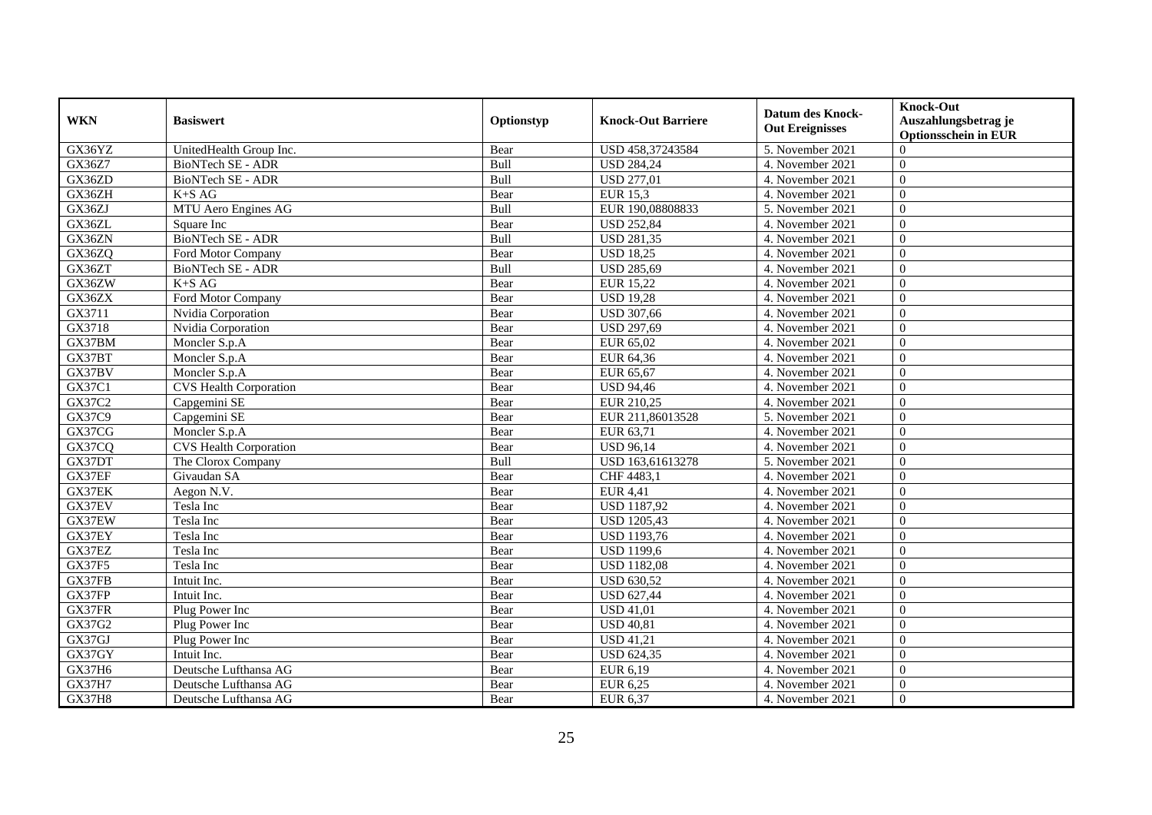| <b>WKN</b>    | <b>Basiswert</b>              | Optionstyp  | <b>Knock-Out Barriere</b> | <b>Datum des Knock-</b><br><b>Out Ereignisses</b> | <b>Knock-Out</b><br>Auszahlungsbetrag je<br><b>Optionsschein in EUR</b> |
|---------------|-------------------------------|-------------|---------------------------|---------------------------------------------------|-------------------------------------------------------------------------|
| GX36YZ        | UnitedHealth Group Inc.       | Bear        | USD 458,37243584          | 5. November 2021                                  | $\Omega$                                                                |
| GX36Z7        | <b>BioNTech SE - ADR</b>      | Bull        | <b>USD 284,24</b>         | 4. November 2021                                  | $\mathbf{0}$                                                            |
| GX36ZD        | <b>BioNTech SE - ADR</b>      | Bull        | <b>USD 277,01</b>         | 4. November 2021                                  | $\overline{0}$                                                          |
| GX36ZH        | $K+SAG$                       | Bear        | <b>EUR 15,3</b>           | 4. November 2021                                  | $\overline{0}$                                                          |
| GX36ZJ        | MTU Aero Engines AG           | Bull        | EUR 190,08808833          | 5. November 2021                                  | $\overline{0}$                                                          |
| GX36ZL        | Square Inc                    | Bear        | <b>USD 252,84</b>         | 4. November 2021                                  | $\theta$                                                                |
| GX36ZN        | <b>BioNTech SE - ADR</b>      | Bull        | <b>USD 281,35</b>         | 4. November 2021                                  | $\Omega$                                                                |
| GX36ZQ        | Ford Motor Company            | Bear        | <b>USD 18,25</b>          | 4. November 2021                                  | $\overline{0}$                                                          |
| GX36ZT        | <b>BioNTech SE - ADR</b>      | Bull        | <b>USD 285,69</b>         | 4. November 2021                                  | $\overline{0}$                                                          |
| GX36ZW        | $K+SAG$                       | Bear        | EUR 15,22                 | 4. November 2021                                  | $\overline{0}$                                                          |
| GX36ZX        | Ford Motor Company            | Bear        | <b>USD 19,28</b>          | 4. November 2021                                  | $\overline{0}$                                                          |
| GX3711        | Nvidia Corporation            | Bear        | <b>USD 307,66</b>         | 4. November 2021                                  | $\overline{0}$                                                          |
| GX3718        | Nvidia Corporation            | Bear        | <b>USD 297,69</b>         | 4. November 2021                                  | $\overline{0}$                                                          |
| GX37BM        | Moncler S.p.A                 | Bear        | EUR 65.02                 | 4. November 2021                                  | $\theta$                                                                |
| GX37BT        | Moncler S.p.A                 | Bear        | EUR 64,36                 | 4. November 2021                                  | $\theta$                                                                |
| GX37BV        | Moncler S.p.A                 | Bear        | EUR 65,67                 | 4. November 2021                                  | $\overline{0}$                                                          |
| GX37C1        | <b>CVS</b> Health Corporation | Bear        | <b>USD 94,46</b>          | 4. November 2021                                  | $\overline{0}$                                                          |
| GX37C2        | Capgemini SE                  | Bear        | EUR 210,25                | 4. November 2021                                  | $\overline{0}$                                                          |
| GX37C9        | Capgemini SE                  | Bear        | EUR 211,86013528          | 5. November 2021                                  | $\overline{0}$                                                          |
| GX37CG        | Moncler S.p.A                 | Bear        | EUR 63,71                 | 4. November 2021                                  | $\overline{0}$                                                          |
| GX37CQ        | <b>CVS Health Corporation</b> | Bear        | <b>USD 96,14</b>          | 4. November 2021                                  | $\mathbf{0}$                                                            |
| GX37DT        | The Clorox Company            | <b>Bull</b> | USD 163,61613278          | 5. November 2021                                  | $\theta$                                                                |
| GX37EF        | Givaudan SA                   | Bear        | CHF 4483,1                | 4. November 2021                                  | $\theta$                                                                |
| GX37EK        | Aegon N.V.                    | Bear        | EUR $4,41$                | 4. November 2021                                  | $\theta$                                                                |
| GX37EV        | Tesla Inc                     | Bear        | <b>USD 1187,92</b>        | 4. November 2021                                  | $\overline{0}$                                                          |
| GX37EW        | Tesla Inc                     | Bear        | <b>USD 1205,43</b>        | 4. November 2021                                  | $\Omega$                                                                |
| GX37EY        | Tesla Inc                     | Bear        | <b>USD 1193,76</b>        | 4. November 2021                                  | $\overline{0}$                                                          |
| GX37EZ        | Tesla Inc                     | Bear        | <b>USD 1199,6</b>         | 4. November 2021                                  | $\overline{0}$                                                          |
| <b>GX37F5</b> | Tesla Inc                     | Bear        | <b>USD 1182,08</b>        | 4. November 2021                                  | $\theta$                                                                |
| GX37FB        | Intuit Inc.                   | Bear        | <b>USD 630,52</b>         | 4. November 2021                                  | $\overline{0}$                                                          |
| GX37FP        | Intuit Inc.                   | Bear        | <b>USD 627,44</b>         | 4. November 2021                                  | $\overline{0}$                                                          |
| GX37FR        | Plug Power Inc                | Bear        | <b>USD 41,01</b>          | 4. November 2021                                  | $\mathbf{0}$                                                            |
| GX37G2        | Plug Power Inc                | Bear        | <b>USD 40,81</b>          | 4. November 2021                                  | $\overline{0}$                                                          |
| GX37GJ        | Plug Power Inc                | Bear        | <b>USD 41,21</b>          | 4. November 2021                                  | $\theta$                                                                |
| GX37GY        | Intuit Inc.                   | Bear        | <b>USD 624,35</b>         | 4. November 2021                                  | $\overline{0}$                                                          |
| GX37H6        | Deutsche Lufthansa AG         | Bear        | EUR 6,19                  | 4. November 2021                                  | $\overline{0}$                                                          |
| <b>GX37H7</b> | Deutsche Lufthansa AG         | Bear        | EUR 6,25                  | 4. November 2021                                  | $\overline{0}$                                                          |
| <b>GX37H8</b> | Deutsche Lufthansa AG         | Bear        | EUR 6,37                  | 4. November 2021                                  | $\boldsymbol{0}$                                                        |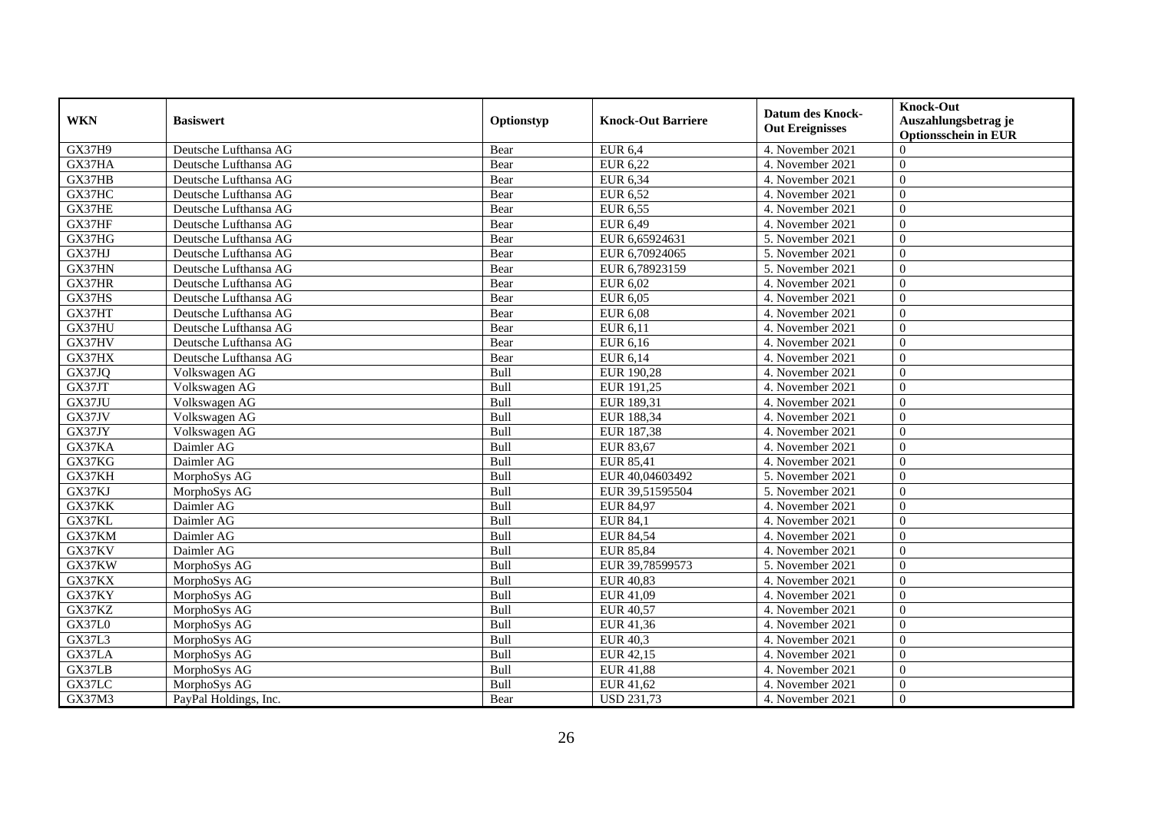|               |                       |            |                           | <b>Datum des Knock-</b> | <b>Knock-Out</b>                                    |
|---------------|-----------------------|------------|---------------------------|-------------------------|-----------------------------------------------------|
| <b>WKN</b>    | <b>Basiswert</b>      | Optionstyp | <b>Knock-Out Barriere</b> | <b>Out Ereignisses</b>  | Auszahlungsbetrag je<br><b>Optionsschein in EUR</b> |
| <b>GX37H9</b> | Deutsche Lufthansa AG | Bear       | <b>EUR 6,4</b>            | 4. November 2021        | $\Omega$                                            |
| GX37HA        | Deutsche Lufthansa AG | Bear       | EUR 6,22                  | 4. November 2021        | $\overline{0}$                                      |
| GX37HB        | Deutsche Lufthansa AG | Bear       | EUR 6,34                  | 4. November 2021        | $\overline{0}$                                      |
| GX37HC        | Deutsche Lufthansa AG | Bear       | <b>EUR 6,52</b>           | 4. November 2021        | $\Omega$                                            |
| GX37HE        | Deutsche Lufthansa AG | Bear       | EUR 6,55                  | 4. November 2021        | $\mathbf{0}$                                        |
| GX37HF        | Deutsche Lufthansa AG | Bear       | EUR 6,49                  | 4. November 2021        | $\overline{0}$                                      |
| GX37HG        | Deutsche Lufthansa AG | Bear       | EUR 6,65924631            | 5. November 2021        | $\overline{0}$                                      |
| GX37HJ        | Deutsche Lufthansa AG | Bear       | EUR 6,70924065            | 5. November 2021        | $\overline{0}$                                      |
| GX37HN        | Deutsche Lufthansa AG | Bear       | EUR 6,78923159            | 5. November 2021        | $\overline{0}$                                      |
| GX37HR        | Deutsche Lufthansa AG | Bear       | EUR 6,02                  | 4. November 2021        | $\mathbf{0}$                                        |
| GX37HS        | Deutsche Lufthansa AG | Bear       | EUR 6,05                  | 4. November 2021        | $\overline{0}$                                      |
| GX37HT        | Deutsche Lufthansa AG | Bear       | EUR 6,08                  | 4. November 2021        | $\overline{0}$                                      |
| GX37HU        | Deutsche Lufthansa AG | Bear       | EUR 6,11                  | 4. November 2021        | $\overline{0}$                                      |
| GX37HV        | Deutsche Lufthansa AG | Bear       | EUR 6,16                  | 4. November 2021        | $\overline{0}$                                      |
| GX37HX        | Deutsche Lufthansa AG | Bear       | EUR 6,14                  | 4. November 2021        | $\Omega$                                            |
| GX37JQ        | Volkswagen AG         | Bull       | EUR 190,28                | 4. November 2021        | $\overline{0}$                                      |
| GX37JT        | Volkswagen AG         | Bull       | EUR 191,25                | 4. November 2021        | $\overline{0}$                                      |
| GX37JU        | Volkswagen AG         | Bull       | EUR 189,31                | 4. November 2021        | $\theta$                                            |
| GX37JV        | Volkswagen AG         | Bull       | EUR 188,34                | 4. November 2021        | $\theta$                                            |
| GX37JY        | Volkswagen AG         | Bull       | EUR 187,38                | 4. November 2021        | $\overline{0}$                                      |
| GX37KA        | Daimler AG            | Bull       | EUR 83,67                 | 4. November 2021        | $\mathbf{0}$                                        |
| GX37KG        | Daimler AG            | Bull       | <b>EUR 85,41</b>          | 4. November 2021        | $\overline{0}$                                      |
| GX37KH        | MorphoSys AG          | Bull       | EUR 40,04603492           | 5. November 2021        | $\Omega$                                            |
| GX37KJ        | MorphoSys AG          | Bull       | EUR 39,51595504           | 5. November 2021        | $\overline{0}$                                      |
| GX37KK        | Daimler AG            | Bull       | <b>EUR 84,97</b>          | 4. November 2021        | $\overline{0}$                                      |
| GX37KL        | Daimler AG            | Bull       | <b>EUR 84,1</b>           | 4. November 2021        | $\overline{0}$                                      |
| GX37KM        | Daimler AG            | Bull       | <b>EUR 84,54</b>          | 4. November 2021        | $\overline{0}$                                      |
| GX37KV        | Daimler AG            | Bull       | <b>EUR 85,84</b>          | 4. November 2021        | $\overline{0}$                                      |
| GX37KW        | MorphoSys AG          | Bull       | EUR 39,78599573           | 5. November 2021        | $\theta$                                            |
| GX37KX        | MorphoSys AG          | Bull       | EUR 40,83                 | 4. November 2021        | $\theta$                                            |
| GX37KY        | MorphoSys AG          | Bull       | EUR 41,09                 | 4. November 2021        | $\mathbf{0}$                                        |
| GX37KZ        | MorphoSys AG          | Bull       | <b>EUR 40,57</b>          | 4. November 2021        | $\overline{0}$                                      |
| <b>GX37L0</b> | MorphoSys AG          | Bull       | EUR 41,36                 | 4. November 2021        | $\overline{0}$                                      |
| <b>GX37L3</b> | MorphoSys AG          | Bull       | <b>EUR 40,3</b>           | 4. November 2021        | $\Omega$                                            |
| GX37LA        | MorphoSys AG          | Bull       | EUR 42,15                 | 4. November 2021        | $\overline{0}$                                      |
| GX37LB        | MorphoSys AG          | Bull       | <b>EUR 41,88</b>          | 4. November 2021        | $\overline{0}$                                      |
| GX37LC        | MorphoSys AG          | Bull       | EUR 41,62                 | 4. November 2021        | $\mathbf{0}$                                        |
| GX37M3        | PayPal Holdings, Inc. | Bear       | <b>USD 231,73</b>         | 4. November 2021        | $\overline{0}$                                      |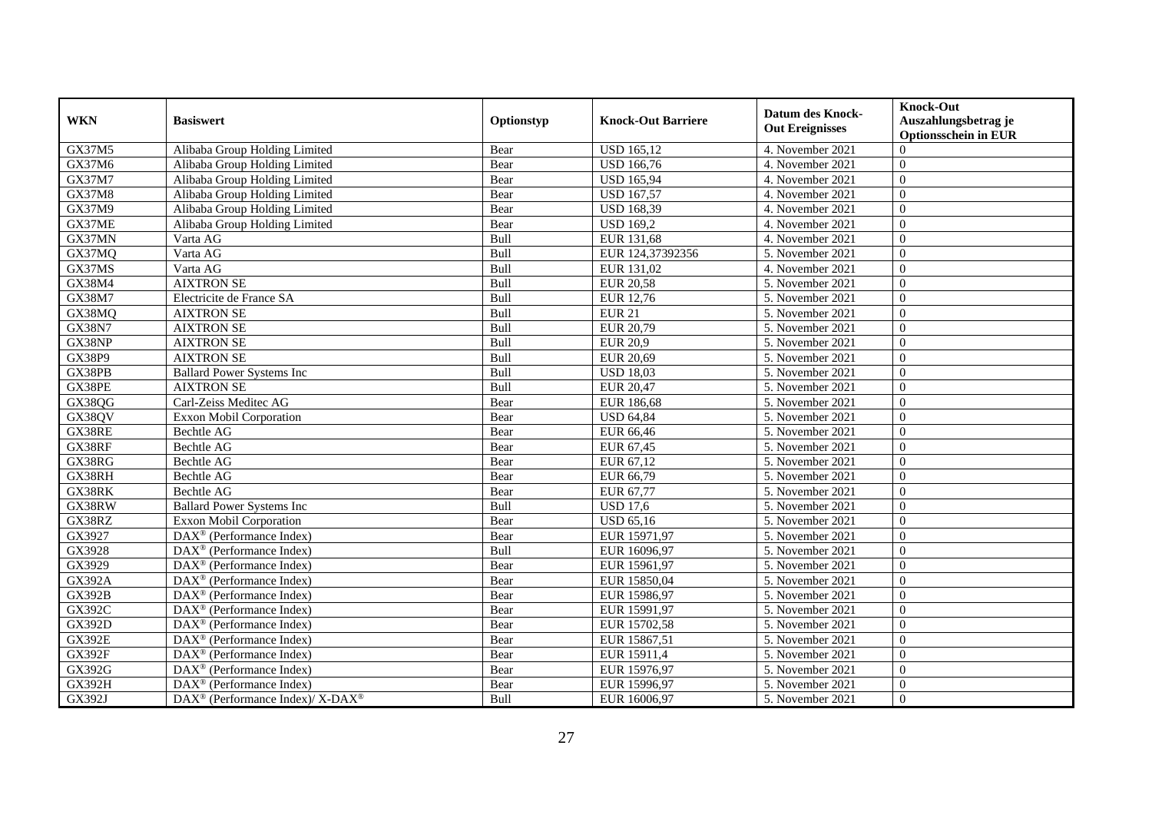| <b>WKN</b>    | <b>Basiswert</b>                                                    | Optionstyp  | <b>Knock-Out Barriere</b> | <b>Datum des Knock-</b><br><b>Out Ereignisses</b> | <b>Knock-Out</b><br>Auszahlungsbetrag je |
|---------------|---------------------------------------------------------------------|-------------|---------------------------|---------------------------------------------------|------------------------------------------|
|               |                                                                     |             |                           |                                                   | <b>Optionsschein in EUR</b>              |
| GX37M5        | Alibaba Group Holding Limited                                       | Bear        | <b>USD 165,12</b>         | 4. November 2021                                  | $\Omega$                                 |
| GX37M6        | Alibaba Group Holding Limited                                       | Bear        | <b>USD 166,76</b>         | 4. November 2021                                  | $\overline{0}$                           |
| GX37M7        | Alibaba Group Holding Limited                                       | Bear        | <b>USD 165,94</b>         | 4. November 2021                                  | $\overline{0}$                           |
| GX37M8        | Alibaba Group Holding Limited                                       | Bear        | <b>USD 167,57</b>         | 4. November 2021                                  | $\Omega$                                 |
| GX37M9        | Alibaba Group Holding Limited                                       | Bear        | <b>USD 168,39</b>         | 4. November 2021                                  | $\Omega$                                 |
| GX37ME        | Alibaba Group Holding Limited                                       | Bear        | <b>USD 169.2</b>          | 4. November 2021                                  | $\overline{0}$                           |
| GX37MN        | Varta AG                                                            | Bull        | EUR 131,68                | 4. November 2021                                  | $\theta$                                 |
| GX37MQ        | Varta AG                                                            | Bull        | EUR 124,37392356          | 5. November 2021                                  | $\overline{0}$                           |
| GX37MS        | Varta AG                                                            | Bull        | EUR 131,02                | 4. November 2021                                  | $\overline{0}$                           |
| GX38M4        | <b>AIXTRON SE</b>                                                   | Bull        | <b>EUR 20,58</b>          | 5. November 2021                                  | $\overline{0}$                           |
| GX38M7        | Electricite de France SA                                            | Bull        | EUR 12,76                 | 5. November 2021                                  | $\overline{0}$                           |
| GX38MQ        | <b>AIXTRON SE</b>                                                   | Bull        | <b>EUR 21</b>             | 5. November 2021                                  | $\overline{0}$                           |
| <b>GX38N7</b> | <b>AIXTRON SE</b>                                                   | Bull        | EUR 20,79                 | 5. November 2021                                  | $\theta$                                 |
| GX38NP        | <b>AIXTRON SE</b>                                                   | Bull        | <b>EUR 20,9</b>           | 5. November 2021                                  | $\theta$                                 |
| GX38P9        | <b>AIXTRON SE</b>                                                   | Bull        | EUR 20,69                 | 5. November 2021                                  | $\overline{0}$                           |
| GX38PB        | <b>Ballard Power Systems Inc</b>                                    | Bull        | <b>USD 18,03</b>          | 5. November 2021                                  | $\overline{0}$                           |
| GX38PE        | <b>AIXTRON SE</b>                                                   | Bull        | <b>EUR 20,47</b>          | 5. November 2021                                  | $\overline{0}$                           |
| GX38QG        | Carl-Zeiss Meditec AG                                               | Bear        | EUR 186.68                | 5. November 2021                                  | $\theta$                                 |
| GX38QV        | Exxon Mobil Corporation                                             | Bear        | <b>USD 64,84</b>          | 5. November 2021                                  | $\overline{0}$                           |
| GX38RE        | <b>Bechtle AG</b>                                                   | Bear        | EUR 66,46                 | 5. November 2021                                  | $\overline{0}$                           |
| GX38RF        | Bechtle AG                                                          | Bear        | EUR 67,45                 | 5. November 2021                                  | $\overline{0}$                           |
| GX38RG        | <b>Bechtle AG</b>                                                   | Bear        | EUR 67,12                 | 5. November 2021                                  | $\mathbf{0}$                             |
| GX38RH        | <b>Bechtle AG</b>                                                   | Bear        | EUR 66,79                 | 5. November 2021                                  | $\overline{0}$                           |
| GX38RK        | Bechtle AG                                                          | Bear        | EUR 67,77                 | 5. November 2021                                  | $\overline{0}$                           |
| GX38RW        | <b>Ballard Power Systems Inc.</b>                                   | <b>Bull</b> | <b>USD 17.6</b>           | 5. November 2021                                  | $\theta$                                 |
| GX38RZ        | <b>Exxon Mobil Corporation</b>                                      | Bear        | <b>USD 65,16</b>          | 5. November 2021                                  | $\theta$                                 |
| GX3927        | DAX <sup>®</sup> (Performance Index)                                | Bear        | EUR 15971,97              | 5. November 2021                                  | $\boldsymbol{0}$                         |
| GX3928        | $DAX^{\otimes}$ (Performance Index)                                 | Bull        | EUR 16096,97              | 5. November 2021                                  | $\theta$                                 |
| GX3929        | $\overline{\text{DAX}^{\textcircled{\tiny 0}}}$ (Performance Index) | Bear        | EUR 15961,97              | 5. November 2021                                  | $\theta$                                 |
| <b>GX392A</b> | $\overline{\text{DAX}^{\otimes}}$ (Performance Index)               | Bear        | EUR 15850,04              | 5. November 2021                                  | $\overline{0}$                           |
| <b>GX392B</b> | DAX <sup>®</sup> (Performance Index)                                | Bear        | EUR 15986,97              | 5. November 2021                                  | $\overline{0}$                           |
| GX392C        | $DAX^{\otimes}$ (Performance Index)                                 | Bear        | EUR 15991,97              | 5. November 2021                                  | $\Omega$                                 |
| <b>GX392D</b> | $\text{DAX}^{\otimes}$ (Performance Index)                          | Bear        | EUR 15702,58              | 5. November 2021                                  | $\theta$                                 |
| <b>GX392E</b> | DAX <sup>®</sup> (Performance Index)                                | Bear        | EUR 15867,51              | 5. November 2021                                  | $\overline{0}$                           |
| <b>GX392F</b> | DAX <sup>®</sup> (Performance Index)                                | Bear        | EUR 15911,4               | 5. November 2021                                  | $\overline{0}$                           |
| GX392G        | $\text{DAX}^{\otimes}$ (Performance Index)                          | Bear        | EUR 15976,97              | 5. November 2021                                  | $\Omega$                                 |
| <b>GX392H</b> | $DAX^{\circledast}$ (Performance Index)                             | Bear        | EUR 15996,97              | 5. November 2021                                  | $\boldsymbol{0}$                         |
| GX392J        | DAX <sup>®</sup> (Performance Index)/ X-DAX <sup>®</sup>            | Bull        | EUR 16006,97              | 5. November 2021                                  | $\overline{0}$                           |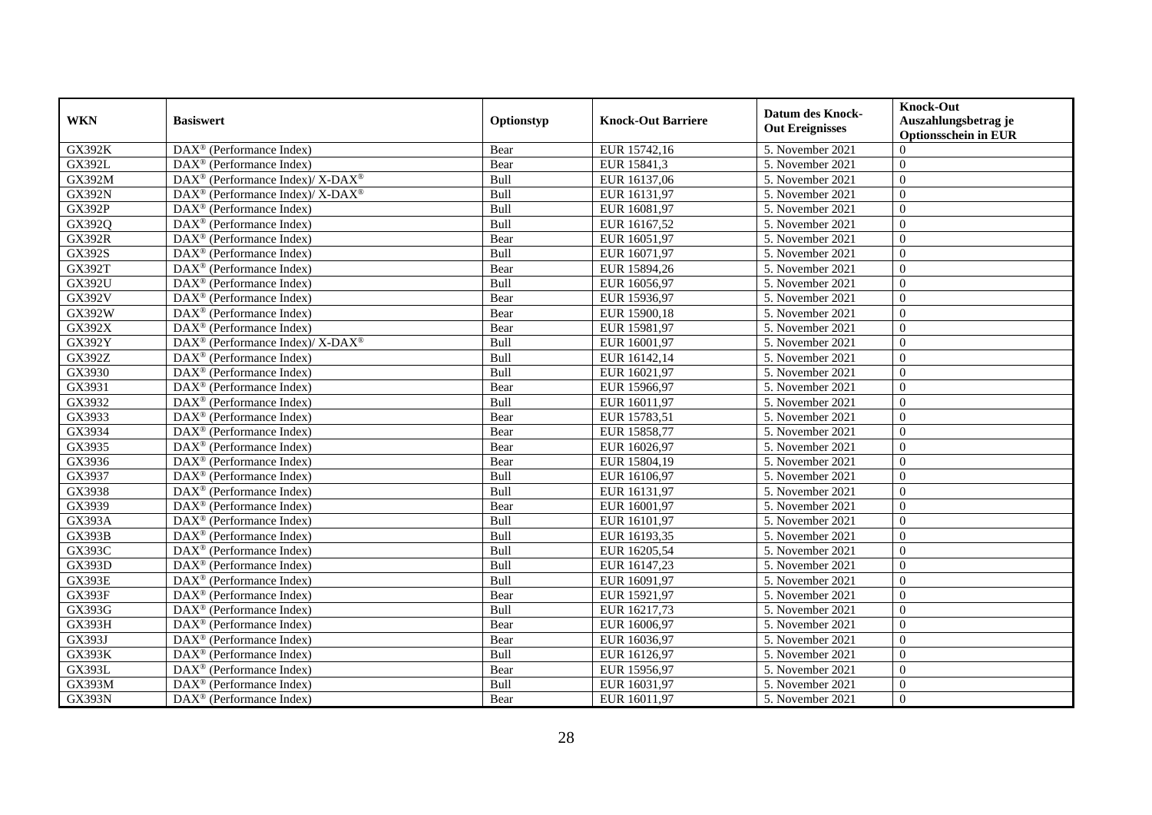| <b>WKN</b>    | <b>Basiswert</b>                                                | Optionstyp  | <b>Knock-Out Barriere</b> | <b>Datum des Knock-</b><br><b>Out Ereignisses</b> | <b>Knock-Out</b><br>Auszahlungsbetrag je<br><b>Optionsschein in EUR</b> |
|---------------|-----------------------------------------------------------------|-------------|---------------------------|---------------------------------------------------|-------------------------------------------------------------------------|
| <b>GX392K</b> | $\overline{\text{DAX}^{\circledast}(\text{Performance Index})}$ | Bear        | EUR 15742,16              | 5. November 2021                                  | $\Omega$                                                                |
| <b>GX392L</b> | DAX <sup>®</sup> (Performance Index)                            | Bear        | EUR 15841,3               | 5. November 2021                                  | $\mathbf{0}$                                                            |
| GX392M        | DAX <sup>®</sup> (Performance Index)/ X-DAX <sup>®</sup>        | Bull        | EUR 16137,06              | 5. November 2021                                  | $\overline{0}$                                                          |
| <b>GX392N</b> | DAX <sup>®</sup> (Performance Index)/ X-DAX <sup>®</sup>        | Bull        | EUR 16131,97              | 5. November 2021                                  | $\overline{0}$                                                          |
| <b>GX392P</b> | $\text{DAX}^{\circledast}$ (Performance Index)                  | Bull        | EUR 16081,97              | 5. November 2021                                  | $\overline{0}$                                                          |
| GX392Q        | DAX <sup>®</sup> (Performance Index)                            | Bull        | EUR 16167,52              | 5. November 2021                                  | $\theta$                                                                |
| <b>GX392R</b> | $DAX^{\circledast}$ (Performance Index)                         | Bear        | EUR 16051,97              | 5. November 2021                                  | $\theta$                                                                |
| GX392S        | $\overline{\text{DAX}}^{\textcirc}$ (Performance Index)         | Bull        | EUR 16071,97              | 5. November 2021                                  | $\mathbf{0}$                                                            |
| <b>GX392T</b> | DAX <sup>®</sup> (Performance Index)                            | Bear        | EUR 15894,26              | 5. November 2021                                  | $\mathbf{0}$                                                            |
| GX392U        | DAX <sup>®</sup> (Performance Index)                            | Bull        | EUR 16056,97              | 5. November 2021                                  | $\mathbf{0}$                                                            |
| GX392V        | $\overline{\text{DAX}^{\otimes}}$ (Performance Index)           | Bear        | EUR 15936,97              | 5. November 2021                                  | $\mathbf{0}$                                                            |
| GX392W        | $\overline{\text{DAX}^{\otimes}}$ (Performance Index)           | Bear        | EUR 15900,18              | 5. November 2021                                  | $\overline{0}$                                                          |
| GX392X        | $DAX^{\circledast}$ (Performance Index)                         | Bear        | EUR 15981,97              | 5. November 2021                                  | $\overline{0}$                                                          |
| GX392Y        | $DAX^{\circledcirc}$ (Performance Index)/ X-DAX <sup>®</sup>    | <b>Bull</b> | EUR 16001.97              | 5. November 2021                                  | $\theta$                                                                |
| GX392Z        | DAX <sup>®</sup> (Performance Index)                            | Bull        | EUR 16142,14              | 5. November 2021                                  | $\theta$                                                                |
| GX3930        | DAX <sup>®</sup> (Performance Index)                            | Bull        | EUR 16021,97              | 5. November 2021                                  | $\mathbf{0}$                                                            |
| GX3931        | $\overline{\text{DAX}^{\otimes}}$ (Performance Index)           | Bear        | EUR 15966,97              | 5. November 2021                                  | $\theta$                                                                |
| GX3932        | DAX <sup>®</sup> (Performance Index)                            | Bull        | EUR 16011,97              | 5. November 2021                                  | $\overline{0}$                                                          |
| GX3933        | $DAX^{\circledast}$ (Performance Index)                         | Bear        | EUR 15783,51              | 5. November 2021                                  | $\mathbf{0}$                                                            |
| GX3934        | $DAX^{\circledast}$ (Performance Index)                         | Bear        | EUR 15858,77              | 5. November 2021                                  | $\mathbf{0}$                                                            |
| GX3935        | DAX <sup>®</sup> (Performance Index)                            | Bear        | EUR 16026,97              | 5. November 2021                                  | $\overline{0}$                                                          |
| GX3936        | $DAX^{\circledast}$ (Performance Index)                         | Bear        | EUR 15804,19              | 5. November 2021                                  | $\theta$                                                                |
| GX3937        | DAX <sup>®</sup> (Performance Index)                            | Bull        | EUR 16106,97              | 5. November 2021                                  | $\theta$                                                                |
| GX3938        | $DAX^{\circledast}$ (Performance Index)                         | Bull        | EUR 16131,97              | 5. November 2021                                  | $\mathbf{0}$                                                            |
| GX3939        | DAX <sup>®</sup> (Performance Index)                            | Bear        | EUR 16001,97              | 5. November 2021                                  | $\mathbf{0}$                                                            |
| <b>GX393A</b> | DAX <sup>®</sup> (Performance Index)                            | Bull        | EUR 16101,97              | 5. November 2021                                  | $\mathbf{0}$                                                            |
| <b>GX393B</b> | DAX <sup>®</sup> (Performance Index)                            | Bull        | EUR 16193,35              | 5. November 2021                                  | $\overline{0}$                                                          |
| GX393C        | DAX <sup>®</sup> (Performance Index)                            | Bull        | EUR 16205,54              | 5. November 2021                                  | $\mathbf{0}$                                                            |
| <b>GX393D</b> | $DAX^{\circledast}$ (Performance Index)                         | Bull        | EUR 16147,23              | 5. November 2021                                  | $\overline{0}$                                                          |
| <b>GX393E</b> | $DAX^{\circledast}$ (Performance Index)                         | Bull        | EUR 16091,97              | 5. November 2021                                  | $\overline{0}$                                                          |
| <b>GX393F</b> | DAX <sup>®</sup> (Performance Index)                            | Bear        | EUR 15921,97              | 5. November 2021                                  | $\mathbf{0}$                                                            |
| GX393G        | DAX <sup>®</sup> (Performance Index)                            | Bull        | EUR 16217,73              | 5. November 2021                                  | $\mathbf{0}$                                                            |
| <b>GX393H</b> | DAX <sup>®</sup> (Performance Index)                            | Bear        | EUR 16006,97              | 5. November 2021                                  | $\mathbf{0}$                                                            |
| GX393J        | $\overline{\text{DAX}^{\otimes}}$ (Performance Index)           | Bear        | EUR 16036,97              | 5. November 2021                                  | $\theta$                                                                |
| <b>GX393K</b> | $\text{DAX}^{\circledast}$ (Performance Index)                  | Bull        | EUR 16126,97              | 5. November 2021                                  | $\overline{0}$                                                          |
| <b>GX393L</b> | DAX <sup>®</sup> (Performance Index)                            | Bear        | EUR 15956,97              | 5. November 2021                                  | $\overline{0}$                                                          |
| GX393M        | $DAX^{\circledast}$ (Performance Index)                         | Bull        | EUR 16031,97              | 5. November 2021                                  | $\boldsymbol{0}$                                                        |
| <b>GX393N</b> | $\text{DAX}^{\circledast}$ (Performance Index)                  | Bear        | EUR 16011,97              | 5. November 2021                                  | $\mathbf{0}$                                                            |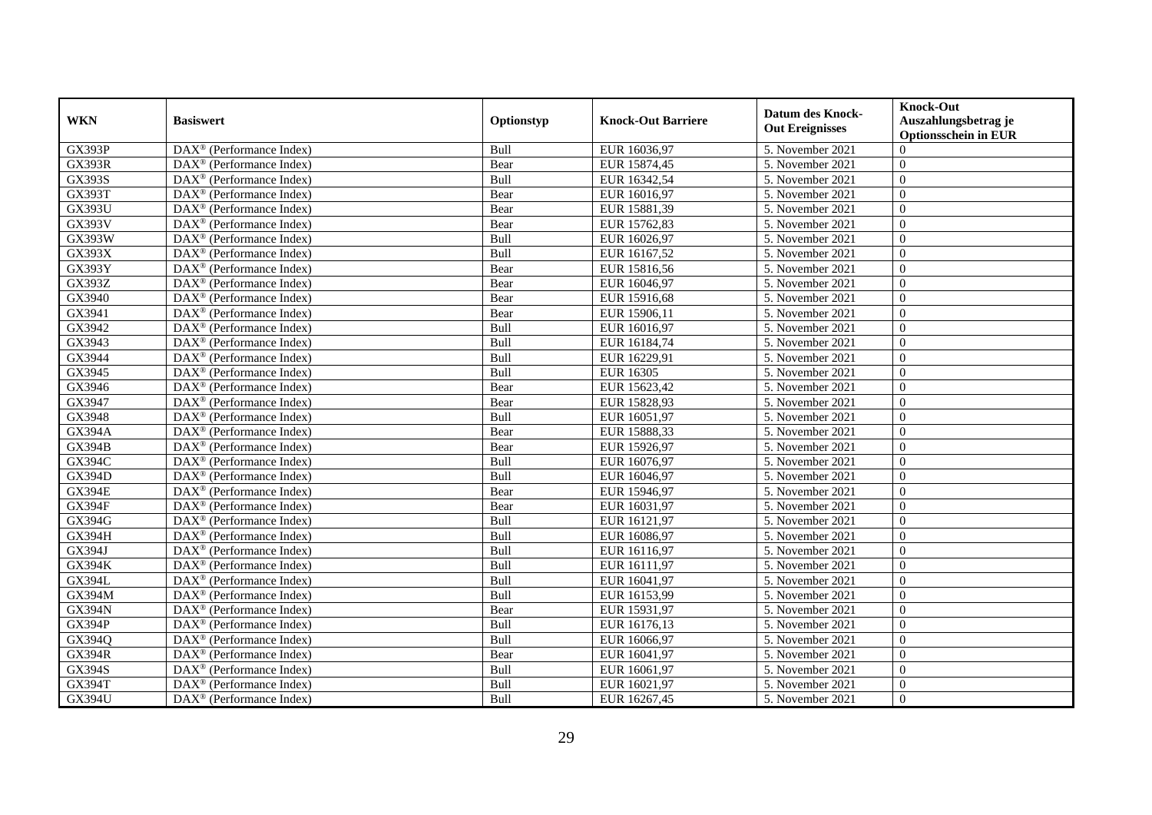| <b>WKN</b>    | <b>Basiswert</b>                                        | Optionstyp  | <b>Knock-Out Barriere</b> | <b>Datum des Knock-</b>        | <b>Knock-Out</b><br>Auszahlungsbetrag je |
|---------------|---------------------------------------------------------|-------------|---------------------------|--------------------------------|------------------------------------------|
|               |                                                         |             |                           | <b>Out Ereignisses</b>         | <b>Optionsschein in EUR</b>              |
| <b>GX393P</b> | $\overline{\text{DAX}^{\otimes}}$ (Performance Index)   | Bull        | EUR 16036,97              | 5. November 2021               | $\Omega$                                 |
| <b>GX393R</b> | DAX <sup>®</sup> (Performance Index)                    | Bear        | EUR 15874,45              | 5. November 2021               | $\mathbf{0}$                             |
| <b>GX393S</b> | $DAX^{\circledR}$ (Performance Index)                   | Bull        | EUR 16342,54              | 5. November 2021               | $\overline{0}$                           |
| <b>GX393T</b> | DAX <sup>®</sup> (Performance Index)                    | Bear        | EUR 16016,97              | 5. November 2021               | $\overline{0}$                           |
| GX393U        | $\text{DAX}^{\textcircled{}}$ (Performance Index)       | Bear        | EUR 15881,39              | 5. November 2021               | $\overline{0}$                           |
| <b>GX393V</b> | DAX <sup>®</sup> (Performance Index)                    | Bear        | EUR 15762,83              | 5. November 2021               | $\theta$                                 |
| GX393W        | $DAX^{\circledR}$ (Performance Index)                   | <b>Bull</b> | EUR 16026,97              | 5. November 2021               | $\Omega$                                 |
| GX393X        | $\overline{\text{DAX}}^{\textcirc}$ (Performance Index) | <b>Bull</b> | EUR 16167,52              | 5. November 2021               | $\overline{0}$                           |
| <b>GX393Y</b> | DAX <sup>®</sup> (Performance Index)                    | Bear        | EUR 15816,56              | 5. November 2021               | $\overline{0}$                           |
| GX393Z        | DAX <sup>®</sup> (Performance Index)                    | Bear        | EUR 16046,97              | 5. November 2021               | $\overline{0}$                           |
| GX3940        | $\overline{\text{DAX}^{\otimes}}$ (Performance Index)   | Bear        | EUR 15916,68              | 5. November 2021               | $\overline{0}$                           |
| GX3941        | DAX <sup>®</sup> (Performance Index)                    | Bear        | EUR 15906,11              | 5. November 2021               | $\overline{0}$                           |
| GX3942        | $DAX^{\circledast}$ (Performance Index)                 | Bull        | EUR 16016,97              | 5. November 2021               | $\overline{0}$                           |
| GX3943        | $\text{DAX}^{\otimes}$ (Performance Index)              | Bull        | EUR 16184.74              | 5. November 2021               | $\theta$                                 |
| GX3944        | DAX <sup>®</sup> (Performance Index)                    | Bull        | EUR 16229,91              | 5. November 2021               | $\theta$                                 |
| GX3945        | DAX <sup>®</sup> (Performance Index)                    | Bull        | <b>EUR 16305</b>          | 5. November 2021               | $\overline{0}$                           |
| GX3946        | $\overline{\text{DAX}^{\otimes}}$ (Performance Index)   | Bear        | EUR 15623,42              | 5. November 2021               | $\overline{0}$                           |
| GX3947        | $\overline{\text{DAX}}^{\textcirc}$ (Performance Index) | Bear        | EUR 15828,93              | 5. November 2021               | $\overline{0}$                           |
| GX3948        | $DAX^{\circledast}$ (Performance Index)                 | Bull        | EUR 16051,97              | 5. November 2021               | $\overline{0}$                           |
| <b>GX394A</b> | $\text{DAX}^{\textcircled{}}$ (Performance Index)       | Bear        | EUR 15888,33              | 5. November 2021               | $\overline{0}$                           |
| <b>GX394B</b> | DAX <sup>®</sup> (Performance Index)                    | Bear        | EUR 15926,97              | 5. November 2021               | $\mathbf{0}$                             |
| GX394C        | $\overline{\text{DAX}^{\otimes}}$ (Performance Index)   | <b>Bull</b> | EUR 16076,97              | 5. November 2021               | $\theta$                                 |
| <b>GX394D</b> | $\text{DAX}^{\textcircled{}}$ (Performance Index)       | Bull        | EUR 16046,97              | 5. November 2021               | $\theta$                                 |
| <b>GX394E</b> | $\text{DAX}^{\textcircled{}}$ (Performance Index)       | Bear        | EUR 15946,97              | 5. November 2021               | $\theta$                                 |
| <b>GX394F</b> | $\text{DAX}^{\textcircled{}}$ (Performance Index)       | Bear        | EUR 16031,97              | 5. November 2021               | $\overline{0}$                           |
| GX394G        | DAX <sup>®</sup> (Performance Index)                    | Bull        | EUR 16121,97              | 5. November 2021               | $\theta$                                 |
| GX394H        | DAX <sup>®</sup> (Performance Index)                    | <b>Bull</b> | EUR 16086,97              | 5. November 2021               | $\overline{0}$                           |
| GX394J        | DAX <sup>®</sup> (Performance Index)                    | Bull        | EUR 16116,97              | 5. November 2021               | $\overline{0}$                           |
| <b>GX394K</b> | $DAX^{\circledast}$ (Performance Index)                 | Bull        | EUR 16111,97              | 5. November 2021               | $\theta$                                 |
| <b>GX394L</b> | $\text{DAX}^{\textcircled{}}$ (Performance Index)       | <b>Bull</b> | EUR 16041,97              | 5. November 2021               | $\overline{0}$                           |
| GX394M        | DAX <sup>®</sup> (Performance Index)                    | Bull        | EUR 16153,99              | 5. November 2021               | $\overline{0}$                           |
| <b>GX394N</b> | DAX <sup>®</sup> (Performance Index)                    | Bear        | EUR 15931,97              | 5. November 2021               | $\mathbf{0}$                             |
| <b>GX394P</b> | $\text{DAX}^{\textcircled{}}$ (Performance Index)       | Bull        | EUR 16176,13              | 5. November 2021               | $\overline{0}$                           |
| GX394Q        | $\overline{\text{DAX}^{\otimes}}$ (Performance Index)   | Bull        | EUR 16066,97              | $\overline{5}$ . November 2021 | $\theta$                                 |
| <b>GX394R</b> | $\text{DAX}^{\textcircled{}}$ (Performance Index)       | Bear        | EUR 16041,97              | 5. November 2021               | $\overline{0}$                           |
| GX394S        | $\text{DAX}^{\textcircled{}}$ (Performance Index)       | Bull        | EUR 16061,97              | 5. November 2021               | $\overline{0}$                           |
| GX394T        | DAX <sup>®</sup> (Performance Index)                    | Bull        | EUR 16021,97              | 5. November 2021               | $\overline{0}$                           |
| <b>GX394U</b> | DAX <sup>®</sup> (Performance Index)                    | <b>Bull</b> | EUR 16267,45              | 5. November 2021               | $\mathbf{0}$                             |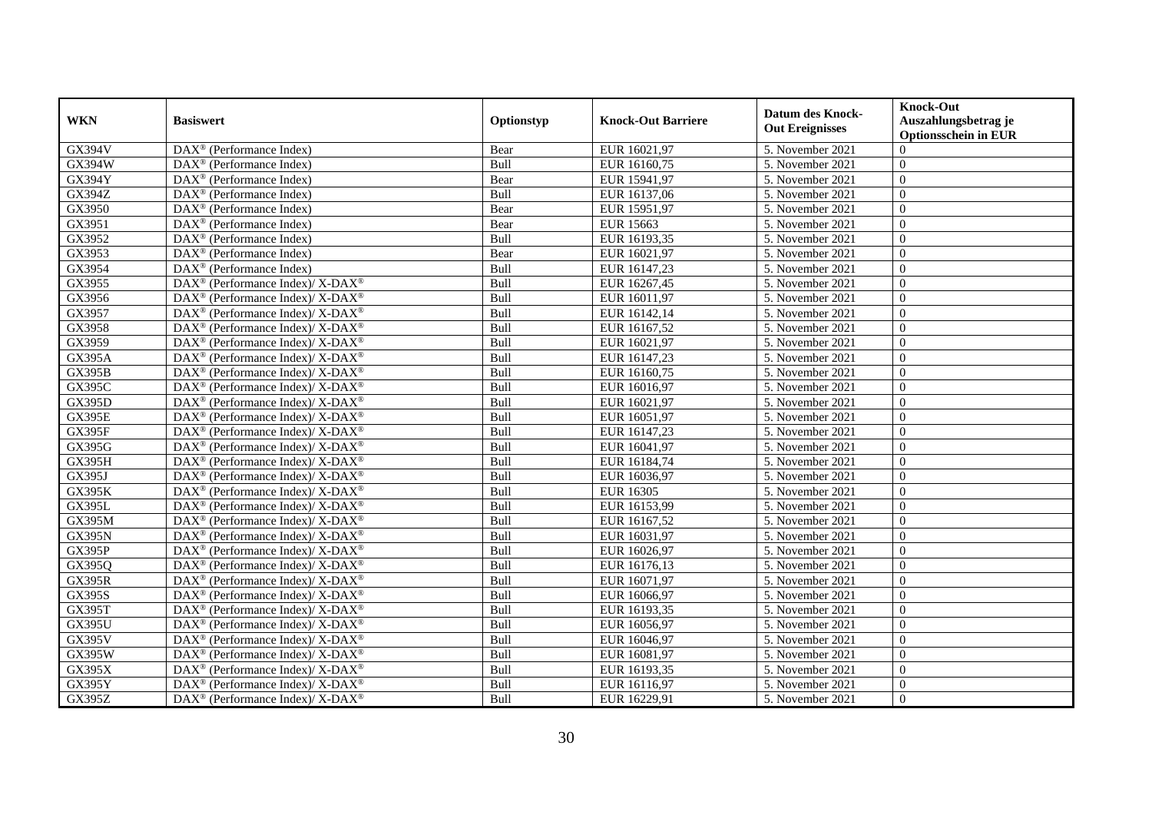|                     |                                                                   |             |                           | <b>Datum des Knock-</b> | <b>Knock-Out</b>                             |
|---------------------|-------------------------------------------------------------------|-------------|---------------------------|-------------------------|----------------------------------------------|
| <b>WKN</b>          | <b>Basiswert</b>                                                  | Optionstyp  | <b>Knock-Out Barriere</b> | <b>Out Ereignisses</b>  | Auszahlungsbetrag je<br>Optionsschein in EUR |
| GX394V              | DAX <sup>®</sup> (Performance Index)                              | Bear        | EUR 16021,97              | 5. November 2021        | $\Omega$                                     |
| $\overline{GX394W}$ | $DAX^{\circledast}$ (Performance Index)                           | Bull        | EUR 16160,75              | 5. November 2021        | $\overline{0}$                               |
| GX394Y              | DAX <sup>®</sup> (Performance Index)                              | Bear        | EUR 15941,97              | 5. November 2021        | $\Omega$                                     |
| GX394Z              | DAX <sup>®</sup> (Performance Index)                              | Bull        | EUR 16137,06              | 5. November 2021        | $\Omega$                                     |
| GX3950              | DAX <sup>®</sup> (Performance Index)                              | Bear        | EUR 15951,97              | 5. November 2021        | $\Omega$                                     |
| GX3951              | $DAX^{\circledR}$ (Performance Index)                             | Bear        | <b>EUR 15663</b>          | 5. November 2021        | $\Omega$                                     |
| GX3952              | $\overline{\text{DAX}^{\otimes}}$ (Performance Index)             | Bull        | EUR 16193,35              | 5. November 2021        | $\Omega$                                     |
| GX3953              | $DAX^{\circledast}$ (Performance Index)                           | Bear        | EUR 16021,97              | 5. November 2021        | $\overline{0}$                               |
| GX3954              | $DAX^{\circledR}$ (Performance Index)                             | Bull        | EUR 16147,23              | 5. November 2021        | $\theta$                                     |
| GX3955              | DAX <sup>®</sup> (Performance Index)/ X-DAX <sup>®</sup>          | Bull        | EUR 16267,45              | 5. November 2021        | $\Omega$                                     |
| GX3956              | DAX <sup>®</sup> (Performance Index)/ X-DAX <sup>®</sup>          | Bull        | EUR 16011,97              | 5. November 2021        | $\mathbf{0}$                                 |
| GX3957              | DAX <sup>®</sup> (Performance Index)/ X-DAX <sup>®</sup>          | Bull        | EUR 16142,14              | 5. November 2021        | $\overline{0}$                               |
| GX3958              | DAX <sup>®</sup> (Performance Index)/ X-DAX <sup>®</sup>          | Bull        | EUR 16167,52              | 5. November 2021        | $\overline{0}$                               |
| GX3959              | $DAX^{\circledast}$ (Performance Index)/ X-DAX <sup>®</sup>       | Bull        | EUR 16021,97              | 5. November 2021        | $\Omega$                                     |
| <b>GX395A</b>       | $DAX^{\circledast}$ (Performance Index)/ X-DAX <sup>®</sup>       | Bull        | EUR 16147,23              | 5. November 2021        | $\Omega$                                     |
| <b>GX395B</b>       | DAX <sup>®</sup> (Performance Index)/ X-DAX <sup>®</sup>          | Bull        | EUR 16160,75              | 5. November 2021        | $\mathbf{0}$                                 |
| GX395C              | $DAX^{\circledcirc}$ (Performance Index)/ X- $DAX^{\circledcirc}$ | Bull        | EUR 16016,97              | 5. November 2021        | $\Omega$                                     |
| <b>GX395D</b>       | DAX <sup>®</sup> (Performance Index)/ X-DAX <sup>®</sup>          | Bull        | EUR 16021,97              | 5. November 2021        | $\Omega$                                     |
| <b>GX395E</b>       | $DAX^{\circledast}$ (Performance Index)/ X-DAX <sup>®</sup>       | Bull        | EUR 16051,97              | 5. November 2021        | $\overline{0}$                               |
| <b>GX395F</b>       | $DAX^{\circledast}$ (Performance Index)/ X-DAX <sup>®</sup>       | Bull        | EUR 16147,23              | 5. November 2021        | $\mathbf{0}$                                 |
| <b>GX395G</b>       | DAX <sup>®</sup> (Performance Index)/ X-DAX <sup>®</sup>          | <b>Bull</b> | EUR 16041,97              | 5. November 2021        | $\Omega$                                     |
| <b>GX395H</b>       | DAX <sup>®</sup> (Performance Index)/ X-DAX <sup>®</sup>          | Bull        | EUR 16184,74              | 5. November 2021        | $\mathbf{0}$                                 |
| GX395J              | DAX <sup>®</sup> (Performance Index)/ X-DAX <sup>®</sup>          | Bull        | EUR 16036,97              | 5. November 2021        | $\Omega$                                     |
| <b>GX395K</b>       | DAX <sup>®</sup> (Performance Index)/ X-DAX <sup>®</sup>          | Bull        | <b>EUR 16305</b>          | 5. November 2021        | $\overline{0}$                               |
| <b>GX395L</b>       | $DAX^{\circledast}$ (Performance Index)/ X-DAX <sup>®</sup>       | Bull        | EUR 16153,99              | 5. November 2021        | $\Omega$                                     |
| GX395M              | DAX <sup>®</sup> (Performance Index)/ X-DAX <sup>®</sup>          | Bull        | EUR 16167,52              | 5. November 2021        | $\overline{0}$                               |
| <b>GX395N</b>       | $DAX^{\circledcirc}$ (Performance Index)/ X-DAX <sup>®</sup>      | Bull        | EUR 16031,97              | 5. November 2021        | $\Omega$                                     |
| <b>GX395P</b>       | DAX <sup>®</sup> (Performance Index)/ X-DAX <sup>®</sup>          | <b>Bull</b> | EUR 16026,97              | 5. November 2021        | $\Omega$                                     |
| GX395Q              | DAX <sup>®</sup> (Performance Index)/ X-DAX <sup>®</sup>          | Bull        | EUR 16176,13              | 5. November 2021        | $\Omega$                                     |
| <b>GX395R</b>       | DAX <sup>®</sup> (Performance Index)/ X-DAX <sup>®</sup>          | Bull        | EUR 16071,97              | 5. November 2021        | $\mathbf{0}$                                 |
| GX395S              | $DAX^{\circledast}$ (Performance Index)/ X-DAX <sup>®</sup>       | Bull        | EUR 16066,97              | 5. November 2021        | $\mathbf{0}$                                 |
| GX395T              | DAX <sup>®</sup> (Performance Index)/ X-DAX <sup>®</sup>          | Bull        | EUR 16193,35              | 5. November 2021        | $\mathbf{0}$                                 |
| <b>GX395U</b>       | $DAX^{\circledast}$ (Performance Index)/ X-DAX <sup>®</sup>       | Bull        | EUR 16056,97              | 5. November 2021        | $\Omega$                                     |
| <b>GX395V</b>       | DAX <sup>®</sup> (Performance Index)/ X-DAX <sup>®</sup>          | Bull        | EUR 16046,97              | 5. November 2021        | $\Omega$                                     |
| <b>GX395W</b>       | DAX <sup>®</sup> (Performance Index)/ X-DAX <sup>®</sup>          | Bull        | EUR 16081,97              | 5. November 2021        | $\Omega$                                     |
| GX395X              | $\text{DAX}^{\circledR}$ (Performance Index)/ X-DAX <sup>®</sup>  | Bull        | EUR 16193,35              | 5. November 2021        | $\mathbf{0}$                                 |
| GX395Y              | DAX <sup>®</sup> (Performance Index)/ X-DAX <sup>®</sup>          | Bull        | EUR 16116,97              | 5. November 2021        | $\boldsymbol{0}$                             |
| GX395Z              | DAX <sup>®</sup> (Performance Index)/ X-DAX <sup>®</sup>          | Bull        | EUR 16229,91              | 5. November 2021        | $\overline{0}$                               |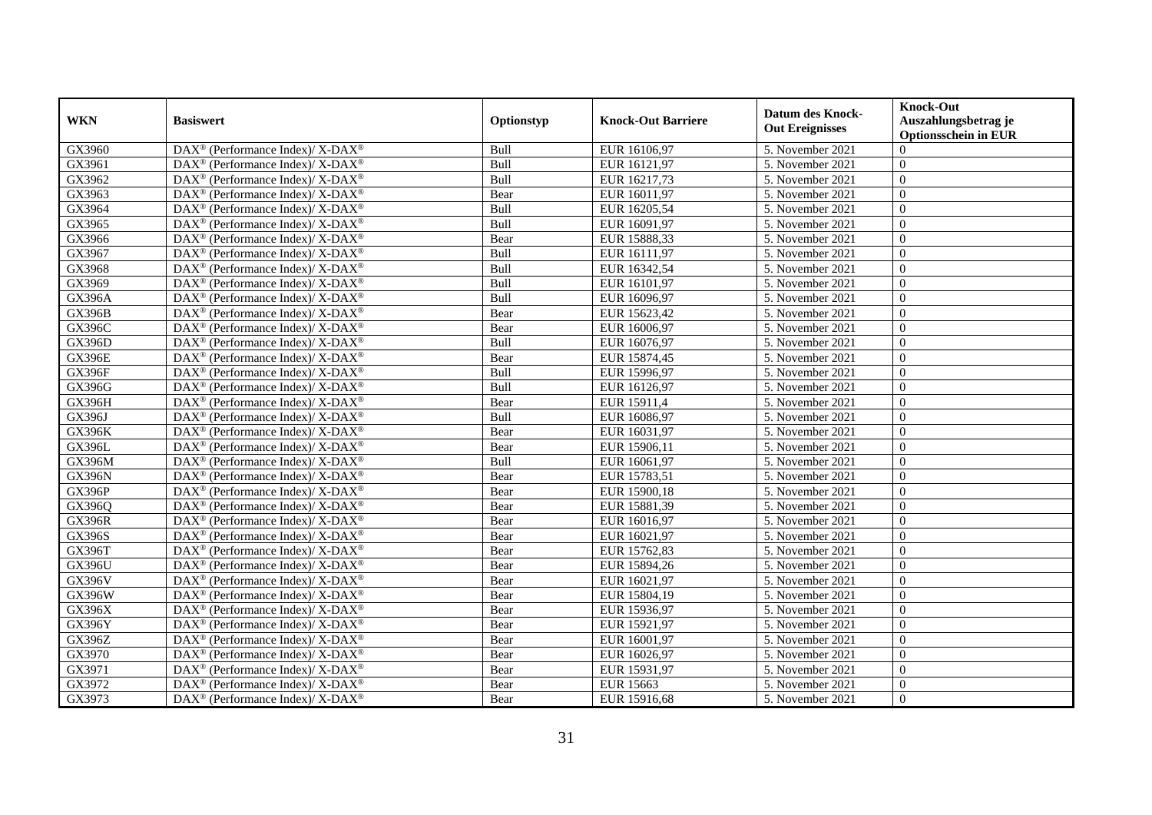|               |                                                                    |            |                           | <b>Datum des Knock-</b> | <b>Knock-Out</b>     |
|---------------|--------------------------------------------------------------------|------------|---------------------------|-------------------------|----------------------|
| <b>WKN</b>    | <b>Basiswert</b>                                                   | Optionstyp | <b>Knock-Out Barriere</b> | <b>Out Ereignisses</b>  | Auszahlungsbetrag je |
|               |                                                                    |            |                           |                         | Optionsschein in EUR |
| GX3960        | DAX <sup>®</sup> (Performance Index)/ X-DAX <sup>®</sup>           | Bull       | EUR 16106,97              | 5. November 2021        | $\overline{0}$       |
| GX3961        | DAX <sup>®</sup> (Performance Index)/ X-DAX <sup>®</sup>           | Bull       | EUR 16121,97              | 5. November 2021        | $\overline{0}$       |
| GX3962        | $DAX^{\circledcirc}$ (Performance Index)/ X-DAX <sup>®</sup>       | Bull       | EUR 16217,73              | 5. November 2021        | $\theta$             |
| GX3963        | DAX <sup>®</sup> (Performance Index)/ X-DAX <sup>®</sup>           | Bear       | EUR 16011,97              | 5. November 2021        | $\theta$             |
| GX3964        | DAX <sup>®</sup> (Performance Index)/ X-DAX <sup>®</sup>           | Bull       | EUR 16205,54              | 5. November 2021        | $\mathbf{0}$         |
| GX3965        | DAX <sup>®</sup> (Performance Index)/ X-DAX <sup>®</sup>           | Bull       | EUR 16091,97              | 5. November 2021        | $\overline{0}$       |
| GX3966        | $DAX^{\circledast}$ (Performance Index)/ X-DAX <sup>®</sup>        | Bear       | EUR 15888,33              | 5. November 2021        | $\Omega$             |
| GX3967        | DAX <sup>®</sup> (Performance Index)/ X-DAX <sup>®</sup>           | Bull       | EUR 16111,97              | 5. November 2021        | $\overline{0}$       |
| GX3968        | $DAX^{\circledcirc}$ (Performance Index)/ X-DAX <sup>®</sup>       | Bull       | EUR 16342,54              | 5. November 2021        | $\theta$             |
| GX3969        | DAX <sup>®</sup> (Performance Index)/ X-DAX <sup>®</sup>           | Bull       | EUR 16101,97              | 5. November 2021        | $\mathbf{0}$         |
| <b>GX396A</b> | DAX <sup>®</sup> (Performance Index)/ X-DAX <sup>®</sup>           | Bull       | EUR 16096,97              | 5. November 2021        | $\mathbf{0}$         |
| <b>GX396B</b> | DAX <sup>®</sup> (Performance Index)/ X-DAX <sup>®</sup>           | Bear       | EUR 15623,42              | 5. November 2021        | $\overline{0}$       |
| GX396C        | DAX <sup>®</sup> (Performance Index)/ X-DAX <sup>®</sup>           | Bear       | EUR 16006,97              | 5. November 2021        | $\overline{0}$       |
| <b>GX396D</b> | DAX <sup>®</sup> (Performance Index)/ X-DAX <sup>®</sup>           | Bull       | EUR 16076,97              | 5. November 2021        | $\overline{0}$       |
| <b>GX396E</b> | $DAX^{\circledcirc}$ (Performance Index)/ X-DAX <sup>®</sup>       | Bear       | EUR 15874,45              | 5. November 2021        | $\theta$             |
| <b>GX396F</b> | DAX <sup>®</sup> (Performance Index)/ X-DAX <sup>®</sup>           | Bull       | EUR 15996,97              | 5. November 2021        | $\mathbf{0}$         |
| <b>GX396G</b> | $DAX^{\circledast}$ (Performance Index)/ X-DAX <sup>®</sup>        | Bull       | EUR 16126,97              | 5. November 2021        | $\Omega$             |
| <b>GX396H</b> | DAX <sup>®</sup> (Performance Index)/ X-DAX <sup>®</sup>           | Bear       | EUR 15911,4               | 5. November 2021        | $\Omega$             |
| GX396J        | $\text{DAX}^{\circledast}$ (Performance Index)/ X-DAX <sup>®</sup> | Bull       | EUR 16086,97              | 5. November 2021        | $\overline{0}$       |
| <b>GX396K</b> | DAX <sup>®</sup> (Performance Index)/ X-DAX <sup>®</sup>           | Bear       | EUR 16031,97              | 5. November 2021        | $\mathbf{0}$         |
| GX396L        | DAX <sup>®</sup> (Performance Index)/ X-DAX <sup>®</sup>           | Bear       | EUR 15906,11              | 5. November 2021        | $\Omega$             |
| <b>GX396M</b> | $DAX^{\circledast}$ (Performance Index)/ X-DAX <sup>®</sup>        | Bull       | EUR 16061,97              | 5. November 2021        | $\mathbf{0}$         |
| <b>GX396N</b> | DAX <sup>®</sup> (Performance Index)/ X-DAX <sup>®</sup>           | Bear       | EUR 15783,51              | 5. November 2021        | $\overline{0}$       |
| <b>GX396P</b> | DAX <sup>®</sup> (Performance Index)/ X-DAX <sup>®</sup>           | Bear       | EUR 15900,18              | 5. November 2021        | $\overline{0}$       |
| GX396Q        | $DAX^{\circledast}$ (Performance Index)/ X-DAX <sup>®</sup>        | Bear       | EUR 15881,39              | 5. November 2021        | $\Omega$             |
| <b>GX396R</b> | DAX <sup>®</sup> (Performance Index)/ X-DAX <sup>®</sup>           | Bear       | EUR 16016,97              | 5. November 2021        | $\overline{0}$       |
| <b>GX396S</b> | $DAX^{\circledcirc}$ (Performance Index)/ X-DAX <sup>®</sup>       | Bear       | EUR 16021,97              | 5. November 2021        | $\Omega$             |
| <b>GX396T</b> | DAX <sup>®</sup> (Performance Index)/ X-DAX <sup>®</sup>           | Bear       | EUR 15762,83              | 5. November 2021        | $\theta$             |
| GX396U        | DAX <sup>®</sup> (Performance Index)/ X-DAX <sup>®</sup>           | Bear       | EUR 15894,26              | 5. November 2021        | $\overline{0}$       |
| <b>GX396V</b> | DAX <sup>®</sup> (Performance Index)/ X-DAX <sup>®</sup>           | Bear       | EUR 16021,97              | 5. November 2021        | $\mathbf{0}$         |
| GX396W        | $DAX^{\circledast}$ (Performance Index)/ X-DAX <sup>®</sup>        | Bear       | EUR 15804,19              | 5. November 2021        | $\overline{0}$       |
| GX396X        | DAX <sup>®</sup> (Performance Index)/ X-DAX <sup>®</sup>           | Bear       | EUR 15936,97              | 5. November 2021        | $\overline{0}$       |
| <b>GX396Y</b> | $\text{DAX}^{\circledast}$ (Performance Index)/ X-DAX <sup>®</sup> | Bear       | EUR 15921,97              | 5. November 2021        | $\overline{0}$       |
| <b>GX396Z</b> | DAX <sup>®</sup> (Performance Index)/ X-DAX <sup>®</sup>           | Bear       | EUR 16001,97              | 5. November 2021        | $\theta$             |
| GX3970        | DAX <sup>®</sup> (Performance Index)/ X-DAX <sup>®</sup>           | Bear       | EUR 16026,97              | 5. November 2021        | $\Omega$             |
| GX3971        | $\text{DAX}^{\otimes}$ (Performance Index)/ X-DAX <sup>®</sup>     | Bear       | EUR 15931,97              | 5. November 2021        | $\overline{0}$       |
| GX3972        | DAX <sup>®</sup> (Performance Index)/ X-DAX <sup>®</sup>           | Bear       | <b>EUR 15663</b>          | 5. November 2021        | $\boldsymbol{0}$     |
| GX3973        | DAX <sup>®</sup> (Performance Index)/ X-DAX <sup>®</sup>           | Bear       | EUR 15916,68              | 5. November 2021        | $\overline{0}$       |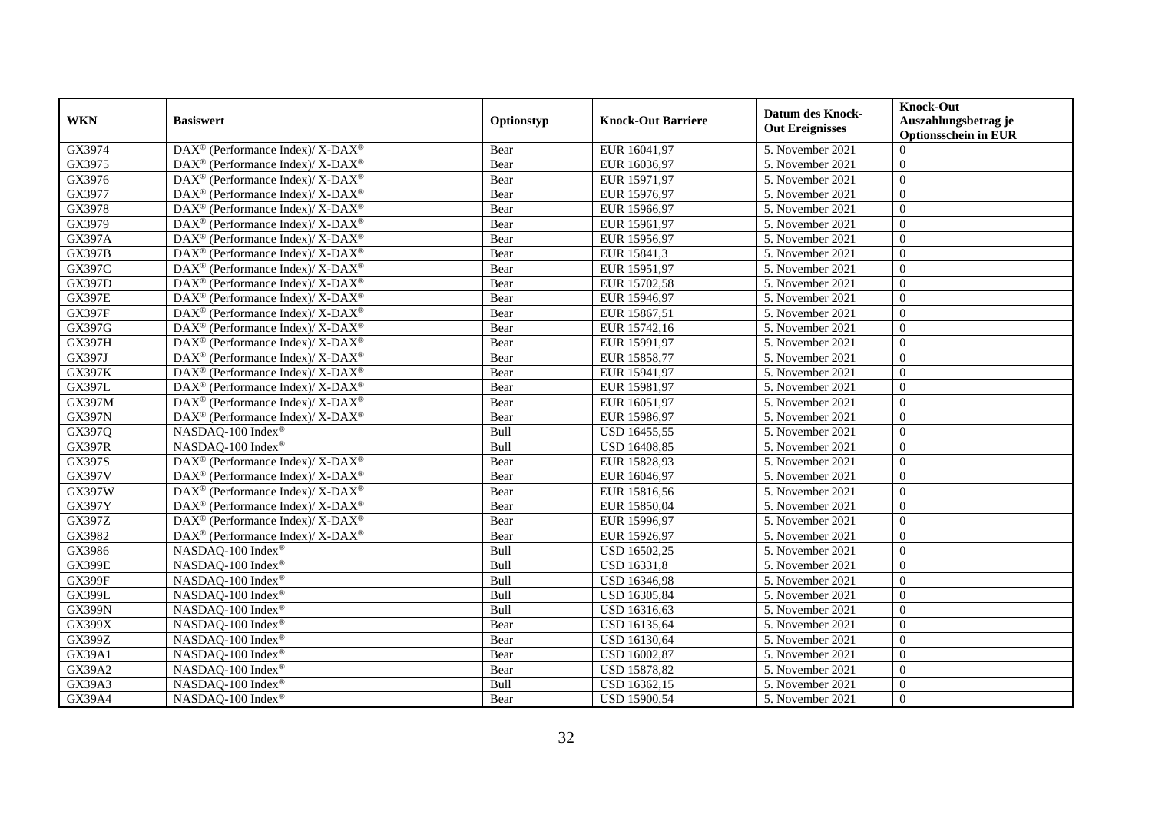| <b>WKN</b>    | <b>Basiswert</b>                                                         | Optionstyp  | <b>Knock-Out Barriere</b> | <b>Datum des Knock-</b> | <b>Knock-Out</b><br>Auszahlungsbetrag je |
|---------------|--------------------------------------------------------------------------|-------------|---------------------------|-------------------------|------------------------------------------|
|               |                                                                          |             |                           | <b>Out Ereignisses</b>  | <b>Optionsschein in EUR</b>              |
| GX3974        | DAX <sup>®</sup> (Performance Index)/ X-DAX <sup>®</sup>                 | Bear        | EUR 16041,97              | 5. November 2021        | $\Omega$                                 |
| GX3975        | DAX <sup>®</sup> (Performance Index)/ X-DAX <sup>®</sup>                 | Bear        | EUR 16036,97              | 5. November 2021        | $\mathbf{0}$                             |
| GX3976        | $DAX^{\circledast}$ (Performance Index)/ X-DAX <sup>®</sup>              | Bear        | EUR 15971,97              | 5. November 2021        | $\overline{0}$                           |
| GX3977        | DAX <sup>®</sup> (Performance Index)/ X-DAX <sup>®</sup>                 | Bear        | EUR 15976,97              | 5. November 2021        | $\overline{0}$                           |
| GX3978        | DAX <sup>®</sup> (Performance Index)/ X-DAX <sup>®</sup>                 | Bear        | EUR 15966,97              | 5. November 2021        | $\overline{0}$                           |
| GX3979        | DAX <sup>®</sup> (Performance Index)/ X-DAX <sup>®</sup>                 | Bear        | EUR 15961,97              | 5. November 2021        | $\theta$                                 |
| <b>GX397A</b> | $DAX^{\circledast}$ (Performance Index)/ X-DAX <sup>®</sup>              | Bear        | EUR 15956,97              | 5. November 2021        | $\theta$                                 |
| <b>GX397B</b> | DAX <sup>®</sup> (Performance Index)/ X-DAX <sup>®</sup>                 | Bear        | EUR 15841,3               | 5. November 2021        | $\overline{0}$                           |
| GX397C        | DAX <sup>®</sup> (Performance Index)/ X-DAX <sup>®</sup>                 | Bear        | EUR 15951,97              | 5. November 2021        | $\overline{0}$                           |
| GX397D        | DAX <sup>®</sup> (Performance Index)/ X-DAX <sup>®</sup>                 | Bear        | EUR 15702,58              | 5. November 2021        | $\overline{0}$                           |
| <b>GX397E</b> | DAX <sup>®</sup> (Performance Index)/ X-DAX <sup>®</sup>                 | Bear        | EUR 15946,97              | 5. November 2021        | $\overline{0}$                           |
| <b>GX397F</b> | $\text{DAX}^{\otimes}$ (Performance Index)/ X-DAX <sup>®</sup>           | Bear        | EUR 15867,51              | 5. November 2021        | $\overline{0}$                           |
| <b>GX397G</b> | $DAX^{\circledast}$ (Performance Index)/ X-DAX <sup>®</sup>              | Bear        | EUR 15742,16              | 5. November 2021        | $\overline{0}$                           |
| <b>GX397H</b> | $DAX^{\circledcirc}$ (Performance Index)/ X- $DAX^{\circledcirc}$        | Bear        | EUR 15991,97              | 5. November 2021        | $\theta$                                 |
| GX397J        | DAX <sup>®</sup> (Performance Index)/ X-DAX <sup>®</sup>                 | Bear        | EUR 15858,77              | 5. November 2021        | $\theta$                                 |
| <b>GX397K</b> | DAX <sup>®</sup> (Performance Index)/ X-DAX <sup>®</sup>                 | Bear        | EUR 15941,97              | 5. November 2021        | $\overline{0}$                           |
| GX397L        | DAX <sup>®</sup> (Performance Index)/ X-DAX <sup>®</sup>                 | Bear        | EUR 15981,97              | 5. November 2021        | $\overline{0}$                           |
| <b>GX397M</b> | $\text{DAX}^{\circledR}$ (Performance Index)/ X-DAX <sup>®</sup>         | Bear        | EUR 16051,97              | 5. November 2021        | $\overline{0}$                           |
| <b>GX397N</b> | DAX <sup>®</sup> (Performance Index)/ X-DAX <sup>®</sup>                 | Bear        | EUR 15986,97              | 5. November 2021        | $\overline{0}$                           |
| GX397Q        | NASDAQ-100 Index <sup>®</sup>                                            | Bull        | USD 16455,55              | 5. November 2021        | $\overline{0}$                           |
| <b>GX397R</b> | NASDAQ-100 Index®                                                        | Bull        | USD 16408,85              | 5. November 2021        | $\boldsymbol{0}$                         |
| GX397S        | DAX <sup>®</sup> (Performance Index)/ X-DAX <sup>®</sup>                 | Bear        | EUR 15828,93              | 5. November 2021        | $\theta$                                 |
| <b>GX397V</b> | DAX <sup>®</sup> (Performance Index)/ X-DAX <sup>®</sup>                 | Bear        | EUR 16046,97              | 5. November 2021        | $\theta$                                 |
| <b>GX397W</b> | $\overline{\text{DAX}^{\otimes}}$ (Performance Index)/X-DAX <sup>®</sup> | Bear        | EUR 15816,56              | 5. November 2021        | $\Omega$                                 |
| GX397Y        | $DAX^{\circledast}$ (Performance Index)/ X-DAX <sup>®</sup>              | Bear        | EUR 15850,04              | 5. November 2021        | $\overline{0}$                           |
| GX397Z        | DAX <sup>®</sup> (Performance Index)/ X-DAX <sup>®</sup>                 | <b>Bear</b> | EUR 15996,97              | 5. November 2021        | $\theta$                                 |
| GX3982        | $DAX^{\circledast}$ (Performance Index)/ X-DAX <sup>®</sup>              | Bear        | EUR 15926,97              | 5. November 2021        | $\overline{0}$                           |
| GX3986        | NASDAQ-100 Index®                                                        | Bull        | USD 16502,25              | 5. November 2021        | $\overline{0}$                           |
| <b>GX399E</b> | NASDAQ-100 Index®                                                        | Bull        | <b>USD 16331,8</b>        | 5. November 2021        | $\theta$                                 |
| <b>GX399F</b> | NASDAQ-100 Index®                                                        | Bull        | USD 16346,98              | 5. November 2021        | $\overline{0}$                           |
| <b>GX399L</b> | NASDAQ-100 Index®                                                        | Bull        | USD 16305,84              | 5. November 2021        | $\overline{0}$                           |
| <b>GX399N</b> | NASDAQ-100 Index®                                                        | Bull        | USD 16316,63              | 5. November 2021        | $\mathbf{0}$                             |
| GX399X        | NASDAQ-100 Index®                                                        | Bear        | USD 16135,64              | 5. November 2021        | $\overline{0}$                           |
| GX399Z        | NASDAQ-100 Index®                                                        | Bear        | USD 16130,64              | 5. November 2021        | $\theta$                                 |
| GX39A1        | NASDAQ-100 Index®                                                        | Bear        | USD 16002,87              | 5. November 2021        | $\overline{0}$                           |
| GX39A2        | NASDAQ-100 Index®                                                        | Bear        | <b>USD 15878,82</b>       | 5. November 2021        | $\overline{0}$                           |
| GX39A3        | NASDAQ-100 Index®                                                        | Bull        | USD 16362,15              | 5. November 2021        | $\overline{0}$                           |
| GX39A4        | NASDAQ-100 Index®                                                        | Bear        | <b>USD 15900,54</b>       | 5. November 2021        | $\mathbf{0}$                             |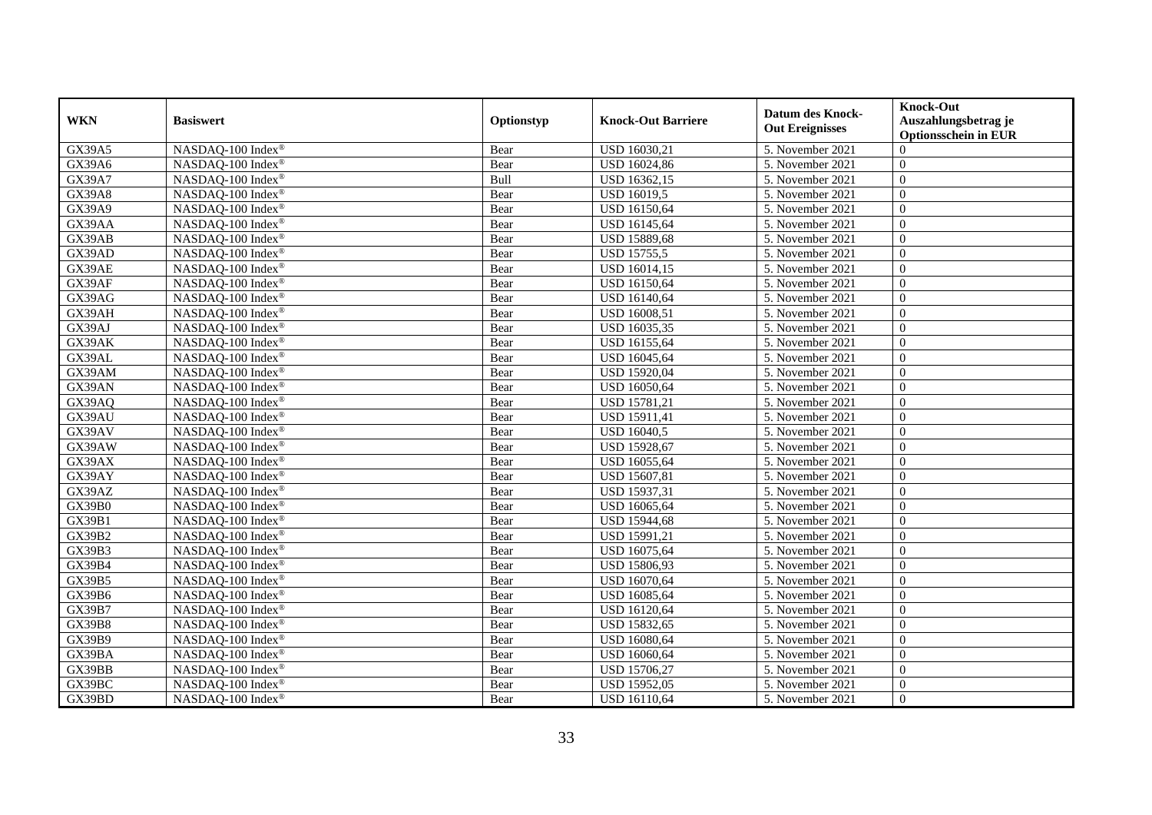| <b>WKN</b>    | <b>Basiswert</b>                | Optionstyp | <b>Knock-Out Barriere</b> | <b>Datum des Knock-</b><br><b>Out Ereignisses</b> | <b>Knock-Out</b><br>Auszahlungsbetrag je<br><b>Optionsschein in EUR</b> |
|---------------|---------------------------------|------------|---------------------------|---------------------------------------------------|-------------------------------------------------------------------------|
| GX39A5        | NASDAQ-100 Index®               | Bear       | USD 16030,21              | 5. November 2021                                  | $\Omega$                                                                |
| GX39A6        | NASDAQ-100 Index®               | Bear       | <b>USD 16024,86</b>       | 5. November 2021                                  | $\boldsymbol{0}$                                                        |
| GX39A7        | NASDAQ-100 Index®               | Bull       | USD 16362,15              | 5. November 2021                                  | $\overline{0}$                                                          |
| <b>GX39A8</b> | NASDAQ-100 Index®               | Bear       | <b>USD 16019,5</b>        | 5. November 2021                                  | $\overline{0}$                                                          |
| GX39A9        | NASDAQ-100 Index®               | Bear       | <b>USD 16150,64</b>       | 5. November 2021                                  | $\overline{0}$                                                          |
| GX39AA        | NASDAQ-100 Index®               | Bear       | USD 16145,64              | 5. November 2021                                  | $\overline{0}$                                                          |
| GX39AB        | NASDAQ-100 Index®               | Bear       | <b>USD 15889,68</b>       | 5. November 2021                                  | $\theta$                                                                |
| GX39AD        | NASDAQ-100 Index®               | Bear       | <b>USD 15755,5</b>        | 5. November 2021                                  | $\overline{0}$                                                          |
| GX39AE        | NASDAQ-100 Index®               | Bear       | USD 16014,15              | 5. November 2021                                  | $\overline{0}$                                                          |
| GX39AF        | NASDAQ-100 Index®               | Bear       | <b>USD 16150,64</b>       | 5. November 2021                                  | $\overline{0}$                                                          |
| GX39AG        | NASDAQ-100 Index®               | Bear       | USD 16140,64              | 5. November 2021                                  | $\mathbf{0}$                                                            |
| GX39AH        | NASDAQ-100 Index®               | Bear       | <b>USD 16008,51</b>       | 5. November 2021                                  | $\overline{0}$                                                          |
| GX39AJ        | NASDAQ-100 Index®               | Bear       | USD 16035,35              | 5. November 2021                                  | $\overline{0}$                                                          |
| GX39AK        | NASDAQ-100 Index®               | Bear       | <b>USD 16155.64</b>       | 5. November 2021                                  | $\theta$                                                                |
| GX39AL        | NASDAQ-100 Index®               | Bear       | USD 16045,64              | 5. November 2021                                  | $\Omega$                                                                |
| GX39AM        | NASDAQ-100 Index®               | Bear       | <b>USD 15920,04</b>       | 5. November 2021                                  | $\overline{0}$                                                          |
| GX39AN        | NASDAQ-100 Index®               | Bear       | USD 16050,64              | 5. November 2021                                  | $\overline{0}$                                                          |
| GX39AQ        | NASDAQ-100 Index®               | Bear       | <b>USD 15781,21</b>       | 5. November 2021                                  | $\overline{0}$                                                          |
| GX39AU        | NASDAQ-100 Index®               | Bear       | <b>USD 15911,41</b>       | 5. November 2021                                  | $\overline{0}$                                                          |
| GX39AV        | NASDAQ-100 Index®               | Bear       | <b>USD 16040,5</b>        | 5. November 2021                                  | $\overline{0}$                                                          |
| GX39AW        | NASDAQ-100 Index®               | Bear       | <b>USD 15928,67</b>       | 5. November 2021                                  | $\boldsymbol{0}$                                                        |
| GX39AX        | NASDAQ-100 Index®               | Bear       | USD 16055,64              | 5. November 2021                                  | $\theta$                                                                |
| GX39AY        | NASDAQ-100 Index®               | Bear       | <b>USD 15607,81</b>       | 5. November 2021                                  | $\overline{0}$                                                          |
| GX39AZ        | NASDAQ-100 Index®               | Bear       | <b>USD 15937,31</b>       | 5. November 2021                                  | $\overline{0}$                                                          |
| <b>GX39B0</b> | NASDAQ-100 Index®               | Bear       | USD 16065,64              | 5. November 2021                                  | $\overline{0}$                                                          |
| GX39B1        | NASDAQ-100 Index®               | Bear       | <b>USD 15944,68</b>       | 5. November 2021                                  | $\overline{0}$                                                          |
| GX39B2        | NASDAQ-100 Index®               | Bear       | USD 15991,21              | 5. November 2021                                  | $\overline{0}$                                                          |
| GX39B3        | NASDAQ-100 Index®               | Bear       | USD 16075,64              | 5. November 2021                                  | $\overline{0}$                                                          |
| GX39B4        | NASDAQ-100 Index®               | Bear       | USD 15806,93              | 5. November 2021                                  | $\overline{0}$                                                          |
| GX39B5        | NASDAQ-100 Index®               | Bear       | <b>USD 16070,64</b>       | 5. November 2021                                  | $\overline{0}$                                                          |
| GX39B6        | NASDAQ-100 Index®               | Bear       | <b>USD 16085,64</b>       | 5. November 2021                                  | $\mathbf{0}$                                                            |
| <b>GX39B7</b> | NASDAQ-100 Index®               | Bear       | <b>USD 16120,64</b>       | 5. November 2021                                  | $\overline{0}$                                                          |
| <b>GX39B8</b> | NASDAQ-100 Index®               | Bear       | USD 15832,65              | 5. November 2021                                  | $\overline{0}$                                                          |
| GX39B9        | NASDAQ-100 Index®               | Bear       | <b>USD 16080,64</b>       | 5. November 2021                                  | $\overline{0}$                                                          |
| GX39BA        | NASDAQ-100 Index®               | Bear       | <b>USD 16060,64</b>       | 5. November 2021                                  | $\overline{0}$                                                          |
| GX39BB        | NASDAQ-100 Index®               | Bear       | <b>USD 15706,27</b>       | 5. November 2021                                  | $\overline{0}$                                                          |
| GX39BC        | $NASDAQ-100$ Index <sup>®</sup> | Bear       | <b>USD 15952,05</b>       | 5. November 2021                                  | $\overline{0}$                                                          |
| GX39BD        | NASDAQ-100 Index®               | Bear       | <b>USD 16110,64</b>       | 5. November 2021                                  | $\mathbf{0}$                                                            |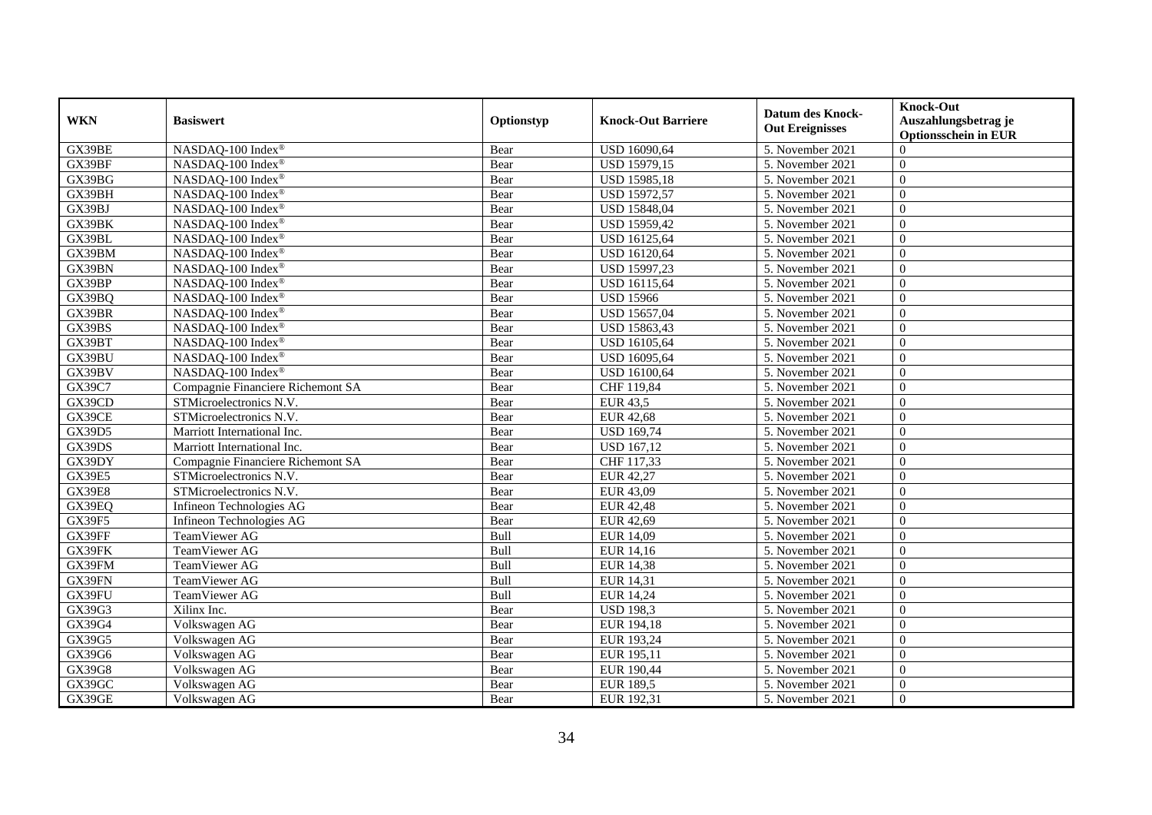| <b>WKN</b>    | <b>Basiswert</b>                  | Optionstyp | <b>Knock-Out Barriere</b> | <b>Datum des Knock-</b><br><b>Out Ereignisses</b> | <b>Knock-Out</b><br>Auszahlungsbetrag je<br><b>Optionsschein in EUR</b> |
|---------------|-----------------------------------|------------|---------------------------|---------------------------------------------------|-------------------------------------------------------------------------|
| GX39BE        | NASDAQ-100 Index®                 | Bear       | <b>USD 16090,64</b>       | 5. November 2021                                  | $\Omega$                                                                |
| GX39BF        | NASDAQ-100 Index®                 | Bear       | USD 15979,15              | 5. November 2021                                  | $\boldsymbol{0}$                                                        |
| GX39BG        | NASDAQ-100 Index®                 | Bear       | <b>USD 15985,18</b>       | 5. November 2021                                  | $\overline{0}$                                                          |
| GX39BH        | NASDAQ-100 Index®                 | Bear       | <b>USD 15972,57</b>       | 5. November 2021                                  | $\overline{0}$                                                          |
| GX39BJ        | NASDAQ-100 Index®                 | Bear       | <b>USD 15848,04</b>       | 5. November 2021                                  | $\overline{0}$                                                          |
| GX39BK        | NASDAQ-100 Index®                 | Bear       | <b>USD 15959,42</b>       | 5. November 2021                                  | $\theta$                                                                |
| GX39BL        | NASDAO-100 Index®                 | Bear       | <b>USD 16125,64</b>       | 5. November 2021                                  | $\theta$                                                                |
| GX39BM        | NASDAQ-100 Index®                 | Bear       | <b>USD 16120,64</b>       | 5. November 2021                                  | $\overline{0}$                                                          |
| GX39BN        | NASDAQ-100 Index®                 | Bear       | USD 15997,23              | 5. November 2021                                  | $\overline{0}$                                                          |
| GX39BP        | NASDAQ-100 Index®                 | Bear       | <b>USD 16115,64</b>       | 5. November 2021                                  | $\overline{0}$                                                          |
| GX39BQ        | NASDAQ-100 Index®                 | Bear       | <b>USD 15966</b>          | 5. November 2021                                  | $\mathbf{0}$                                                            |
| GX39BR        | NASDAQ-100 Index®                 | Bear       | <b>USD 15657,04</b>       | 5. November 2021                                  | $\overline{0}$                                                          |
| GX39BS        | NASDAQ-100 Index®                 | Bear       | USD 15863,43              | 5. November 2021                                  | $\overline{0}$                                                          |
| GX39BT        | NASDAQ-100 Index®                 | Bear       | <b>USD 16105.64</b>       | 5. November 2021                                  | $\theta$                                                                |
| GX39BU        | NASDAQ-100 Index®                 | Bear       | USD 16095,64              | 5. November 2021                                  | $\Omega$                                                                |
| GX39BV        | NASDAQ-100 Index®                 | Bear       | <b>USD 16100,64</b>       | 5. November 2021                                  | $\overline{0}$                                                          |
| GX39C7        | Compagnie Financiere Richemont SA | Bear       | CHF 119,84                | 5. November 2021                                  | $\overline{0}$                                                          |
| GX39CD        | STMicroelectronics N.V.           | Bear       | $EUR$ 43,5                | 5. November 2021                                  | $\overline{0}$                                                          |
| GX39CE        | STMicroelectronics N.V.           | Bear       | <b>EUR 42,68</b>          | 5. November 2021                                  | $\overline{0}$                                                          |
| GX39D5        | Marriott International Inc.       | Bear       | <b>USD 169,74</b>         | 5. November 2021                                  | $\overline{0}$                                                          |
| GX39DS        | Marriott International Inc.       | Bear       | <b>USD 167,12</b>         | 5. November 2021                                  | $\boldsymbol{0}$                                                        |
| GX39DY        | Compagnie Financiere Richemont SA | Bear       | CHF 117,33                | 5. November 2021                                  | $\theta$                                                                |
| <b>GX39E5</b> | STMicroelectronics N.V.           | Bear       | EUR 42,27                 | 5. November 2021                                  | $\theta$                                                                |
| <b>GX39E8</b> | STMicroelectronics N.V.           | Bear       | EUR 43,09                 | 5. November 2021                                  | $\theta$                                                                |
| GX39EQ        | Infineon Technologies AG          | Bear       | <b>EUR 42,48</b>          | 5. November 2021                                  | $\overline{0}$                                                          |
| <b>GX39F5</b> | Infineon Technologies AG          | Bear       | EUR 42,69                 | 5. November 2021                                  | $\Omega$                                                                |
| GX39FF        | TeamViewer AG                     | Bull       | EUR 14,09                 | 5. November 2021                                  | $\overline{0}$                                                          |
| GX39FK        | TeamViewer AG                     | Bull       | EUR 14,16                 | 5. November 2021                                  | $\overline{0}$                                                          |
| GX39FM        | TeamViewer AG                     | Bull       | EUR 14,38                 | 5. November 2021                                  | $\Omega$                                                                |
| GX39FN        | TeamViewer AG                     | Bull       | EUR 14,31                 | 5. November 2021                                  | $\overline{0}$                                                          |
| GX39FU        | TeamViewer AG                     | Bull       | <b>EUR 14,24</b>          | 5. November 2021                                  | $\overline{0}$                                                          |
| GX39G3        | Xilinx Inc.                       | Bear       | <b>USD 198,3</b>          | 5. November 2021                                  | $\overline{0}$                                                          |
| GX39G4        | Volkswagen AG                     | Bear       | EUR 194,18                | 5. November 2021                                  | $\overline{0}$                                                          |
| GX39G5        | Volkswagen AG                     | Bear       | EUR 193,24                | 5. November 2021                                  | $\theta$                                                                |
| GX39G6        | Volkswagen AG                     | Bear       | EUR 195,11                | 5. November 2021                                  | $\overline{0}$                                                          |
| GX39G8        | Volkswagen AG                     | Bear       | EUR 190,44                | 5. November 2021                                  | $\overline{0}$                                                          |
| GX39GC        | Volkswagen AG                     | Bear       | <b>EUR 189,5</b>          | 5. November 2021                                  | $\overline{0}$                                                          |
| GX39GE        | Volkswagen AG                     | Bear       | EUR 192,31                | 5. November 2021                                  | $\mathbf{0}$                                                            |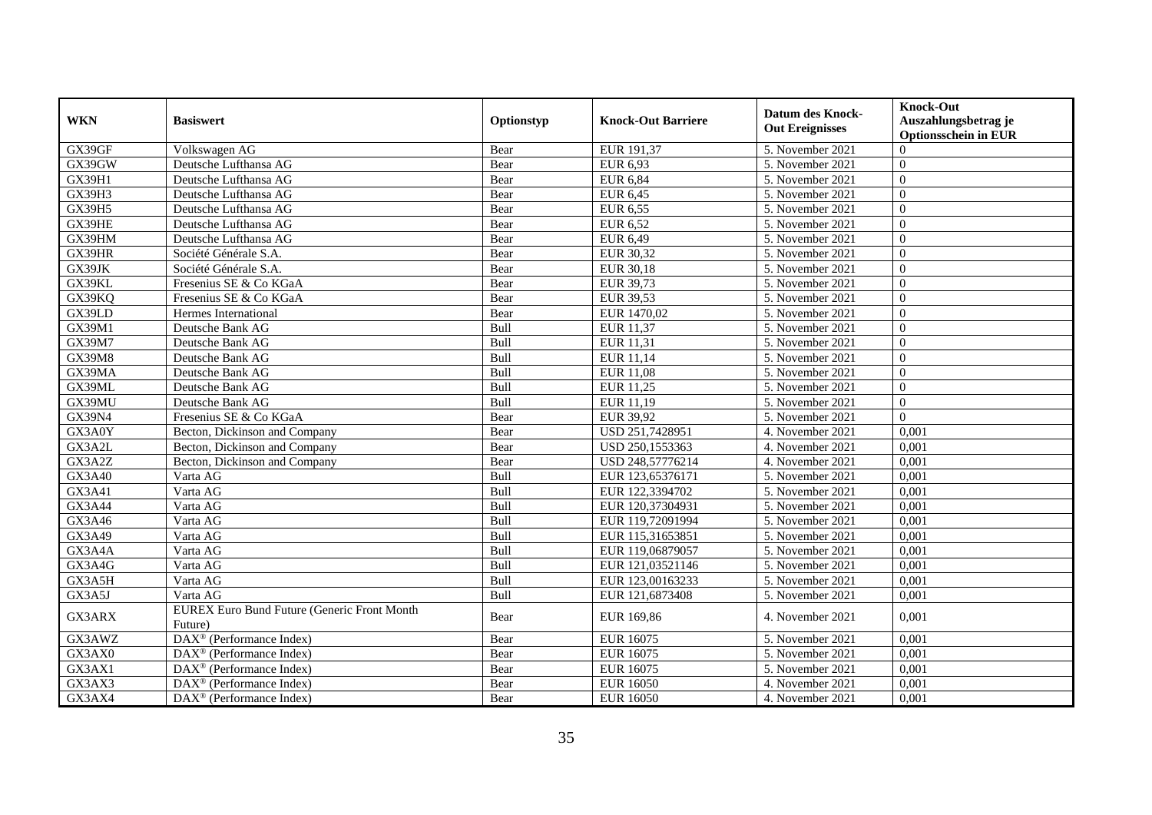|               |                                                               |             |                           | <b>Datum des Knock-</b> | <b>Knock-Out</b>                                    |
|---------------|---------------------------------------------------------------|-------------|---------------------------|-------------------------|-----------------------------------------------------|
| <b>WKN</b>    | <b>Basiswert</b>                                              | Optionstyp  | <b>Knock-Out Barriere</b> | <b>Out Ereignisses</b>  | Auszahlungsbetrag je<br><b>Optionsschein in EUR</b> |
| GX39GF        | Volkswagen AG                                                 | Bear        | EUR 191,37                | 5. November 2021        | $\Omega$                                            |
| GX39GW        | Deutsche Lufthansa AG                                         | Bear        | EUR 6,93                  | 5. November 2021        | $\mathbf{0}$                                        |
| GX39H1        | Deutsche Lufthansa AG                                         | Bear        | <b>EUR 6,84</b>           | 5. November 2021        | $\overline{0}$                                      |
| GX39H3        | Deutsche Lufthansa AG                                         | Bear        | EUR 6,45                  | 5. November 2021        | $\theta$                                            |
| <b>GX39H5</b> | Deutsche Lufthansa AG                                         | Bear        | <b>EUR 6,55</b>           | 5. November 2021        | $\Omega$                                            |
| GX39HE        | Deutsche Lufthansa AG                                         | Bear        | <b>EUR 6,52</b>           | 5. November 2021        | $\Omega$                                            |
| GX39HM        | Deutsche Lufthansa AG                                         | Bear        | EUR 6,49                  | 5. November 2021        | $\Omega$                                            |
| GX39HR        | Société Générale S.A.                                         | Bear        | EUR 30,32                 | 5. November 2021        | $\overline{0}$                                      |
| GX39JK        | Société Générale S.A.                                         | Bear        | <b>EUR 30,18</b>          | 5. November 2021        | $\mathbf{0}$                                        |
| GX39KL        | Fresenius SE & Co KGaA                                        | Bear        | EUR 39,73                 | 5. November 2021        | $\overline{0}$                                      |
| GX39KQ        | Fresenius SE & Co KGaA                                        | Bear        | EUR 39,53                 | 5. November 2021        | $\Omega$                                            |
| GX39LD        | Hermes International                                          | Bear        | EUR 1470,02               | 5. November 2021        | $\Omega$                                            |
| GX39M1        | Deutsche Bank AG                                              | Bull        | <b>EUR 11,37</b>          | 5. November 2021        | $\theta$                                            |
| GX39M7        | Deutsche Bank AG                                              | Bull        | EUR 11,31                 | 5. November 2021        | $\Omega$                                            |
| GX39M8        | Deutsche Bank AG                                              | Bull        | EUR 11,14                 | 5. November 2021        | $\theta$                                            |
| GX39MA        | Deutsche Bank AG                                              | Bull        | <b>EUR 11,08</b>          | 5. November 2021        | $\mathbf{0}$                                        |
| GX39ML        | Deutsche Bank AG                                              | Bull        | EUR 11,25                 | 5. November 2021        | $\overline{0}$                                      |
| GX39MU        | Deutsche Bank AG                                              | <b>Bull</b> | EUR 11.19                 | 5. November 2021        | $\theta$                                            |
| GX39N4        | Fresenius SE & Co KGaA                                        | Bear        | EUR 39,92                 | 5. November 2021        | $\Omega$                                            |
| GX3A0Y        | Becton, Dickinson and Company                                 | Bear        | USD 251,7428951           | 4. November 2021        | 0,001                                               |
| GX3A2L        | Becton, Dickinson and Company                                 | Bear        | USD 250,1553363           | 4. November 2021        | 0,001                                               |
| GX3A2Z        | Becton, Dickinson and Company                                 | Bear        | USD 248,57776214          | 4. November 2021        | 0,001                                               |
| GX3A40        | Varta AG                                                      | Bull        | EUR 123,65376171          | 5. November 2021        | 0,001                                               |
| GX3A41        | Varta AG                                                      | Bull        | EUR 122,3394702           | 5. November 2021        | 0,001                                               |
| GX3A44        | Varta AG                                                      | <b>Bull</b> | EUR 120,37304931          | 5. November 2021        | 0,001                                               |
| GX3A46        | Varta AG                                                      | Bull        | EUR 119,72091994          | 5. November 2021        | 0,001                                               |
| GX3A49        | Varta AG                                                      | Bull        | EUR 115,31653851          | 5. November 2021        | 0,001                                               |
| GX3A4A        | Varta AG                                                      | Bull        | EUR 119,06879057          | 5. November 2021        | 0,001                                               |
| GX3A4G        | Varta AG                                                      | Bull        | EUR 121,03521146          | 5. November 2021        | 0,001                                               |
| GX3A5H        | Varta AG                                                      | Bull        | EUR 123,00163233          | 5. November 2021        | 0,001                                               |
| GX3A5J        | Varta AG                                                      | Bull        | EUR 121,6873408           | 5. November 2021        | 0,001                                               |
| GX3ARX        | <b>EUREX Euro Bund Future (Generic Front Month</b><br>Future) | Bear        | EUR 169,86                | 4. November 2021        | 0,001                                               |
| GX3AWZ        | DAX <sup>®</sup> (Performance Index)                          | Bear        | <b>EUR 16075</b>          | 5. November 2021        | 0,001                                               |
| GX3AX0        | $\overline{\text{DAX}}^{\textcirc}$ (Performance Index)       | Bear        | <b>EUR 16075</b>          | 5. November 2021        | 0,001                                               |
| GX3AX1        | DAX <sup>®</sup> (Performance Index)                          | Bear        | <b>EUR 16075</b>          | 5. November 2021        | 0,001                                               |
| GX3AX3        | $DAX^{\circledast}$ (Performance Index)                       | Bear        | <b>EUR 16050</b>          | 4. November 2021        | 0,001                                               |
| GX3AX4        | $\text{DAX}^{\otimes}$ (Performance Index)                    | Bear        | <b>EUR 16050</b>          | 4. November 2021        | 0,001                                               |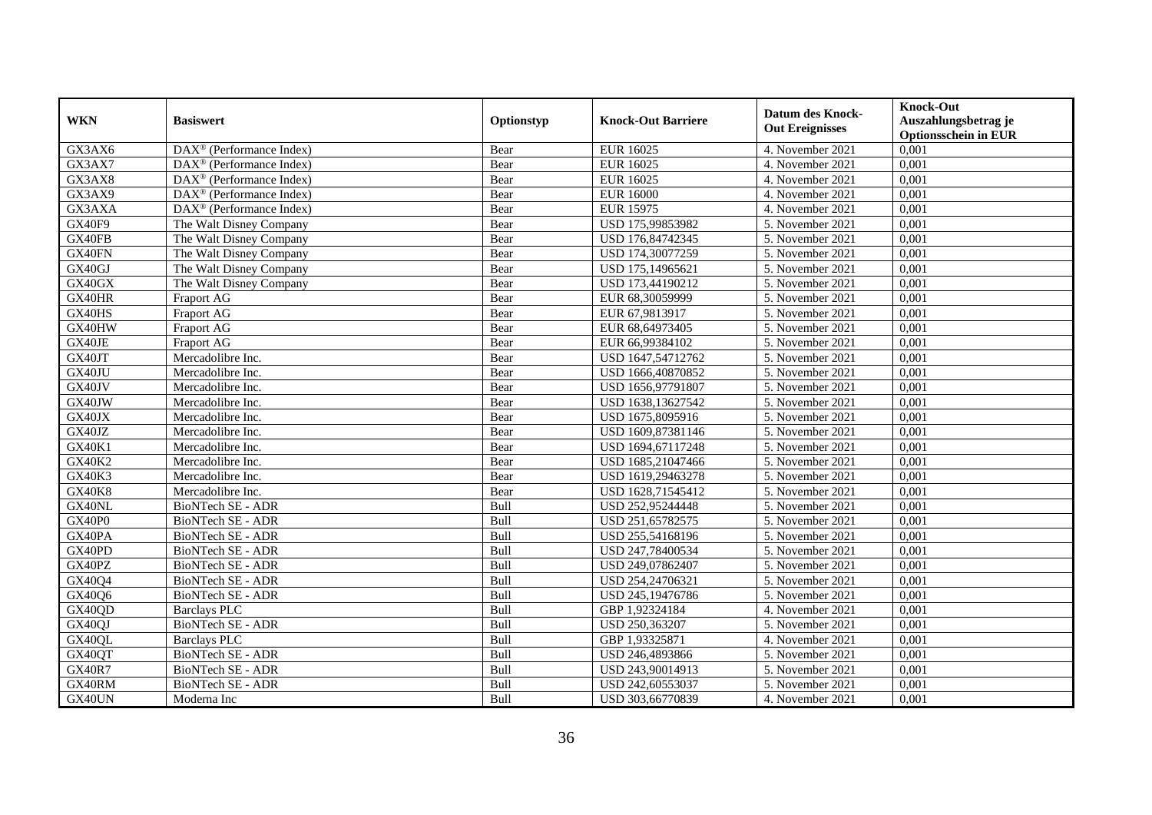| <b>WKN</b>    | <b>Basiswert</b>                         | Optionstyp | <b>Knock-Out Barriere</b> | <b>Datum des Knock-</b><br><b>Out Ereignisses</b> | <b>Knock-Out</b><br>Auszahlungsbetrag je<br><b>Optionsschein in EUR</b> |
|---------------|------------------------------------------|------------|---------------------------|---------------------------------------------------|-------------------------------------------------------------------------|
| GX3AX6        | DAX <sup>®</sup> (Performance Index)     | Bear       | <b>EUR 16025</b>          | 4. November 2021                                  | 0,001                                                                   |
| GX3AX7        | $DAX^{\circledcirc}$ (Performance Index) | Bear       | <b>EUR 16025</b>          | 4. November 2021                                  | 0,001                                                                   |
| GX3AX8        | $DAX^{\circledcirc}$ (Performance Index) | Bear       | EUR 16025                 | 4. November 2021                                  | 0,001                                                                   |
| GX3AX9        | $DAX^{\circledast}$ (Performance Index)  | Bear       | <b>EUR 16000</b>          | 4. November 2021                                  | 0,001                                                                   |
| GX3AXA        | DAX <sup>®</sup> (Performance Index)     | Bear       | <b>EUR 15975</b>          | 4. November 2021                                  | 0,001                                                                   |
| GX40F9        | The Walt Disney Company                  | Bear       | USD 175,99853982          | 5. November 2021                                  | 0,001                                                                   |
| GX40FB        | The Walt Disney Company                  | Bear       | USD 176,84742345          | 5. November 2021                                  | 0,001                                                                   |
| GX40FN        | The Walt Disney Company                  | Bear       | USD 174,30077259          | 5. November 2021                                  | 0,001                                                                   |
| GX40GJ        | The Walt Disney Company                  | Bear       | USD 175,14965621          | 5. November 2021                                  | 0,001                                                                   |
| GX40GX        | The Walt Disney Company                  | Bear       | USD 173,44190212          | 5. November 2021                                  | 0,001                                                                   |
| GX40HR        | Fraport AG                               | Bear       | EUR 68,30059999           | 5. November 2021                                  | 0,001                                                                   |
| GX40HS        | Fraport AG                               | Bear       | EUR 67,9813917            | 5. November 2021                                  | 0,001                                                                   |
| GX40HW        | Fraport AG                               | Bear       | EUR 68,64973405           | 5. November 2021                                  | 0,001                                                                   |
| GX40JE        | Fraport AG                               | Bear       | EUR 66,99384102           | 5. November 2021                                  | 0,001                                                                   |
| GX40JT        | Mercadolibre Inc.                        | Bear       | USD 1647,54712762         | 5. November 2021                                  | 0,001                                                                   |
| GX40JU        | Mercadolibre Inc.                        | Bear       | USD 1666,40870852         | 5. November 2021                                  | 0,001                                                                   |
| GX40JV        | Mercadolibre Inc.                        | Bear       | USD 1656,97791807         | 5. November 2021                                  | 0,001                                                                   |
| GX40JW        | Mercadolibre Inc.                        | Bear       | USD 1638.13627542         | 5. November 2021                                  | 0.001                                                                   |
| GX40JX        | Mercadolibre Inc.                        | Bear       | USD 1675,8095916          | 5. November 2021                                  | 0,001                                                                   |
| GX40JZ        | Mercadolibre Inc.                        | Bear       | USD 1609,87381146         | 5. November 2021                                  | 0,001                                                                   |
| <b>GX40K1</b> | Mercadolibre Inc.                        | Bear       | USD 1694,67117248         | 5. November 2021                                  | 0,001                                                                   |
| <b>GX40K2</b> | Mercadolibre Inc.                        | Bear       | USD 1685,21047466         | 5. November 2021                                  | 0,001                                                                   |
| <b>GX40K3</b> | Mercadolibre Inc.                        | Bear       | USD 1619,29463278         | 5. November 2021                                  | 0,001                                                                   |
| <b>GX40K8</b> | Mercadolibre Inc.                        | Bear       | USD 1628,71545412         | 5. November 2021                                  | 0,001                                                                   |
| GX40NL        | <b>BioNTech SE - ADR</b>                 | Bull       | USD 252,95244448          | 5. November 2021                                  | 0,001                                                                   |
| GX40P0        | BioNTech SE - ADR                        | Bull       | USD 251,65782575          | 5. November 2021                                  | 0,001                                                                   |
| GX40PA        | BioNTech SE - ADR                        | Bull       | USD 255,54168196          | 5. November 2021                                  | 0,001                                                                   |
| GX40PD        | <b>BioNTech SE - ADR</b>                 | Bull       | USD 247,78400534          | 5. November 2021                                  | 0,001                                                                   |
| GX40PZ        | <b>BioNTech SE - ADR</b>                 | Bull       | USD 249,07862407          | 5. November 2021                                  | 0.001                                                                   |
| GX40Q4        | <b>BioNTech SE - ADR</b>                 | Bull       | USD 254,24706321          | 5. November 2021                                  | 0,001                                                                   |
| GX40Q6        | <b>BioNTech SE - ADR</b>                 | Bull       | USD 245,19476786          | 5. November 2021                                  | 0,001                                                                   |
| GX40QD        | <b>Barclays PLC</b>                      | Bull       | GBP 1,92324184            | 4. November 2021                                  | 0,001                                                                   |
| GX40QJ        | <b>BioNTech SE - ADR</b>                 | Bull       | USD 250,363207            | 5. November 2021                                  | 0,001                                                                   |
| GX40QL        | <b>Barclays PLC</b>                      | Bull       | GBP 1,93325871            | 4. November 2021                                  | 0,001                                                                   |
| GX40QT        | <b>BioNTech SE - ADR</b>                 | Bull       | USD 246,4893866           | 5. November 2021                                  | 0,001                                                                   |
| <b>GX40R7</b> | <b>BioNTech SE - ADR</b>                 | Bull       | USD 243,90014913          | 5. November 2021                                  | 0,001                                                                   |
| GX40RM        | BioNTech SE - ADR                        | Bull       | USD 242,60553037          | 5. November 2021                                  | 0,001                                                                   |
| GX40UN        | Moderna Inc                              | Bull       | USD 303,66770839          | 4. November 2021                                  | 0,001                                                                   |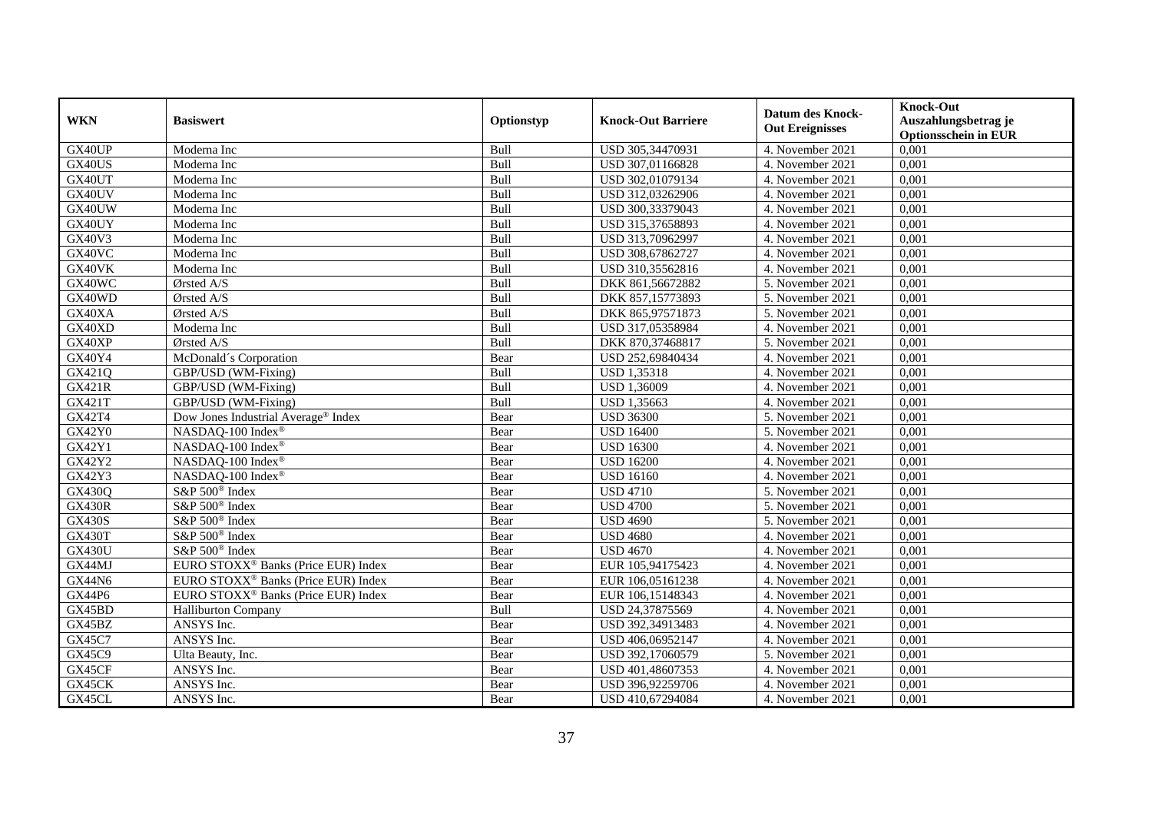| <b>WKN</b>              | <b>Basiswert</b>                                | Optionstyp  | <b>Knock-Out Barriere</b>            | <b>Datum des Knock-</b><br><b>Out Ereignisses</b> | <b>Knock-Out</b>                                    |
|-------------------------|-------------------------------------------------|-------------|--------------------------------------|---------------------------------------------------|-----------------------------------------------------|
|                         |                                                 |             |                                      |                                                   | Auszahlungsbetrag je<br><b>Optionsschein in EUR</b> |
| GX40UP                  | Moderna Inc                                     | <b>Bull</b> | USD 305,34470931                     | 4. November 2021                                  | 0,001                                               |
| GX40US                  | Moderna Inc                                     | Bull        | USD 307,01166828                     | 4. November 2021                                  | 0,001                                               |
| GX40UT                  | Moderna Inc                                     | Bull        |                                      | 4. November 2021                                  | 0,001                                               |
| GX40UV                  | Moderna Inc                                     | Bull        | USD 302,01079134                     | 4. November 2021                                  |                                                     |
| GX40UW                  |                                                 |             | USD 312,03262906<br>USD 300,33379043 |                                                   | 0,001<br>0,001                                      |
|                         | Moderna Inc                                     | Bull        |                                      | 4. November 2021                                  | 0,001                                               |
| GX40UY<br><b>GX40V3</b> | Moderna Inc                                     | Bull        | USD 315,37658893                     | 4. November 2021                                  |                                                     |
|                         | Moderna Inc                                     | Bull        | USD 313,70962997                     | 4. November 2021                                  | 0,001                                               |
| GX40VC                  | Moderna Inc                                     | <b>Bull</b> | USD 308,67862727                     | 4. November 2021                                  | 0,001                                               |
| GX40VK                  | Moderna Inc                                     | Bull        | USD 310,35562816                     | 4. November 2021                                  | 0,001                                               |
| GX40WC                  | Ørsted A/S                                      | Bull        | DKK 861,56672882                     | 5. November 2021                                  | 0,001                                               |
| GX40WD                  | Ørsted A/S                                      | Bull        | DKK 857,15773893                     | 5. November 2021                                  | 0,001                                               |
| GX40XA                  | Ørsted A/S                                      | Bull        | DKK 865,97571873                     | 5. November 2021                                  | 0,001                                               |
| GX40XD                  | Moderna Inc                                     | Bull        | USD 317,05358984                     | 4. November 2021                                  | 0,001                                               |
| GX40XP                  | Ørsted A/S                                      | Bull        | DKK 870,37468817                     | 5. November 2021                                  | 0,001                                               |
| GX40Y4                  | McDonald's Corporation                          | Bear        | USD 252,69840434                     | 4. November 2021                                  | 0,001                                               |
| GX421Q                  | GBP/USD (WM-Fixing)                             | <b>Bull</b> | <b>USD 1,35318</b>                   | 4. November 2021                                  | 0,001                                               |
| <b>GX421R</b>           | GBP/USD (WM-Fixing)                             | Bull        | <b>USD 1,36009</b>                   | 4. November 2021                                  | 0,001                                               |
| GX421T                  | GBP/USD (WM-Fixing)                             | <b>Bull</b> | <b>USD 1.35663</b>                   | 4. November 2021                                  | 0.001                                               |
| GX42T4                  | Dow Jones Industrial Average® Index             | Bear        | <b>USD 36300</b>                     | 5. November 2021                                  | 0,001                                               |
| <b>GX42Y0</b>           | NASDAQ-100 Index®                               | Bear        | <b>USD 16400</b>                     | 5. November 2021                                  | 0,001                                               |
| GX42Y1                  | NASDAQ-100 Index®                               | Bear        | <b>USD 16300</b>                     | 4. November 2021                                  | 0,001                                               |
| GX42Y2                  | NASDAQ-100 Index®                               | Bear        | <b>USD 16200</b>                     | 4. November 2021                                  | 0,001                                               |
| GX42Y3                  | NASDAQ-100 Index®                               | Bear        | <b>USD 16160</b>                     | 4. November 2021                                  | 0,001                                               |
| <b>GX430Q</b>           | S&P 500 <sup>®</sup> Index                      | Bear        | <b>USD 4710</b>                      | 5. November 2021                                  | 0,001                                               |
| <b>GX430R</b>           | S&P 500 <sup>®</sup> Index                      | Bear        | <b>USD 4700</b>                      | 5. November 2021                                  | 0.001                                               |
| <b>GX430S</b>           | S&P 500 <sup>®</sup> Index                      | Bear        | <b>USD 4690</b>                      | 5. November 2021                                  | 0,001                                               |
| <b>GX430T</b>           | S&P 500 <sup>®</sup> Index                      | Bear        | <b>USD 4680</b>                      | 4. November 2021                                  | 0,001                                               |
| <b>GX430U</b>           | S&P 500 <sup>®</sup> Index                      | Bear        | <b>USD 4670</b>                      | 4. November 2021                                  | 0,001                                               |
| GX44MJ                  | EURO STOXX <sup>®</sup> Banks (Price EUR) Index | Bear        | EUR 105,94175423                     | 4. November 2021                                  | 0,001                                               |
| <b>GX44N6</b>           | EURO STOXX <sup>®</sup> Banks (Price EUR) Index | Bear        | EUR 106,05161238                     | 4. November 2021                                  | 0,001                                               |
| GX44P6                  | EURO STOXX <sup>®</sup> Banks (Price EUR) Index | Bear        | EUR 106,15148343                     | 4. November 2021                                  | 0,001                                               |
| GX45BD                  | <b>Halliburton Company</b>                      | Bull        | USD 24,37875569                      | 4. November 2021                                  | 0.001                                               |
| GX45BZ                  | ANSYS Inc.                                      | Bear        | USD 392,34913483                     | 4. November 2021                                  | 0,001                                               |
| GX45C7                  | ANSYS Inc.                                      | Bear        | USD 406,06952147                     | 4. November 2021                                  | 0,001                                               |
| GX45C9                  | Ulta Beauty, Inc.                               | Bear        | USD 392,17060579                     | 5. November 2021                                  | 0,001                                               |
| GX45CF                  | ANSYS Inc.                                      | Bear        | USD 401,48607353                     | 4. November 2021                                  | 0,001                                               |
| GX45CK                  | ANSYS Inc.                                      | Bear        | USD 396,92259706                     | 4. November 2021                                  | 0,001                                               |
| GX45CL                  | ANSYS Inc.                                      | Bear        | USD 410,67294084                     | 4. November 2021                                  | 0,001                                               |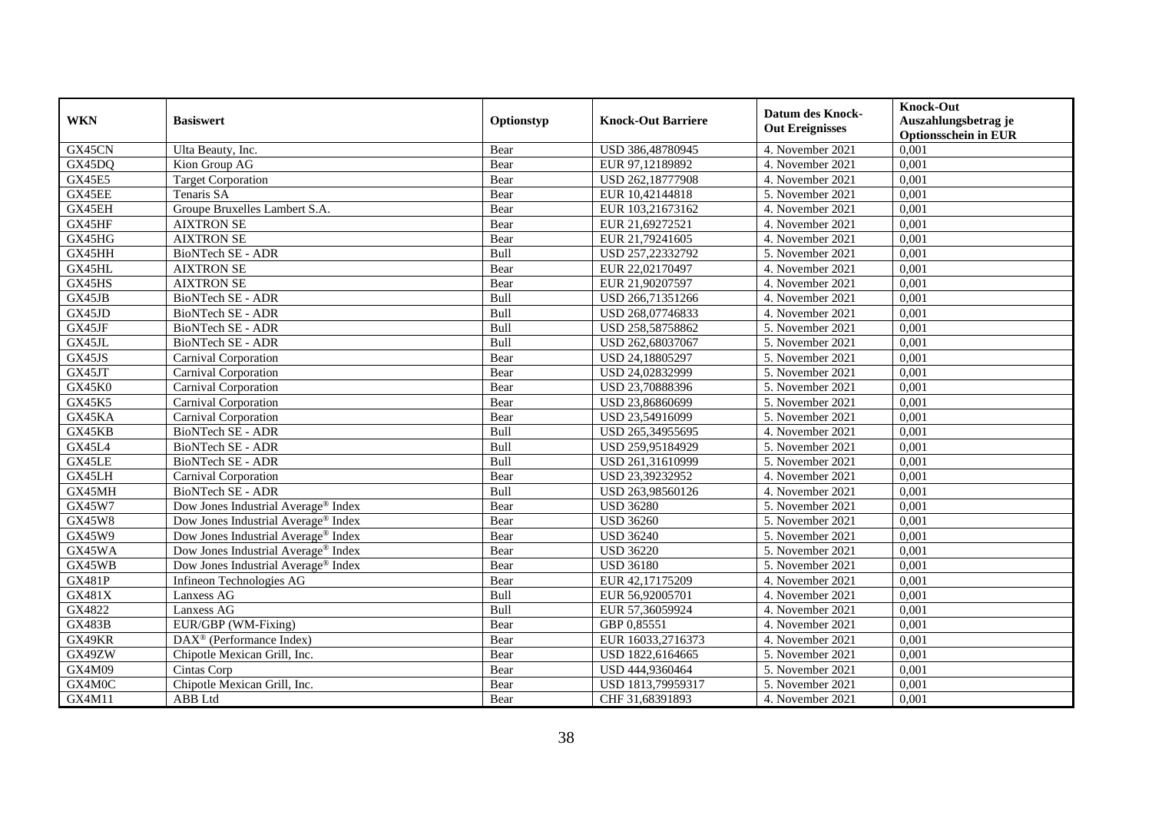| <b>WKN</b>    | <b>Basiswert</b>                                          | Optionstyp  | <b>Knock-Out Barriere</b> | <b>Datum des Knock-</b><br><b>Out Ereignisses</b> | <b>Knock-Out</b>            |
|---------------|-----------------------------------------------------------|-------------|---------------------------|---------------------------------------------------|-----------------------------|
|               |                                                           |             |                           |                                                   | Auszahlungsbetrag je        |
|               |                                                           |             |                           |                                                   | <b>Optionsschein in EUR</b> |
| GX45CN        | Ulta Beauty, Inc.                                         | Bear        | USD 386,48780945          | 4. November 2021                                  | 0,001                       |
| GX45DQ        | Kion Group AG                                             | Bear        | EUR 97,12189892           | 4. November 2021                                  | 0,001                       |
| <b>GX45E5</b> | <b>Target Corporation</b>                                 | Bear        | USD 262,18777908          | 4. November 2021                                  | 0,001                       |
| GX45EE        | Tenaris SA                                                | Bear        | EUR 10,42144818           | 5. November 2021                                  | 0,001                       |
| GX45EH        | Groupe Bruxelles Lambert S.A.                             | Bear        | EUR 103,21673162          | 4. November 2021                                  | 0,001                       |
| GX45HF        | <b>AIXTRON SE</b>                                         | Bear        | EUR 21,69272521           | 4. November 2021                                  | 0,001                       |
| GX45HG        | <b>AIXTRON SE</b>                                         | Bear        | EUR 21,79241605           | 4. November 2021                                  | 0,001                       |
| GX45HH        | <b>BioNTech SE - ADR</b>                                  | <b>Bull</b> | USD 257,22332792          | 5. November 2021                                  | 0,001                       |
| GX45HL        | <b>AIXTRON SE</b>                                         | Bear        | EUR 22,02170497           | 4. November 2021                                  | 0,001                       |
| GX45HS        | <b>AIXTRON SE</b>                                         | Bear        | EUR 21,90207597           | 4. November 2021                                  | 0,001                       |
| GX45JB        | BioNTech SE - ADR                                         | Bull        | USD 266,71351266          | 4. November 2021                                  | 0,001                       |
| GX45JD        | <b>BioNTech SE - ADR</b>                                  | Bull        | USD 268,07746833          | 4. November 2021                                  | 0,001                       |
| GX45JF        | <b>BioNTech SE - ADR</b>                                  | Bull        | USD 258,58758862          | 5. November 2021                                  | 0,001                       |
| GX45JL        | <b>BioNTech SE - ADR</b>                                  | Bull        | USD 262,68037067          | 5. November 2021                                  | 0,001                       |
| GX45JS        | Carnival Corporation                                      | Bear        | USD 24,18805297           | 5. November 2021                                  | 0,001                       |
| GX45JT        | Carnival Corporation                                      | Bear        | USD 24,02832999           | 5. November 2021                                  | 0,001                       |
| GX45K0        | <b>Carnival Corporation</b>                               | Bear        | USD 23,70888396           | 5. November 2021                                  | 0,001                       |
| <b>GX45K5</b> | Carnival Corporation                                      | Bear        | USD 23.86860699           | 5. November 2021                                  | 0.001                       |
| GX45KA        | Carnival Corporation                                      | Bear        | USD 23,54916099           | 5. November 2021                                  | 0,001                       |
| GX45KB        | <b>BioNTech SE - ADR</b>                                  | Bull        | USD 265,34955695          | 4. November 2021                                  | 0,001                       |
| GX45L4        | <b>BioNTech SE - ADR</b>                                  | Bull        | USD 259,95184929          | 5. November 2021                                  | 0,001                       |
| GX45LE        | <b>BioNTech SE - ADR</b>                                  | Bull        | USD 261,31610999          | 5. November 2021                                  | 0,001                       |
| GX45LH        | Carnival Corporation                                      | Bear        | USD 23,39232952           | 4. November 2021                                  | 0,001                       |
| GX45MH        | <b>BioNTech SE - ADR</b>                                  | Bull        | USD 263,98560126          | 4. November 2021                                  | 0,001                       |
| GX45W7        | Dow Jones Industrial Average <sup>®</sup> Index           | Bear        | <b>USD 36280</b>          | 5. November 2021                                  | 0,001                       |
| <b>GX45W8</b> | Dow Jones Industrial Average <sup>®</sup> Index           | Bear        | <b>USD 36260</b>          | 5. November 2021                                  | 0,001                       |
| GX45W9        | Dow Jones Industrial Average <sup>®</sup> Index           | Bear        | <b>USD 36240</b>          | 5. November 2021                                  | 0,001                       |
| GX45WA        | Dow Jones Industrial Average <sup>®</sup> Index           | Bear        | <b>USD 36220</b>          | 5. November 2021                                  | 0,001                       |
| GX45WB        | Dow Jones Industrial Average® Index                       | Bear        | <b>USD 36180</b>          | 5. November 2021                                  | 0,001                       |
| <b>GX481P</b> | Infineon Technologies AG                                  | Bear        | EUR 42,17175209           | 4. November 2021                                  | 0,001                       |
| GX481X        | Lanxess AG                                                | <b>Bull</b> | EUR 56,92005701           | 4. November 2021                                  | 0,001                       |
| GX4822        | Lanxess AG                                                | Bull        | EUR 57,36059924           | 4. November 2021                                  | 0.001                       |
| <b>GX483B</b> | EUR/GBP (WM-Fixing)                                       | Bear        | GBP 0,85551               | 4. November 2021                                  | 0,001                       |
| GX49KR        | $\overline{\text{DAX}^{\circledast}}$ (Performance Index) | Bear        | EUR 16033,2716373         | 4. November 2021                                  | 0,001                       |
| GX49ZW        | Chipotle Mexican Grill, Inc.                              | Bear        | USD 1822,6164665          | 5. November 2021                                  | 0,001                       |
| GX4M09        | Cintas Corp                                               | Bear        | USD 444,9360464           | 5. November 2021                                  | 0,001                       |
| GX4M0C        | Chipotle Mexican Grill, Inc.                              | Bear        | USD 1813,79959317         | 5. November 2021                                  | 0,001                       |
| GX4M11        | ABB Ltd                                                   | Bear        | CHF 31,68391893           | 4. November 2021                                  | 0,001                       |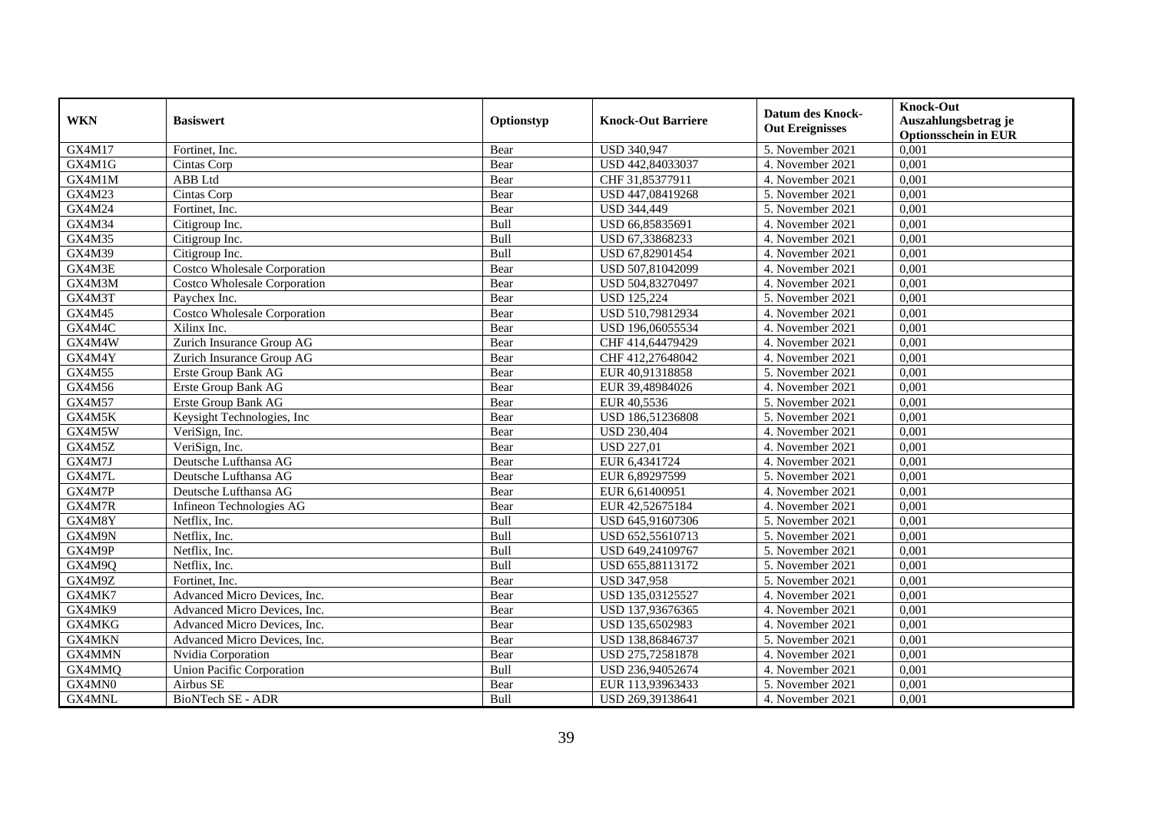| <b>WKN</b> | <b>Basiswert</b>                              | Optionstyp | <b>Knock-Out Barriere</b> | Datum des Knock-<br><b>Out Ereignisses</b> | <b>Knock-Out</b><br>Auszahlungsbetrag je<br><b>Optionsschein in EUR</b> |
|------------|-----------------------------------------------|------------|---------------------------|--------------------------------------------|-------------------------------------------------------------------------|
| GX4M17     | Fortinet, Inc.                                | Bear       | <b>USD 340,947</b>        | 5. November 2021                           | 0,001                                                                   |
| GX4M1G     | Cintas Corp                                   | Bear       | USD 442,84033037          | 4. November 2021                           | 0,001                                                                   |
| GX4M1M     | ABB Ltd                                       | Bear       | CHF 31,85377911           | 4. November 2021                           | 0,001                                                                   |
| GX4M23     | Cintas Corp                                   | Bear       | USD 447,08419268          | 5. November 2021                           | 0,001                                                                   |
| GX4M24     | Fortinet, Inc.                                | Bear       | USD 344,449               | 5. November 2021                           | 0,001                                                                   |
| GX4M34     | Citigroup Inc.                                | Bull       | USD 66,85835691           | 4. November 2021                           | 0,001                                                                   |
| GX4M35     | Citigroup Inc.                                | Bull       | USD 67,33868233           | 4. November 2021                           | 0,001                                                                   |
| GX4M39     | Citigroup Inc.                                | Bull       | USD 67,82901454           | 4. November 2021                           | 0,001                                                                   |
| GX4M3E     | <b>Costco Wholesale Corporation</b>           | Bear       | USD 507,81042099          | 4. November 2021                           | 0,001                                                                   |
| GX4M3M     | <b>Costco Wholesale Corporation</b>           | Bear       | USD 504,83270497          | 4. November 2021                           | 0,001                                                                   |
| GX4M3T     | Paychex Inc.                                  | Bear       | <b>USD 125,224</b>        | 5. November 2021                           | 0,001                                                                   |
| GX4M45     | <b>Costco Wholesale Corporation</b>           | Bear       | USD 510,79812934          | 4. November 2021                           | 0,001                                                                   |
| GX4M4C     | $\overline{\overline{\mathrm{X}}}$ ilinx Inc. | Bear       | USD 196,06055534          | 4. November 2021                           | 0,001                                                                   |
| GX4M4W     | Zurich Insurance Group AG                     | Bear       | CHF 414,64479429          | 4. November 2021                           | 0,001                                                                   |
| GX4M4Y     | Zurich Insurance Group AG                     | Bear       | CHF 412,27648042          | 4. November 2021                           | 0,001                                                                   |
| GX4M55     | Erste Group Bank AG                           | Bear       | EUR 40,91318858           | 5. November 2021                           | 0,001                                                                   |
| GX4M56     | Erste Group Bank AG                           | Bear       | EUR 39,48984026           | 4. November 2021                           | 0,001                                                                   |
| GX4M57     | Erste Group Bank AG                           | Bear       | EUR 40,5536               | 5. November 2021                           | 0,001                                                                   |
| GX4M5K     | Keysight Technologies, Inc                    | Bear       | USD 186,51236808          | 5. November 2021                           | 0,001                                                                   |
| GX4M5W     | VeriSign, Inc.                                | Bear       | <b>USD 230,404</b>        | 4. November 2021                           | 0,001                                                                   |
| GX4M5Z     | VeriSign, Inc.                                | Bear       | <b>USD 227,01</b>         | 4. November 2021                           | 0,001                                                                   |
| GX4M7J     | Deutsche Lufthansa AG                         | Bear       | EUR 6,4341724             | 4. November 2021                           | 0,001                                                                   |
| GX4M7L     | Deutsche Lufthansa AG                         | Bear       | EUR 6,89297599            | 5. November 2021                           | 0,001                                                                   |
| GX4M7P     | Deutsche Lufthansa AG                         | Bear       | EUR 6,61400951            | 4. November 2021                           | 0,001                                                                   |
| GX4M7R     | Infineon Technologies AG                      | Bear       | EUR 42,52675184           | 4. November 2021                           | 0,001                                                                   |
| GX4M8Y     | Netflix, Inc.                                 | Bull       | USD 645,91607306          | 5. November 2021                           | 0,001                                                                   |
| GX4M9N     | Netflix, Inc.                                 | Bull       | USD 652,55610713          | 5. November 2021                           | 0,001                                                                   |
| GX4M9P     | Netflix, Inc.                                 | Bull       | USD 649,24109767          | 5. November 2021                           | 0,001                                                                   |
| GX4M9Q     | Netflix, Inc.                                 | Bull       | USD 655,88113172          | 5. November 2021                           | 0,001                                                                   |
| GX4M9Z     | Fortinet. Inc.                                | Bear       | <b>USD 347,958</b>        | 5. November 2021                           | 0,001                                                                   |
| GX4MK7     | Advanced Micro Devices, Inc.                  | Bear       | USD 135,03125527          | 4. November 2021                           | 0,001                                                                   |
| GX4MK9     | Advanced Micro Devices, Inc.                  | Bear       | USD 137,93676365          | 4. November 2021                           | 0,001                                                                   |
| GX4MKG     | Advanced Micro Devices, Inc.                  | Bear       | USD 135,6502983           | 4. November 2021                           | 0,001                                                                   |
| GX4MKN     | Advanced Micro Devices, Inc.                  | Bear       | USD 138,86846737          | 5. November 2021                           | 0,001                                                                   |
| GX4MMN     | Nvidia Corporation                            | Bear       | USD 275,72581878          | 4. November 2021                           | 0,001                                                                   |
| GX4MMQ     | <b>Union Pacific Corporation</b>              | Bull       | USD 236,94052674          | 4. November 2021                           | 0,001                                                                   |
| GX4MN0     | Airbus SE                                     | Bear       | EUR 113,93963433          | 5. November 2021                           | 0,001                                                                   |
| GX4MNL     | <b>BioNTech SE - ADR</b>                      | Bull       | USD 269,39138641          | 4. November 2021                           | 0,001                                                                   |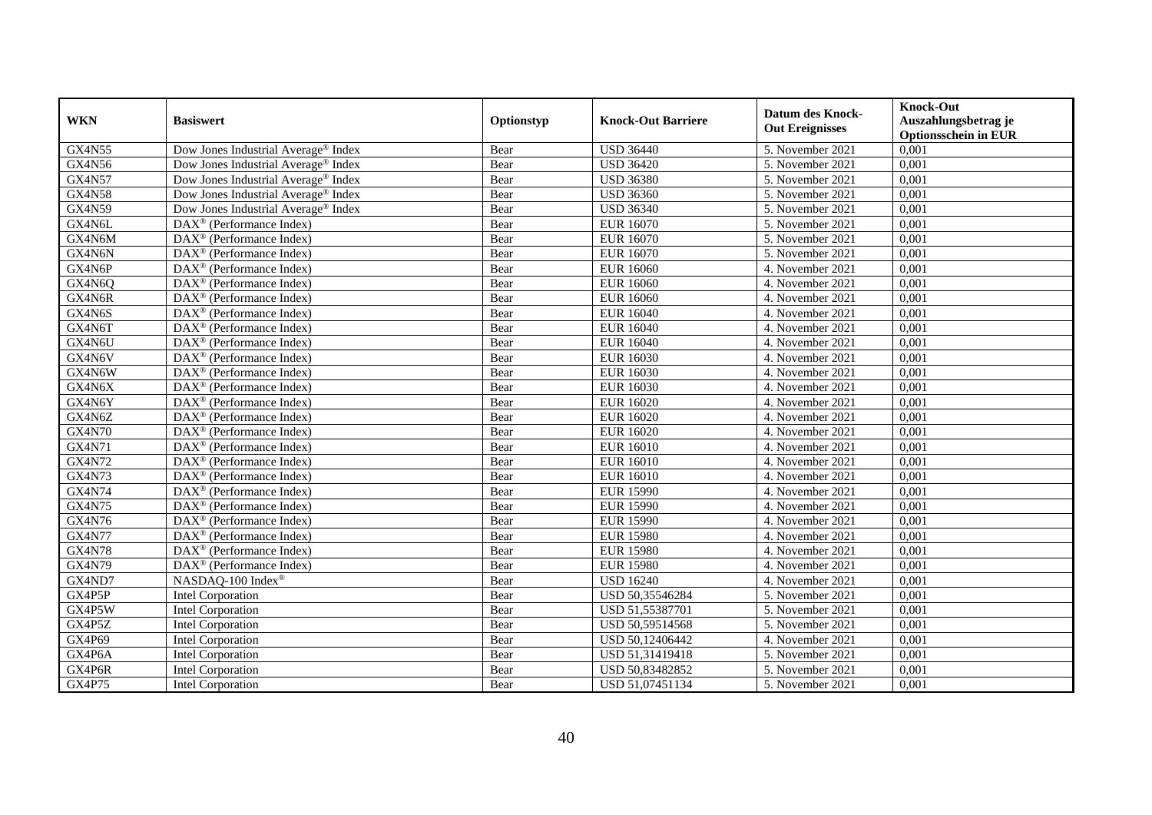| <b>WKN</b>    | <b>Basiswert</b>                                                    | Optionstyp | <b>Knock-Out Barriere</b> | <b>Datum des Knock-</b><br><b>Out Ereignisses</b> | <b>Knock-Out</b><br>Auszahlungsbetrag je<br><b>Optionsschein in EUR</b> |
|---------------|---------------------------------------------------------------------|------------|---------------------------|---------------------------------------------------|-------------------------------------------------------------------------|
| <b>GX4N55</b> | Dow Jones Industrial Average <sup>®</sup> Index                     | Bear       | <b>USD 36440</b>          | 5. November 2021                                  | 0,001                                                                   |
| GX4N56        | Dow Jones Industrial Average <sup>®</sup> Index                     | Bear       | <b>USD 36420</b>          | 5. November 2021                                  | 0,001                                                                   |
| <b>GX4N57</b> | Dow Jones Industrial Average <sup>®</sup> Index                     | Bear       | <b>USD 36380</b>          | 5. November 2021                                  | 0,001                                                                   |
| <b>GX4N58</b> | Dow Jones Industrial Average <sup>®</sup> Index                     | Bear       | <b>USD 36360</b>          | 5. November 2021                                  | 0,001                                                                   |
| <b>GX4N59</b> | Dow Jones Industrial Average® Index                                 | Bear       | <b>USD 36340</b>          | 5. November 2021                                  | 0,001                                                                   |
| GX4N6L        | DAX <sup>®</sup> (Performance Index)                                | Bear       | <b>EUR 16070</b>          | 5. November 2021                                  | 0,001                                                                   |
| GX4N6M        | DAX <sup>®</sup> (Performance Index)                                | Bear       | <b>EUR 16070</b>          | 5. November 2021                                  | 0,001                                                                   |
| GX4N6N        | DAX <sup>®</sup> (Performance Index)                                | Bear       | <b>EUR 16070</b>          | 5. November 2021                                  | 0,001                                                                   |
| GX4N6P        | $\overline{\text{DAX}^{\textcircled{\tiny 0}}}$ (Performance Index) | Bear       | <b>EUR 16060</b>          | 4. November 2021                                  | 0,001                                                                   |
| GX4N6Q        | DAX <sup>®</sup> (Performance Index)                                | Bear       | <b>EUR 16060</b>          | 4. November 2021                                  | 0,001                                                                   |
| GX4N6R        | DAX <sup>®</sup> (Performance Index)                                | Bear       | <b>EUR 16060</b>          | 4. November 2021                                  | 0,001                                                                   |
| GX4N6S        | $DAX^{\circledR}$ (Performance Index)                               | Bear       | <b>EUR 16040</b>          | 4. November 2021                                  | 0,001                                                                   |
| GX4N6T        | $\text{DAX}^{\textcircled{}}$ (Performance Index)                   | Bear       | <b>EUR 16040</b>          | 4. November 2021                                  | 0,001                                                                   |
| GX4N6U        | DAX <sup>®</sup> (Performance Index)                                | Bear       | <b>EUR 16040</b>          | 4. November 2021                                  | 0,001                                                                   |
| GX4N6V        | DAX <sup>®</sup> (Performance Index)                                | Bear       | <b>EUR 16030</b>          | 4. November 2021                                  | 0,001                                                                   |
| GX4N6W        | DAX <sup>®</sup> (Performance Index)                                | Bear       | <b>EUR 16030</b>          | 4. November 2021                                  | 0,001                                                                   |
| GX4N6X        | DAX <sup>®</sup> (Performance Index)                                | Bear       | <b>EUR 16030</b>          | 4. November 2021                                  | 0,001                                                                   |
| GX4N6Y        | DAX <sup>®</sup> (Performance Index)                                | Bear       | <b>EUR 16020</b>          | 4. November 2021                                  | 0,001                                                                   |
| GX4N6Z        | DAX <sup>®</sup> (Performance Index)                                | Bear       | <b>EUR 16020</b>          | 4. November 2021                                  | 0,001                                                                   |
| <b>GX4N70</b> | $DAX^{\circledR}$ (Performance Index)                               | Bear       | <b>EUR 16020</b>          | 4. November 2021                                  | 0,001                                                                   |
| GX4N71        | DAX <sup>®</sup> (Performance Index)                                | Bear       | <b>EUR 16010</b>          | 4. November 2021                                  | 0,001                                                                   |
| GX4N72        | DAX <sup>®</sup> (Performance Index)                                | Bear       | <b>EUR 16010</b>          | 4. November 2021                                  | 0,001                                                                   |
| <b>GX4N73</b> | $\overline{\text{DAX}^{\otimes}}$ (Performance Index)               | Bear       | <b>EUR 16010</b>          | 4. November 2021                                  | 0,001                                                                   |
| <b>GX4N74</b> | $\text{DAX}^{\otimes}$ (Performance Index)                          | Bear       | <b>EUR 15990</b>          | 4. November 2021                                  | 0,001                                                                   |
| GX4N75        | $\text{DAX}^{\textcircled{}}$ (Performance Index)                   | Bear       | <b>EUR 15990</b>          | 4. November 2021                                  | 0,001                                                                   |
| <b>GX4N76</b> | DAX <sup>®</sup> (Performance Index)                                | Bear       | <b>EUR 15990</b>          | 4. November 2021                                  | 0,001                                                                   |
| <b>GX4N77</b> | $\text{DAX}^{\circledast}$ (Performance Index)                      | Bear       | <b>EUR 15980</b>          | 4. November 2021                                  | 0,001                                                                   |
| <b>GX4N78</b> | DAX <sup>®</sup> (Performance Index)                                | Bear       | <b>EUR 15980</b>          | 4. November 2021                                  | 0,001                                                                   |
| GX4N79        | DAX <sup>®</sup> (Performance Index)                                | Bear       | <b>EUR 15980</b>          | 4. November 2021                                  | 0,001                                                                   |
| GX4ND7        | NASDAQ-100 Index®                                                   | Bear       | <b>USD 16240</b>          | 4. November 2021                                  | 0,001                                                                   |
| GX4P5P        | <b>Intel Corporation</b>                                            | Bear       | USD 50,35546284           | 5. November 2021                                  | 0,001                                                                   |
| GX4P5W        | <b>Intel Corporation</b>                                            | Bear       | USD 51,55387701           | 5. November 2021                                  | 0,001                                                                   |
| GX4P5Z        | <b>Intel Corporation</b>                                            | Bear       | USD 50,59514568           | 5. November 2021                                  | 0,001                                                                   |
| GX4P69        | <b>Intel Corporation</b>                                            | Bear       | USD 50,12406442           | 4. November 2021                                  | 0,001                                                                   |
| GX4P6A        | <b>Intel Corporation</b>                                            | Bear       | USD 51,31419418           | 5. November 2021                                  | 0,001                                                                   |
| GX4P6R        | <b>Intel Corporation</b>                                            | Bear       | USD 50,83482852           | 5. November 2021                                  | 0,001                                                                   |
| GX4P75        | <b>Intel Corporation</b>                                            | Bear       | USD 51,07451134           | 5. November 2021                                  | 0,001                                                                   |